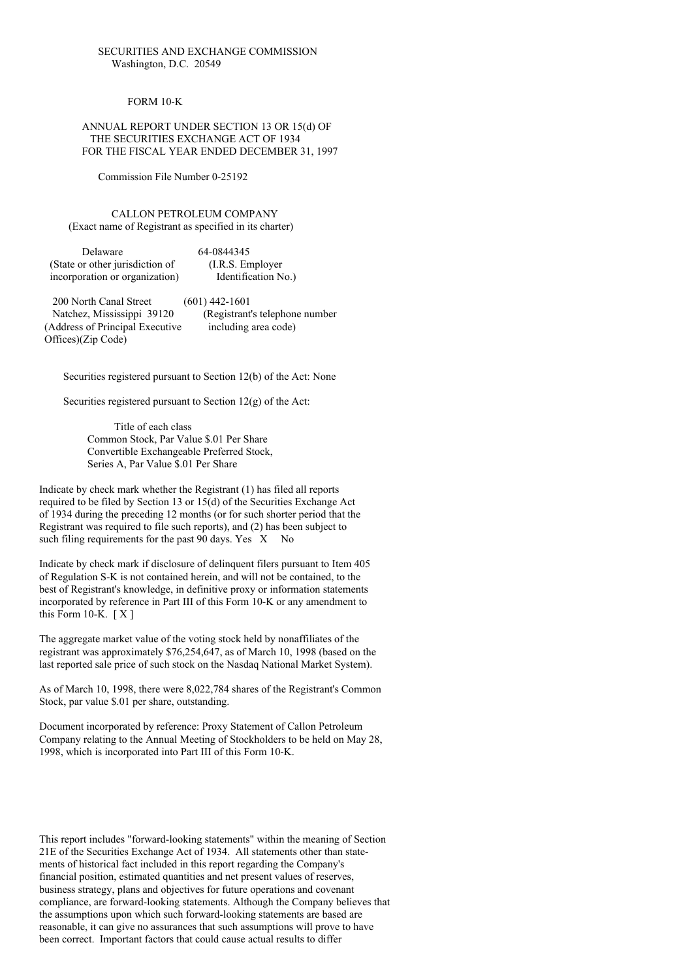## SECURITIES AND EXCHANGE COMMISSION Washington, D.C. 20549

## FORM 10-K

## ANNUAL REPORT UNDER SECTION 13 OR 15(d) OF THE SECURITIES EXCHANGE ACT OF 1934 FOR THE FISCAL YEAR ENDED DECEMBER 31, 1997

Commission File Number 0-25192

### CALLON PETROLEUM COMPANY (Exact name of Registrant as specified in its charter)

| Delaware                        | 64-0844345          |
|---------------------------------|---------------------|
| (State or other jurisdiction of | (I.R.S. Employer)   |
| incorporation or organization)  | Identification No.) |

200 North Canal Street (601) 442-1601 Natchez, Mississippi 39120 (Registrant's telephone number (Address of Principal Executive including area code) Offices)(Zip Code)

Securities registered pursuant to Section 12(b) of the Act: None

Securities registered pursuant to Section 12(g) of the Act:

Title of each class Common Stock, Par Value \$.01 Per Share Convertible Exchangeable Preferred Stock, Series A, Par Value \$.01 Per Share

Indicate by check mark whether the Registrant (1) has filed all reports required to be filed by Section 13 or 15(d) of the Securities Exchange Act of 1934 during the preceding 12 months (or for such shorter period that the Registrant was required to file such reports), and (2) has been subject to such filing requirements for the past  $90$  days. Yes  $X$  No

Indicate by check mark if disclosure of delinquent filers pursuant to Item 405 of Regulation S-K is not contained herein, and will not be contained, to the best of Registrant's knowledge, in definitive proxy or information statements incorporated by reference in Part III of this Form 10-K or any amendment to this Form 10-K.  $[X]$ 

The aggregate market value of the voting stock held by nonaffiliates of the registrant was approximately \$76,254,647, as of March 10, 1998 (based on the last reported sale price of such stock on the Nasdaq National Market System).

As of March 10, 1998, there were 8,022,784 shares of the Registrant's Common Stock, par value \$.01 per share, outstanding.

Document incorporated by reference: Proxy Statement of Callon Petroleum Company relating to the Annual Meeting of Stockholders to be held on May 28, 1998, which is incorporated into Part III of this Form 10-K.

This report includes "forward-looking statements" within the meaning of Section 21E of the Securities Exchange Act of 1934. All statements other than statements of historical fact included in this report regarding the Company's financial position, estimated quantities and net present values of reserves, business strategy, plans and objectives for future operations and covenant compliance, are forward-looking statements. Although the Company believes that the assumptions upon which such forward-looking statements are based are reasonable, it can give no assurances that such assumptions will prove to have been correct. Important factors that could cause actual results to differ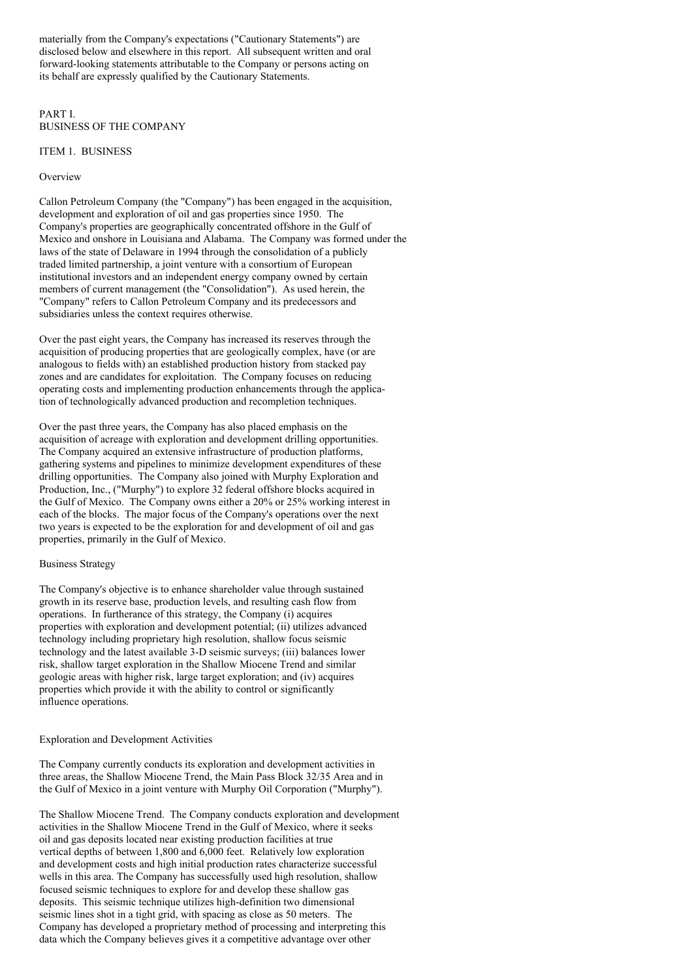materially from the Company's expectations ("Cautionary Statements") are disclosed below and elsewhere in this report. All subsequent written and oral forward-looking statements attributable to the Company or persons acting on its behalf are expressly qualified by the Cautionary Statements.

## PART I. BUSINESS OF THE COMPANY

## ITEM 1. BUSINESS

## Overview

Callon Petroleum Company (the "Company") has been engaged in the acquisition, development and exploration of oil and gas properties since 1950. The Company's properties are geographically concentrated offshore in the Gulf of Mexico and onshore in Louisiana and Alabama. The Company was formed under the laws of the state of Delaware in 1994 through the consolidation of a publicly traded limited partnership, a joint venture with a consortium of European institutional investors and an independent energy company owned by certain members of current management (the "Consolidation"). As used herein, the "Company" refers to Callon Petroleum Company and its predecessors and subsidiaries unless the context requires otherwise.

Over the past eight years, the Company has increased its reserves through the acquisition of producing properties that are geologically complex, have (or are analogous to fields with) an established production history from stacked pay zones and are candidates for exploitation. The Company focuses on reducing operating costs and implementing production enhancements through the application of technologically advanced production and recompletion techniques.

Over the past three years, the Company has also placed emphasis on the acquisition of acreage with exploration and development drilling opportunities. The Company acquired an extensive infrastructure of production platforms, gathering systems and pipelines to minimize development expenditures of these drilling opportunities. The Company also joined with Murphy Exploration and Production, Inc., ("Murphy") to explore 32 federal offshore blocks acquired in the Gulf of Mexico. The Company owns either a 20% or 25% working interest in each of the blocks. The major focus of the Company's operations over the next two years is expected to be the exploration for and development of oil and gas properties, primarily in the Gulf of Mexico.

#### Business Strategy

The Company's objective is to enhance shareholder value through sustained growth in its reserve base, production levels, and resulting cash flow from operations. In furtherance of this strategy, the Company (i) acquires properties with exploration and development potential; (ii) utilizes advanced technology including proprietary high resolution, shallow focus seismic technology and the latest available 3-D seismic surveys; (iii) balances lower risk, shallow target exploration in the Shallow Miocene Trend and similar geologic areas with higher risk, large target exploration; and (iv) acquires properties which provide it with the ability to control or significantly influence operations.

Exploration and Development Activities

The Company currently conducts its exploration and development activities in three areas, the Shallow Miocene Trend, the Main Pass Block 32/35 Area and in the Gulf of Mexico in a joint venture with Murphy Oil Corporation ("Murphy").

The Shallow Miocene Trend. The Company conducts exploration and development activities in the Shallow Miocene Trend in the Gulf of Mexico, where it seeks oil and gas deposits located near existing production facilities at true vertical depths of between 1,800 and 6,000 feet. Relatively low exploration and development costs and high initial production rates characterize successful wells in this area. The Company has successfully used high resolution, shallow focused seismic techniques to explore for and develop these shallow gas deposits. This seismic technique utilizes high-definition two dimensional seismic lines shot in a tight grid, with spacing as close as 50 meters. The Company has developed a proprietary method of processing and interpreting this data which the Company believes gives it a competitive advantage over other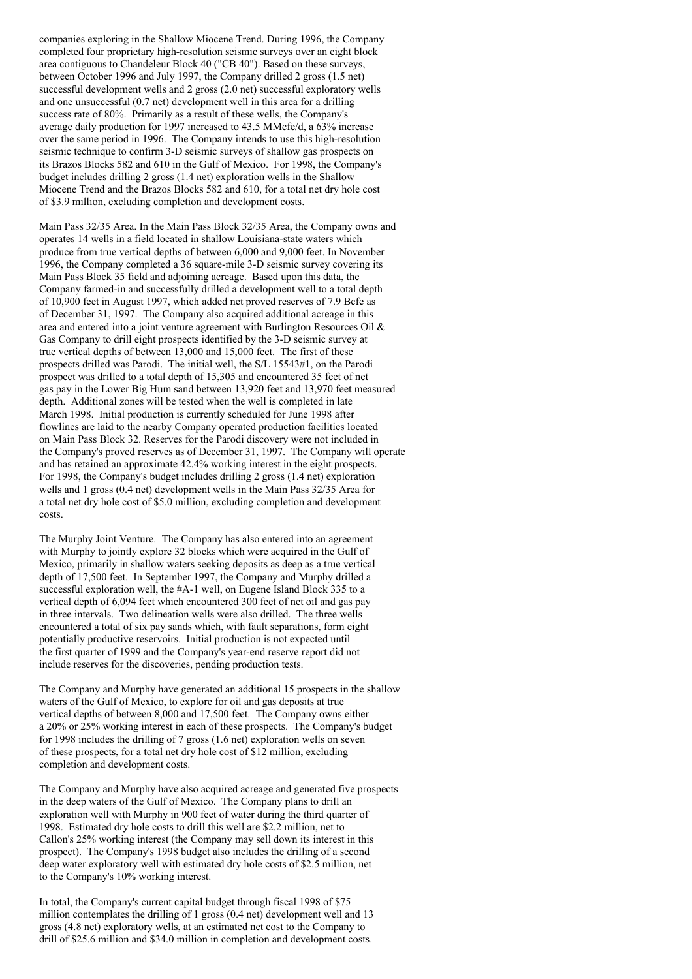companies exploring in the Shallow Miocene Trend. During 1996, the Company completed four proprietary high-resolution seismic surveys over an eight block area contiguous to Chandeleur Block 40 ("CB 40"). Based on these surveys, between October 1996 and July 1997, the Company drilled 2 gross (1.5 net) successful development wells and 2 gross (2.0 net) successful exploratory wells and one unsuccessful (0.7 net) development well in this area for a drilling success rate of 80%. Primarily as a result of these wells, the Company's average daily production for 1997 increased to 43.5 MMcfe/d, a 63% increase over the same period in 1996. The Company intends to use this high-resolution seismic technique to confirm 3-D seismic surveys of shallow gas prospects on its Brazos Blocks 582 and 610 in the Gulf of Mexico. For 1998, the Company's budget includes drilling 2 gross (1.4 net) exploration wells in the Shallow Miocene Trend and the Brazos Blocks 582 and 610, for a total net dry hole cost of \$3.9 million, excluding completion and development costs.

Main Pass 32/35 Area. In the Main Pass Block 32/35 Area, the Company owns and operates 14 wells in a field located in shallow Louisiana-state waters which produce from true vertical depths of between 6,000 and 9,000 feet. In November 1996, the Company completed a 36 square-mile 3-D seismic survey covering its Main Pass Block 35 field and adjoining acreage. Based upon this data, the Company farmed-in and successfully drilled a development well to a total depth of 10,900 feet in August 1997, which added net proved reserves of 7.9 Bcfe as of December 31, 1997. The Company also acquired additional acreage in this area and entered into a joint venture agreement with Burlington Resources Oil & Gas Company to drill eight prospects identified by the 3-D seismic survey at true vertical depths of between 13,000 and 15,000 feet. The first of these prospects drilled was Parodi. The initial well, the S/L 15543#1, on the Parodi prospect was drilled to a total depth of 15,305 and encountered 35 feet of net gas pay in the Lower Big Hum sand between 13,920 feet and 13,970 feet measured depth. Additional zones will be tested when the well is completed in late March 1998. Initial production is currently scheduled for June 1998 after flowlines are laid to the nearby Company operated production facilities located on Main Pass Block 32. Reserves for the Parodi discovery were not included in the Company's proved reserves as of December 31, 1997. The Company will operate and has retained an approximate 42.4% working interest in the eight prospects. For 1998, the Company's budget includes drilling 2 gross (1.4 net) exploration wells and 1 gross (0.4 net) development wells in the Main Pass 32/35 Area for a total net dry hole cost of \$5.0 million, excluding completion and development costs.

The Murphy Joint Venture. The Company has also entered into an agreement with Murphy to jointly explore 32 blocks which were acquired in the Gulf of Mexico, primarily in shallow waters seeking deposits as deep as a true vertical depth of 17,500 feet. In September 1997, the Company and Murphy drilled a successful exploration well, the #A-1 well, on Eugene Island Block 335 to a vertical depth of 6,094 feet which encountered 300 feet of net oil and gas pay in three intervals. Two delineation wells were also drilled. The three wells encountered a total of six pay sands which, with fault separations, form eight potentially productive reservoirs. Initial production is not expected until the first quarter of 1999 and the Company's year-end reserve report did not include reserves for the discoveries, pending production tests.

The Company and Murphy have generated an additional 15 prospects in the shallow waters of the Gulf of Mexico, to explore for oil and gas deposits at true vertical depths of between 8,000 and 17,500 feet. The Company owns either a 20% or 25% working interest in each of these prospects. The Company's budget for 1998 includes the drilling of 7 gross (1.6 net) exploration wells on seven of these prospects, for a total net dry hole cost of \$12 million, excluding completion and development costs.

The Company and Murphy have also acquired acreage and generated five prospects in the deep waters of the Gulf of Mexico. The Company plans to drill an exploration well with Murphy in 900 feet of water during the third quarter of 1998. Estimated dry hole costs to drill this well are \$2.2 million, net to Callon's 25% working interest (the Company may sell down its interest in this prospect). The Company's 1998 budget also includes the drilling of a second deep water exploratory well with estimated dry hole costs of \$2.5 million, net to the Company's 10% working interest.

In total, the Company's current capital budget through fiscal 1998 of \$75 million contemplates the drilling of 1 gross (0.4 net) development well and 13 gross (4.8 net) exploratory wells, at an estimated net cost to the Company to drill of \$25.6 million and \$34.0 million in completion and development costs.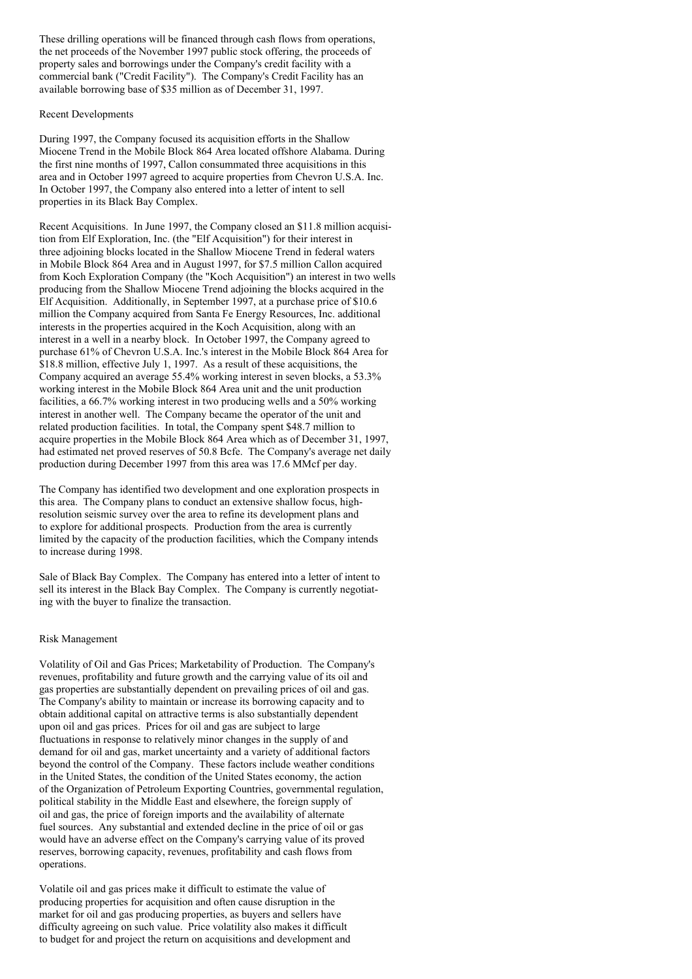These drilling operations will be financed through cash flows from operations, the net proceeds of the November 1997 public stock offering, the proceeds of property sales and borrowings under the Company's credit facility with a commercial bank ("Credit Facility"). The Company's Credit Facility has an available borrowing base of \$35 million as of December 31, 1997.

## Recent Developments

During 1997, the Company focused its acquisition efforts in the Shallow Miocene Trend in the Mobile Block 864 Area located offshore Alabama. During the first nine months of 1997, Callon consummated three acquisitions in this area and in October 1997 agreed to acquire properties from Chevron U.S.A. Inc. In October 1997, the Company also entered into a letter of intent to sell properties in its Black Bay Complex.

Recent Acquisitions. In June 1997, the Company closed an \$11.8 million acquisition from Elf Exploration, Inc. (the "Elf Acquisition") for their interest in three adjoining blocks located in the Shallow Miocene Trend in federal waters in Mobile Block 864 Area and in August 1997, for \$7.5 million Callon acquired from Koch Exploration Company (the "Koch Acquisition") an interest in two wells producing from the Shallow Miocene Trend adjoining the blocks acquired in the Elf Acquisition. Additionally, in September 1997, at a purchase price of \$10.6 million the Company acquired from Santa Fe Energy Resources, Inc. additional interests in the properties acquired in the Koch Acquisition, along with an interest in a well in a nearby block. In October 1997, the Company agreed to purchase 61% of Chevron U.S.A. Inc.'s interest in the Mobile Block 864 Area for \$18.8 million, effective July 1, 1997. As a result of these acquisitions, the Company acquired an average 55.4% working interest in seven blocks, a 53.3% working interest in the Mobile Block 864 Area unit and the unit production facilities, a 66.7% working interest in two producing wells and a 50% working interest in another well. The Company became the operator of the unit and related production facilities. In total, the Company spent \$48.7 million to acquire properties in the Mobile Block 864 Area which as of December 31, 1997, had estimated net proved reserves of 50.8 Bcfe. The Company's average net daily production during December 1997 from this area was 17.6 MMcf per day.

The Company has identified two development and one exploration prospects in this area. The Company plans to conduct an extensive shallow focus, highresolution seismic survey over the area to refine its development plans and to explore for additional prospects. Production from the area is currently limited by the capacity of the production facilities, which the Company intends to increase during 1998.

Sale of Black Bay Complex. The Company has entered into a letter of intent to sell its interest in the Black Bay Complex. The Company is currently negotiating with the buyer to finalize the transaction.

## Risk Management

Volatility of Oil and Gas Prices; Marketability of Production. The Company's revenues, profitability and future growth and the carrying value of its oil and gas properties are substantially dependent on prevailing prices of oil and gas. The Company's ability to maintain or increase its borrowing capacity and to obtain additional capital on attractive terms is also substantially dependent upon oil and gas prices. Prices for oil and gas are subject to large fluctuations in response to relatively minor changes in the supply of and demand for oil and gas, market uncertainty and a variety of additional factors beyond the control of the Company. These factors include weather conditions in the United States, the condition of the United States economy, the action of the Organization of Petroleum Exporting Countries, governmental regulation, political stability in the Middle East and elsewhere, the foreign supply of oil and gas, the price of foreign imports and the availability of alternate fuel sources. Any substantial and extended decline in the price of oil or gas would have an adverse effect on the Company's carrying value of its proved reserves, borrowing capacity, revenues, profitability and cash flows from operations.

Volatile oil and gas prices make it difficult to estimate the value of producing properties for acquisition and often cause disruption in the market for oil and gas producing properties, as buyers and sellers have difficulty agreeing on such value. Price volatility also makes it difficult to budget for and project the return on acquisitions and development and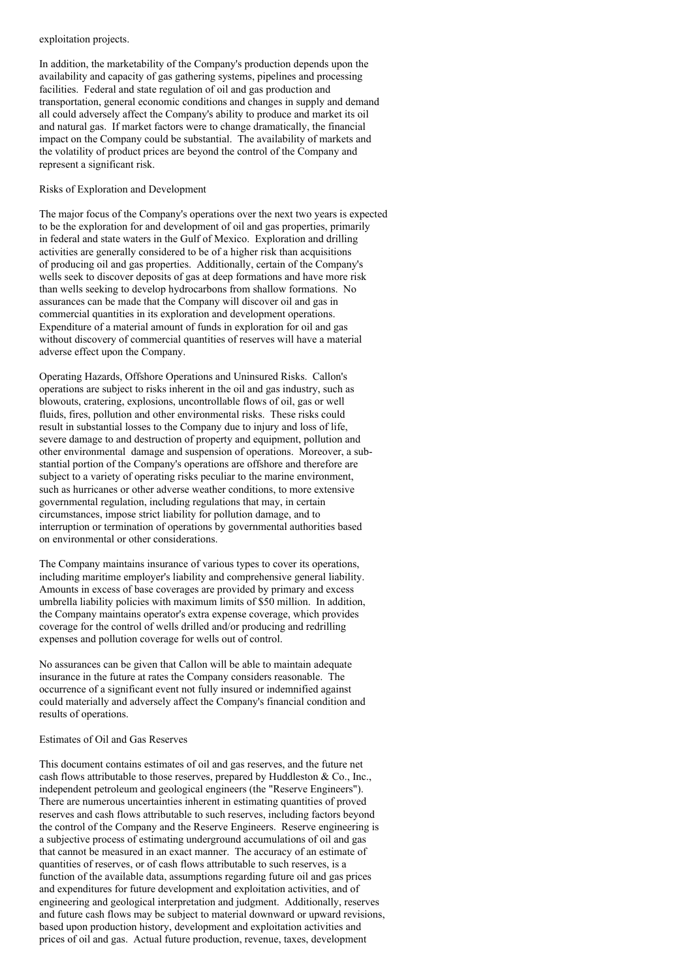#### exploitation projects.

In addition, the marketability of the Company's production depends upon the availability and capacity of gas gathering systems, pipelines and processing facilities. Federal and state regulation of oil and gas production and transportation, general economic conditions and changes in supply and demand all could adversely affect the Company's ability to produce and market its oil and natural gas. If market factors were to change dramatically, the financial impact on the Company could be substantial. The availability of markets and the volatility of product prices are beyond the control of the Company and represent a significant risk.

#### Risks of Exploration and Development

The major focus of the Company's operations over the next two years is expected to be the exploration for and development of oil and gas properties, primarily in federal and state waters in the Gulf of Mexico. Exploration and drilling activities are generally considered to be of a higher risk than acquisitions of producing oil and gas properties. Additionally, certain of the Company's wells seek to discover deposits of gas at deep formations and have more risk than wells seeking to develop hydrocarbons from shallow formations. No assurances can be made that the Company will discover oil and gas in commercial quantities in its exploration and development operations. Expenditure of a material amount of funds in exploration for oil and gas without discovery of commercial quantities of reserves will have a material adverse effect upon the Company.

Operating Hazards, Offshore Operations and Uninsured Risks. Callon's operations are subject to risks inherent in the oil and gas industry, such as blowouts, cratering, explosions, uncontrollable flows of oil, gas or well fluids, fires, pollution and other environmental risks. These risks could result in substantial losses to the Company due to injury and loss of life, severe damage to and destruction of property and equipment, pollution and other environmental damage and suspension of operations. Moreover, a substantial portion of the Company's operations are offshore and therefore are subject to a variety of operating risks peculiar to the marine environment, such as hurricanes or other adverse weather conditions, to more extensive governmental regulation, including regulations that may, in certain circumstances, impose strict liability for pollution damage, and to interruption or termination of operations by governmental authorities based on environmental or other considerations.

The Company maintains insurance of various types to cover its operations, including maritime employer's liability and comprehensive general liability. Amounts in excess of base coverages are provided by primary and excess umbrella liability policies with maximum limits of \$50 million. In addition, the Company maintains operator's extra expense coverage, which provides coverage for the control of wells drilled and/or producing and redrilling expenses and pollution coverage for wells out of control.

No assurances can be given that Callon will be able to maintain adequate insurance in the future at rates the Company considers reasonable. The occurrence of a significant event not fully insured or indemnified against could materially and adversely affect the Company's financial condition and results of operations.

#### Estimates of Oil and Gas Reserves

This document contains estimates of oil and gas reserves, and the future net cash flows attributable to those reserves, prepared by Huddleston  $& Co., Inc.,$ independent petroleum and geological engineers (the "Reserve Engineers"). There are numerous uncertainties inherent in estimating quantities of proved reserves and cash flows attributable to such reserves, including factors beyond the control of the Company and the Reserve Engineers. Reserve engineering is a subjective process of estimating underground accumulations of oil and gas that cannot be measured in an exact manner. The accuracy of an estimate of quantities of reserves, or of cash flows attributable to such reserves, is a function of the available data, assumptions regarding future oil and gas prices and expenditures for future development and exploitation activities, and of engineering and geological interpretation and judgment. Additionally, reserves and future cash flows may be subject to material downward or upward revisions, based upon production history, development and exploitation activities and prices of oil and gas. Actual future production, revenue, taxes, development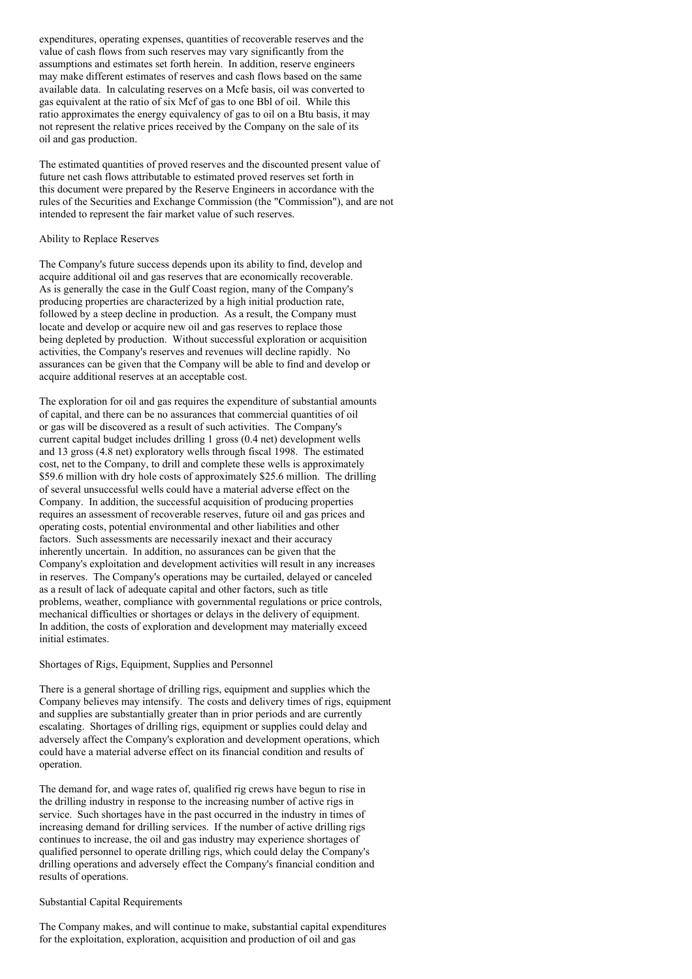expenditures, operating expenses, quantities of recoverable reserves and the value of cash flows from such reserves may vary significantly from the assumptions and estimates set forth herein. In addition, reserve engineers may make different estimates of reserves and cash flows based on the same available data. In calculating reserves on a Mcfe basis, oil was converted to gas equivalent at the ratio of six Mcf of gas to one Bbl of oil. While this ratio approximates the energy equivalency of gas to oil on a Btu basis, it may not represent the relative prices received by the Company on the sale of its oil and gas production.

The estimated quantities of proved reserves and the discounted present value of future net cash flows attributable to estimated proved reserves set forth in this document were prepared by the Reserve Engineers in accordance with the rules of the Securities and Exchange Commission (the "Commission"), and are not intended to represent the fair market value of such reserves.

## Ability to Replace Reserves

The Company's future success depends upon its ability to find, develop and acquire additional oil and gas reserves that are economically recoverable. As is generally the case in the Gulf Coast region, many of the Company's producing properties are characterized by a high initial production rate, followed by a steep decline in production. As a result, the Company must locate and develop or acquire new oil and gas reserves to replace those being depleted by production. Without successful exploration or acquisition activities, the Company's reserves and revenues will decline rapidly. No assurances can be given that the Company will be able to find and develop or acquire additional reserves at an acceptable cost.

The exploration for oil and gas requires the expenditure of substantial amounts of capital, and there can be no assurances that commercial quantities of oil or gas will be discovered as a result of such activities. The Company's current capital budget includes drilling 1 gross (0.4 net) development wells and 13 gross (4.8 net) exploratory wells through fiscal 1998. The estimated cost, net to the Company, to drill and complete these wells is approximately \$59.6 million with dry hole costs of approximately \$25.6 million. The drilling of several unsuccessful wells could have a material adverse effect on the Company. In addition, the successful acquisition of producing properties requires an assessment of recoverable reserves, future oil and gas prices and operating costs, potential environmental and other liabilities and other factors. Such assessments are necessarily inexact and their accuracy inherently uncertain. In addition, no assurances can be given that the Company's exploitation and development activities will result in any increases in reserves. The Company's operations may be curtailed, delayed or canceled as a result of lack of adequate capital and other factors, such as title problems, weather, compliance with governmental regulations or price controls, mechanical difficulties or shortages or delays in the delivery of equipment. In addition, the costs of exploration and development may materially exceed initial estimates.

#### Shortages of Rigs, Equipment, Supplies and Personnel

There is a general shortage of drilling rigs, equipment and supplies which the Company believes may intensify. The costs and delivery times of rigs, equipment and supplies are substantially greater than in prior periods and are currently escalating. Shortages of drilling rigs, equipment or supplies could delay and adversely affect the Company's exploration and development operations, which could have a material adverse effect on its financial condition and results of operation.

The demand for, and wage rates of, qualified rig crews have begun to rise in the drilling industry in response to the increasing number of active rigs in service. Such shortages have in the past occurred in the industry in times of increasing demand for drilling services. If the number of active drilling rigs continues to increase, the oil and gas industry may experience shortages of qualified personnel to operate drilling rigs, which could delay the Company's drilling operations and adversely effect the Company's financial condition and results of operations.

### Substantial Capital Requirements

The Company makes, and will continue to make, substantial capital expenditures for the exploitation, exploration, acquisition and production of oil and gas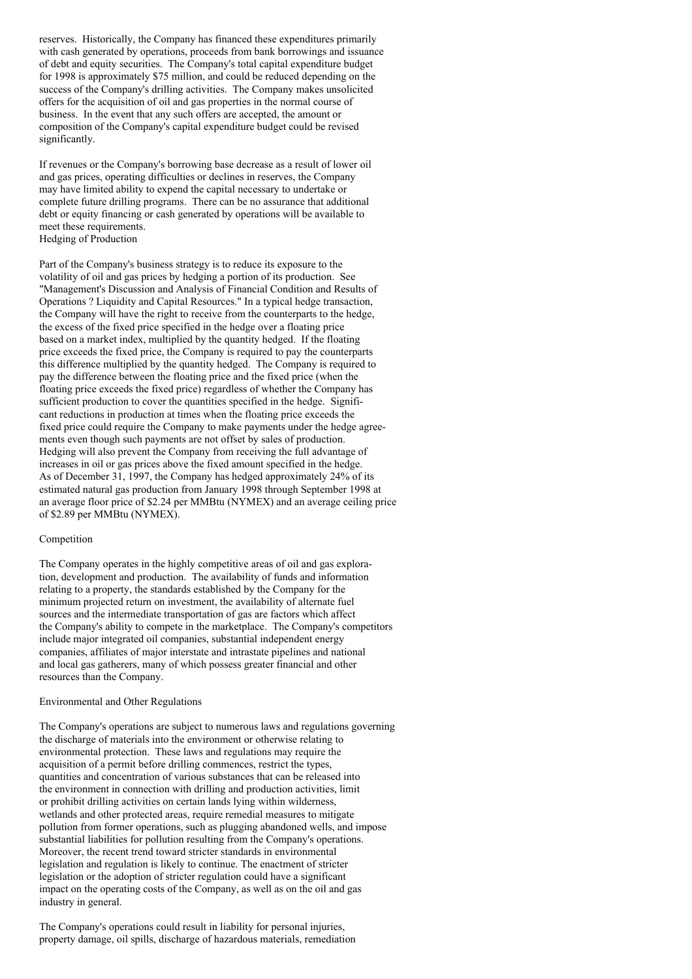reserves. Historically, the Company has financed these expenditures primarily with cash generated by operations, proceeds from bank borrowings and issuance of debt and equity securities. The Company's total capital expenditure budget for 1998 is approximately \$75 million, and could be reduced depending on the success of the Company's drilling activities. The Company makes unsolicited offers for the acquisition of oil and gas properties in the normal course of business. In the event that any such offers are accepted, the amount or composition of the Company's capital expenditure budget could be revised significantly.

If revenues or the Company's borrowing base decrease as a result of lower oil and gas prices, operating difficulties or declines in reserves, the Company may have limited ability to expend the capital necessary to undertake or complete future drilling programs. There can be no assurance that additional debt or equity financing or cash generated by operations will be available to meet these requirements. Hedging of Production

Part of the Company's business strategy is to reduce its exposure to the volatility of oil and gas prices by hedging a portion of its production. See "Management's Discussion and Analysis of Financial Condition and Results of Operations ? Liquidity and Capital Resources." In a typical hedge transaction, the Company will have the right to receive from the counterparts to the hedge, the excess of the fixed price specified in the hedge over a floating price based on a market index, multiplied by the quantity hedged. If the floating price exceeds the fixed price, the Company is required to pay the counterparts this difference multiplied by the quantity hedged. The Company is required to pay the difference between the floating price and the fixed price (when the floating price exceeds the fixed price) regardless of whether the Company has sufficient production to cover the quantities specified in the hedge. Significant reductions in production at times when the floating price exceeds the fixed price could require the Company to make payments under the hedge agreements even though such payments are not offset by sales of production. Hedging will also prevent the Company from receiving the full advantage of increases in oil or gas prices above the fixed amount specified in the hedge. As of December 31, 1997, the Company has hedged approximately 24% of its estimated natural gas production from January 1998 through September 1998 at an average floor price of \$2.24 per MMBtu (NYMEX) and an average ceiling price of \$2.89 per MMBtu (NYMEX).

### Competition

The Company operates in the highly competitive areas of oil and gas exploration, development and production. The availability of funds and information relating to a property, the standards established by the Company for the minimum projected return on investment, the availability of alternate fuel sources and the intermediate transportation of gas are factors which affect the Company's ability to compete in the marketplace. The Company's competitors include major integrated oil companies, substantial independent energy companies, affiliates of major interstate and intrastate pipelines and national and local gas gatherers, many of which possess greater financial and other resources than the Company.

#### Environmental and Other Regulations

The Company's operations are subject to numerous laws and regulations governing the discharge of materials into the environment or otherwise relating to environmental protection. These laws and regulations may require the acquisition of a permit before drilling commences, restrict the types, quantities and concentration of various substances that can be released into the environment in connection with drilling and production activities, limit or prohibit drilling activities on certain lands lying within wilderness, wetlands and other protected areas, require remedial measures to mitigate pollution from former operations, such as plugging abandoned wells, and impose substantial liabilities for pollution resulting from the Company's operations. Moreover, the recent trend toward stricter standards in environmental legislation and regulation is likely to continue. The enactment of stricter legislation or the adoption of stricter regulation could have a significant impact on the operating costs of the Company, as well as on the oil and gas industry in general.

The Company's operations could result in liability for personal injuries, property damage, oil spills, discharge of hazardous materials, remediation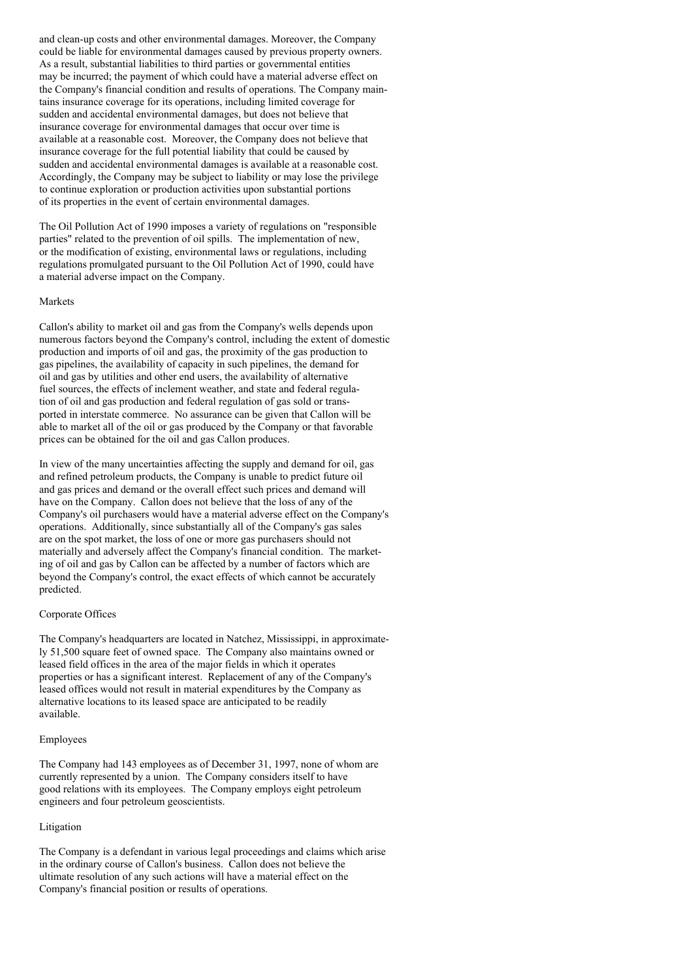and clean-up costs and other environmental damages. Moreover, the Company could be liable for environmental damages caused by previous property owners. As a result, substantial liabilities to third parties or governmental entities may be incurred; the payment of which could have a material adverse effect on the Company's financial condition and results of operations. The Company maintains insurance coverage for its operations, including limited coverage for sudden and accidental environmental damages, but does not believe that insurance coverage for environmental damages that occur over time is available at a reasonable cost. Moreover, the Company does not believe that insurance coverage for the full potential liability that could be caused by sudden and accidental environmental damages is available at a reasonable cost. Accordingly, the Company may be subject to liability or may lose the privilege to continue exploration or production activities upon substantial portions of its properties in the event of certain environmental damages.

The Oil Pollution Act of 1990 imposes a variety of regulations on "responsible parties" related to the prevention of oil spills. The implementation of new, or the modification of existing, environmental laws or regulations, including regulations promulgated pursuant to the Oil Pollution Act of 1990, could have a material adverse impact on the Company.

#### Markets

Callon's ability to market oil and gas from the Company's wells depends upon numerous factors beyond the Company's control, including the extent of domestic production and imports of oil and gas, the proximity of the gas production to gas pipelines, the availability of capacity in such pipelines, the demand for oil and gas by utilities and other end users, the availability of alternative fuel sources, the effects of inclement weather, and state and federal regulation of oil and gas production and federal regulation of gas sold or transported in interstate commerce. No assurance can be given that Callon will be able to market all of the oil or gas produced by the Company or that favorable prices can be obtained for the oil and gas Callon produces.

In view of the many uncertainties affecting the supply and demand for oil, gas and refined petroleum products, the Company is unable to predict future oil and gas prices and demand or the overall effect such prices and demand will have on the Company. Callon does not believe that the loss of any of the Company's oil purchasers would have a material adverse effect on the Company's operations. Additionally, since substantially all of the Company's gas sales are on the spot market, the loss of one or more gas purchasers should not materially and adversely affect the Company's financial condition. The marketing of oil and gas by Callon can be affected by a number of factors which are beyond the Company's control, the exact effects of which cannot be accurately predicted.

### Corporate Offices

The Company's headquarters are located in Natchez, Mississippi, in approximately 51,500 square feet of owned space. The Company also maintains owned or leased field offices in the area of the major fields in which it operates properties or has a significant interest. Replacement of any of the Company's leased offices would not result in material expenditures by the Company as alternative locations to its leased space are anticipated to be readily available.

#### Employees

The Company had 143 employees as of December 31, 1997, none of whom are currently represented by a union. The Company considers itself to have good relations with its employees. The Company employs eight petroleum engineers and four petroleum geoscientists.

### Litigation

The Company is a defendant in various legal proceedings and claims which arise in the ordinary course of Callon's business. Callon does not believe the ultimate resolution of any such actions will have a material effect on the Company's financial position or results of operations.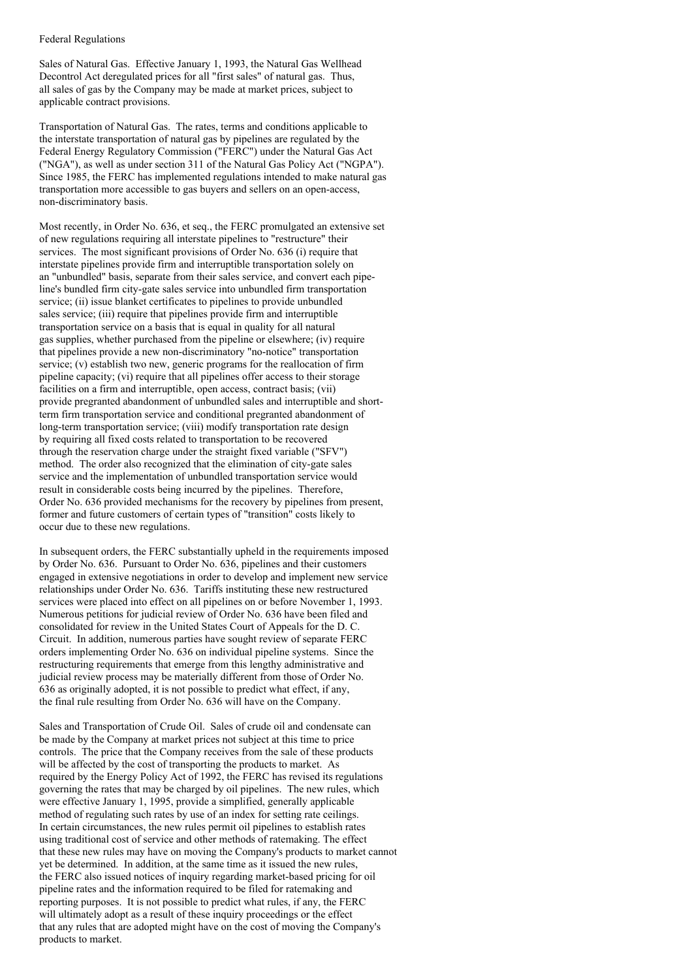#### Federal Regulations

Sales of Natural Gas. Effective January 1, 1993, the Natural Gas Wellhead Decontrol Act deregulated prices for all "first sales" of natural gas. Thus, all sales of gas by the Company may be made at market prices, subject to applicable contract provisions.

Transportation of Natural Gas. The rates, terms and conditions applicable to the interstate transportation of natural gas by pipelines are regulated by the Federal Energy Regulatory Commission ("FERC") under the Natural Gas Act ("NGA"), as well as under section 311 of the Natural Gas Policy Act ("NGPA"). Since 1985, the FERC has implemented regulations intended to make natural gas transportation more accessible to gas buyers and sellers on an open-access, non-discriminatory basis.

Most recently, in Order No. 636, et seq., the FERC promulgated an extensive set of new regulations requiring all interstate pipelines to "restructure" their services. The most significant provisions of Order No. 636 (i) require that interstate pipelines provide firm and interruptible transportation solely on an "unbundled" basis, separate from their sales service, and convert each pipeline's bundled firm city-gate sales service into unbundled firm transportation service; (ii) issue blanket certificates to pipelines to provide unbundled sales service; (iii) require that pipelines provide firm and interruptible transportation service on a basis that is equal in quality for all natural gas supplies, whether purchased from the pipeline or elsewhere; (iv) require that pipelines provide a new non-discriminatory "no-notice" transportation service; (v) establish two new, generic programs for the reallocation of firm pipeline capacity; (vi) require that all pipelines offer access to their storage facilities on a firm and interruptible, open access, contract basis; (vii) provide pregranted abandonment of unbundled sales and interruptible and shortterm firm transportation service and conditional pregranted abandonment of long-term transportation service; (viii) modify transportation rate design by requiring all fixed costs related to transportation to be recovered through the reservation charge under the straight fixed variable ("SFV") method. The order also recognized that the elimination of city-gate sales service and the implementation of unbundled transportation service would result in considerable costs being incurred by the pipelines. Therefore, Order No. 636 provided mechanisms for the recovery by pipelines from present, former and future customers of certain types of "transition" costs likely to occur due to these new regulations.

In subsequent orders, the FERC substantially upheld in the requirements imposed by Order No. 636. Pursuant to Order No. 636, pipelines and their customers engaged in extensive negotiations in order to develop and implement new service relationships under Order No. 636. Tariffs instituting these new restructured services were placed into effect on all pipelines on or before November 1, 1993. Numerous petitions for judicial review of Order No. 636 have been filed and consolidated for review in the United States Court of Appeals for the D. C. Circuit. In addition, numerous parties have sought review of separate FERC orders implementing Order No. 636 on individual pipeline systems. Since the restructuring requirements that emerge from this lengthy administrative and judicial review process may be materially different from those of Order No. 636 as originally adopted, it is not possible to predict what effect, if any, the final rule resulting from Order No. 636 will have on the Company.

Sales and Transportation of Crude Oil. Sales of crude oil and condensate can be made by the Company at market prices not subject at this time to price controls. The price that the Company receives from the sale of these products will be affected by the cost of transporting the products to market. As required by the Energy Policy Act of 1992, the FERC has revised its regulations governing the rates that may be charged by oil pipelines. The new rules, which were effective January 1, 1995, provide a simplified, generally applicable method of regulating such rates by use of an index for setting rate ceilings. In certain circumstances, the new rules permit oil pipelines to establish rates using traditional cost of service and other methods of ratemaking. The effect that these new rules may have on moving the Company's products to market cannot yet be determined. In addition, at the same time as it issued the new rules, the FERC also issued notices of inquiry regarding market-based pricing for oil pipeline rates and the information required to be filed for ratemaking and reporting purposes. It is not possible to predict what rules, if any, the FERC will ultimately adopt as a result of these inquiry proceedings or the effect that any rules that are adopted might have on the cost of moving the Company's products to market.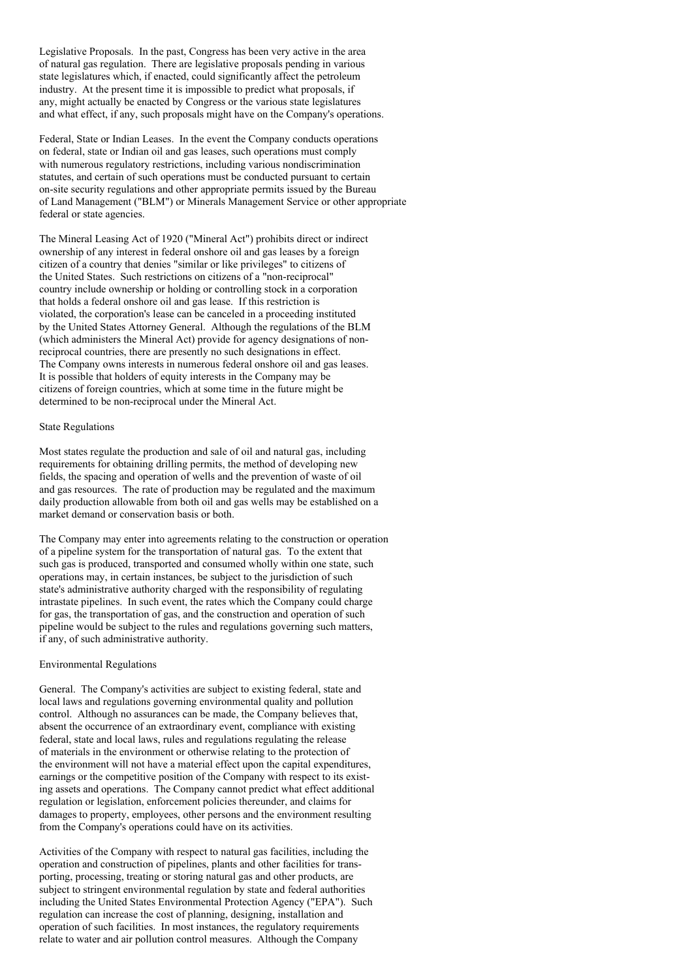Legislative Proposals. In the past, Congress has been very active in the area of natural gas regulation. There are legislative proposals pending in various state legislatures which, if enacted, could significantly affect the petroleum industry. At the present time it is impossible to predict what proposals, if any, might actually be enacted by Congress or the various state legislatures and what effect, if any, such proposals might have on the Company's operations.

Federal, State or Indian Leases. In the event the Company conducts operations on federal, state or Indian oil and gas leases, such operations must comply with numerous regulatory restrictions, including various nondiscrimination statutes, and certain of such operations must be conducted pursuant to certain on-site security regulations and other appropriate permits issued by the Bureau of Land Management ("BLM") or Minerals Management Service or other appropriate federal or state agencies.

The Mineral Leasing Act of 1920 ("Mineral Act") prohibits direct or indirect ownership of any interest in federal onshore oil and gas leases by a foreign citizen of a country that denies "similar or like privileges" to citizens of the United States. Such restrictions on citizens of a "non-reciprocal" country include ownership or holding or controlling stock in a corporation that holds a federal onshore oil and gas lease. If this restriction is violated, the corporation's lease can be canceled in a proceeding instituted by the United States Attorney General. Although the regulations of the BLM (which administers the Mineral Act) provide for agency designations of nonreciprocal countries, there are presently no such designations in effect. The Company owns interests in numerous federal onshore oil and gas leases. It is possible that holders of equity interests in the Company may be citizens of foreign countries, which at some time in the future might be determined to be non-reciprocal under the Mineral Act.

### State Regulations

Most states regulate the production and sale of oil and natural gas, including requirements for obtaining drilling permits, the method of developing new fields, the spacing and operation of wells and the prevention of waste of oil and gas resources. The rate of production may be regulated and the maximum daily production allowable from both oil and gas wells may be established on a market demand or conservation basis or both.

The Company may enter into agreements relating to the construction or operation of a pipeline system for the transportation of natural gas. To the extent that such gas is produced, transported and consumed wholly within one state, such operations may, in certain instances, be subject to the jurisdiction of such state's administrative authority charged with the responsibility of regulating intrastate pipelines. In such event, the rates which the Company could charge for gas, the transportation of gas, and the construction and operation of such pipeline would be subject to the rules and regulations governing such matters, if any, of such administrative authority.

## Environmental Regulations

General. The Company's activities are subject to existing federal, state and local laws and regulations governing environmental quality and pollution control. Although no assurances can be made, the Company believes that, absent the occurrence of an extraordinary event, compliance with existing federal, state and local laws, rules and regulations regulating the release of materials in the environment or otherwise relating to the protection of the environment will not have a material effect upon the capital expenditures, earnings or the competitive position of the Company with respect to its existing assets and operations. The Company cannot predict what effect additional regulation or legislation, enforcement policies thereunder, and claims for damages to property, employees, other persons and the environment resulting from the Company's operations could have on its activities.

Activities of the Company with respect to natural gas facilities, including the operation and construction of pipelines, plants and other facilities for transporting, processing, treating or storing natural gas and other products, are subject to stringent environmental regulation by state and federal authorities including the United States Environmental Protection Agency ("EPA"). Such regulation can increase the cost of planning, designing, installation and operation of such facilities. In most instances, the regulatory requirements relate to water and air pollution control measures. Although the Company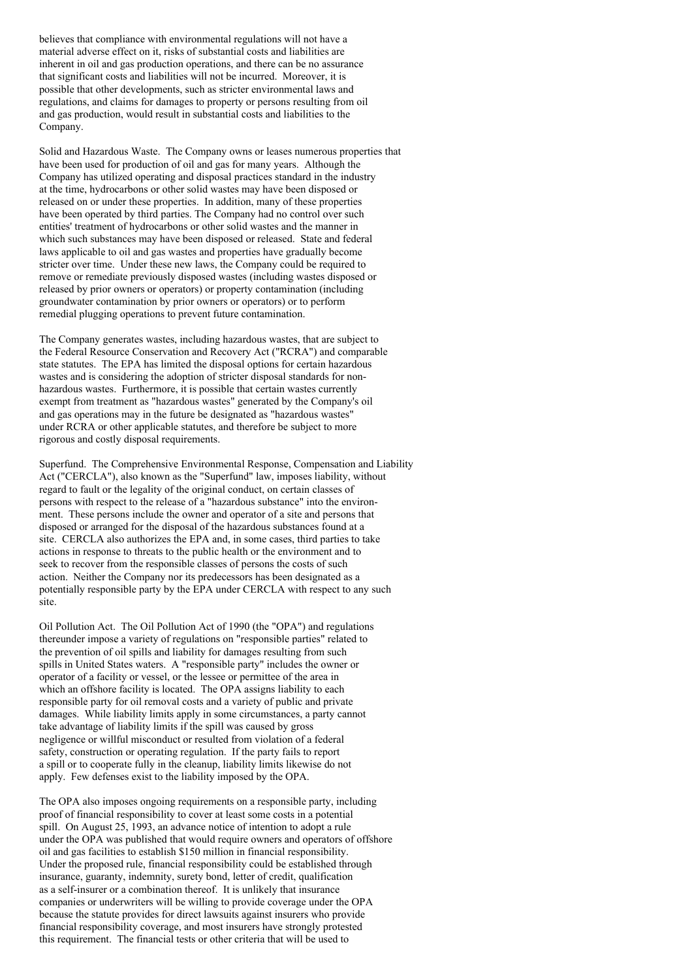believes that compliance with environmental regulations will not have a material adverse effect on it, risks of substantial costs and liabilities are inherent in oil and gas production operations, and there can be no assurance that significant costs and liabilities will not be incurred. Moreover, it is possible that other developments, such as stricter environmental laws and regulations, and claims for damages to property or persons resulting from oil and gas production, would result in substantial costs and liabilities to the Company.

Solid and Hazardous Waste. The Company owns or leases numerous properties that have been used for production of oil and gas for many years. Although the Company has utilized operating and disposal practices standard in the industry at the time, hydrocarbons or other solid wastes may have been disposed or released on or under these properties. In addition, many of these properties have been operated by third parties. The Company had no control over such entities' treatment of hydrocarbons or other solid wastes and the manner in which such substances may have been disposed or released. State and federal laws applicable to oil and gas wastes and properties have gradually become stricter over time. Under these new laws, the Company could be required to remove or remediate previously disposed wastes (including wastes disposed or released by prior owners or operators) or property contamination (including groundwater contamination by prior owners or operators) or to perform remedial plugging operations to prevent future contamination.

The Company generates wastes, including hazardous wastes, that are subject to the Federal Resource Conservation and Recovery Act ("RCRA") and comparable state statutes. The EPA has limited the disposal options for certain hazardous wastes and is considering the adoption of stricter disposal standards for nonhazardous wastes. Furthermore, it is possible that certain wastes currently exempt from treatment as "hazardous wastes" generated by the Company's oil and gas operations may in the future be designated as "hazardous wastes" under RCRA or other applicable statutes, and therefore be subject to more rigorous and costly disposal requirements.

Superfund. The Comprehensive Environmental Response, Compensation and Liability Act ("CERCLA"), also known as the "Superfund" law, imposes liability, without regard to fault or the legality of the original conduct, on certain classes of persons with respect to the release of a "hazardous substance" into the environment. These persons include the owner and operator of a site and persons that disposed or arranged for the disposal of the hazardous substances found at a site. CERCLA also authorizes the EPA and, in some cases, third parties to take actions in response to threats to the public health or the environment and to seek to recover from the responsible classes of persons the costs of such action. Neither the Company nor its predecessors has been designated as a potentially responsible party by the EPA under CERCLA with respect to any such site.

Oil Pollution Act. The Oil Pollution Act of 1990 (the "OPA") and regulations thereunder impose a variety of regulations on "responsible parties" related to the prevention of oil spills and liability for damages resulting from such spills in United States waters. A "responsible party" includes the owner or operator of a facility or vessel, or the lessee or permittee of the area in which an offshore facility is located. The OPA assigns liability to each responsible party for oil removal costs and a variety of public and private damages. While liability limits apply in some circumstances, a party cannot take advantage of liability limits if the spill was caused by gross negligence or willful misconduct or resulted from violation of a federal safety, construction or operating regulation. If the party fails to report a spill or to cooperate fully in the cleanup, liability limits likewise do not apply. Few defenses exist to the liability imposed by the OPA.

The OPA also imposes ongoing requirements on a responsible party, including proof of financial responsibility to cover at least some costs in a potential spill. On August 25, 1993, an advance notice of intention to adopt a rule under the OPA was published that would require owners and operators of offshore oil and gas facilities to establish \$150 million in financial responsibility. Under the proposed rule, financial responsibility could be established through insurance, guaranty, indemnity, surety bond, letter of credit, qualification as a self-insurer or a combination thereof. It is unlikely that insurance companies or underwriters will be willing to provide coverage under the OPA because the statute provides for direct lawsuits against insurers who provide financial responsibility coverage, and most insurers have strongly protested this requirement. The financial tests or other criteria that will be used to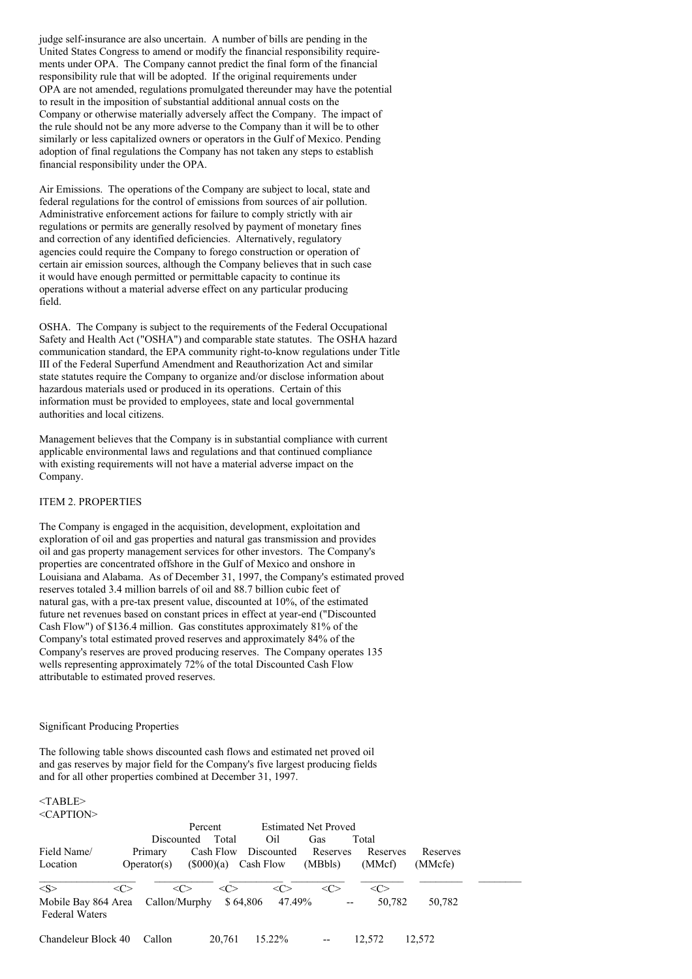judge self-insurance are also uncertain. A number of bills are pending in the United States Congress to amend or modify the financial responsibility requirements under OPA. The Company cannot predict the final form of the financial responsibility rule that will be adopted. If the original requirements under OPA are not amended, regulations promulgated thereunder may have the potential to result in the imposition of substantial additional annual costs on the Company or otherwise materially adversely affect the Company. The impact of the rule should not be any more adverse to the Company than it will be to other similarly or less capitalized owners or operators in the Gulf of Mexico. Pending adoption of final regulations the Company has not taken any steps to establish financial responsibility under the OPA.

Air Emissions. The operations of the Company are subject to local, state and federal regulations for the control of emissions from sources of air pollution. Administrative enforcement actions for failure to comply strictly with air regulations or permits are generally resolved by payment of monetary fines and correction of any identified deficiencies. Alternatively, regulatory agencies could require the Company to forego construction or operation of certain air emission sources, although the Company believes that in such case it would have enough permitted or permittable capacity to continue its operations without a material adverse effect on any particular producing field.

OSHA. The Company is subject to the requirements of the Federal Occupational Safety and Health Act ("OSHA") and comparable state statutes. The OSHA hazard communication standard, the EPA community right-to-know regulations under Title III of the Federal Superfund Amendment and Reauthorization Act and similar state statutes require the Company to organize and/or disclose information about hazardous materials used or produced in its operations. Certain of this information must be provided to employees, state and local governmental authorities and local citizens.

Management believes that the Company is in substantial compliance with current applicable environmental laws and regulations and that continued compliance with existing requirements will not have a material adverse impact on the Company.

## ITEM 2. PROPERTIES

The Company is engaged in the acquisition, development, exploitation and exploration of oil and gas properties and natural gas transmission and provides oil and gas property management services for other investors. The Company's properties are concentrated offshore in the Gulf of Mexico and onshore in Louisiana and Alabama. As of December 31, 1997, the Company's estimated proved reserves totaled 3.4 million barrels of oil and 88.7 billion cubic feet of natural gas, with a pre-tax present value, discounted at 10%, of the estimated future net revenues based on constant prices in effect at year-end ("Discounted Cash Flow") of \$136.4 million. Gas constitutes approximately 81% of the Company's total estimated proved reserves and approximately 84% of the Company's reserves are proved producing reserves. The Company operates 135 wells representing approximately 72% of the total Discounted Cash Flow attributable to estimated proved reserves.

#### Significant Producing Properties

The following table shows discounted cash flows and estimated net proved oil and gas reserves by major field for the Company's five largest producing fields and for all other properties combined at December 31, 1997.

#### <TABLE> <CAPTION>

| Field Name/                                           |     | Discounted<br>Primary | Percent   | Total<br>Cash Flow |           | Oil<br>Discounted             | <b>Estimated Net Proved</b><br>Gas<br>Reserves | Total<br>Reserves | Reserves |  |
|-------------------------------------------------------|-----|-----------------------|-----------|--------------------|-----------|-------------------------------|------------------------------------------------|-------------------|----------|--|
| Location                                              |     | Operator(s)           | (S000)(a) |                    | Cash Flow |                               | (MBbls)                                        | (MMcf)            | (MMcfe)  |  |
| < S ><br>Mobile Bay 864 Area<br><b>Federal Waters</b> | <<> | <<><br>Callon/Murphy  |           | <<>                | \$64,806  | $\langle C \rangle$<br>47.49% | <c></c>                                        | <்<br>50.782      | 50,782   |  |
| Chandeleur Block 40                                   |     | Callon                |           | 20.761             |           | 15.22%                        |                                                | 12.572            | 12.572   |  |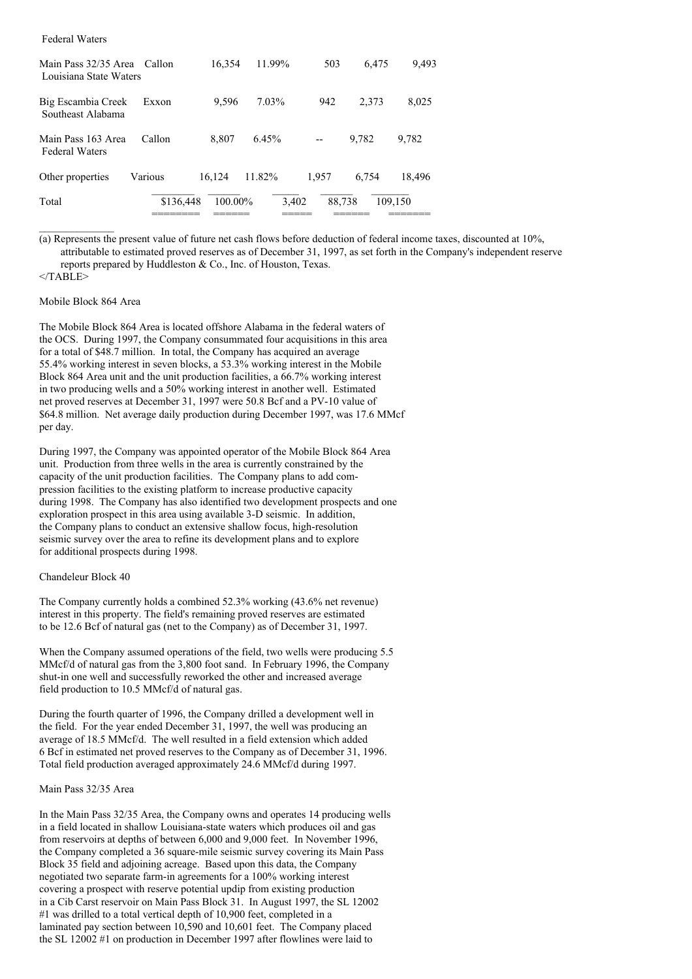| Main Pass 32/35 Area<br>Louisiana State Waters | Callon    | 16,354     | 11.99% | 503    | 6.475 | 9,493   |
|------------------------------------------------|-----------|------------|--------|--------|-------|---------|
| Big Escambia Creek<br>Southeast Alabama        | Exxon     | 9.596      | 7.03%  | 942    | 2.373 | 8,025   |
| Main Pass 163 Area<br><b>Federal Waters</b>    | Callon    | 8.807      | 6.45%  |        | 9.782 | 9,782   |
| Other properties                               | Various   | 16,124     | 11.82% | 1.957  | 6.754 | 18,496  |
| Total                                          | \$136,448 | $100.00\%$ | 3,402  | 88.738 |       | 109,150 |

(a) Represents the present value of future net cash flows before deduction of federal income taxes, discounted at 10%, attributable to estimated proved reserves as of December 31, 1997, as set forth in the Company's independent reserve reports prepared by Huddleston & Co., Inc. of Houston, Texas.

 $<$ /TABLE>

 $\frac{1}{2}$  ,  $\frac{1}{2}$  ,  $\frac{1}{2}$  ,  $\frac{1}{2}$  ,  $\frac{1}{2}$  ,  $\frac{1}{2}$  ,  $\frac{1}{2}$ 

Federal Waters

## Mobile Block 864 Area

The Mobile Block 864 Area is located offshore Alabama in the federal waters of the OCS. During 1997, the Company consummated four acquisitions in this area for a total of \$48.7 million. In total, the Company has acquired an average 55.4% working interest in seven blocks, a 53.3% working interest in the Mobile Block 864 Area unit and the unit production facilities, a 66.7% working interest in two producing wells and a 50% working interest in another well. Estimated net proved reserves at December 31, 1997 were 50.8 Bcf and a PV-10 value of \$64.8 million. Net average daily production during December 1997, was 17.6 MMcf per day.

During 1997, the Company was appointed operator of the Mobile Block 864 Area unit. Production from three wells in the area is currently constrained by the capacity of the unit production facilities. The Company plans to add compression facilities to the existing platform to increase productive capacity during 1998. The Company has also identified two development prospects and one exploration prospect in this area using available 3-D seismic. In addition, the Company plans to conduct an extensive shallow focus, high-resolution seismic survey over the area to refine its development plans and to explore for additional prospects during 1998.

## Chandeleur Block 40

The Company currently holds a combined 52.3% working (43.6% net revenue) interest in this property. The field's remaining proved reserves are estimated to be 12.6 Bcf of natural gas (net to the Company) as of December 31, 1997.

When the Company assumed operations of the field, two wells were producing 5.5 MMcf/d of natural gas from the 3,800 foot sand. In February 1996, the Company shut-in one well and successfully reworked the other and increased average field production to 10.5 MMcf/d of natural gas.

During the fourth quarter of 1996, the Company drilled a development well in the field. For the year ended December 31, 1997, the well was producing an average of 18.5 MMcf/d. The well resulted in a field extension which added 6 Bcf in estimated net proved reserves to the Company as of December 31, 1996. Total field production averaged approximately 24.6 MMcf/d during 1997.

#### Main Pass 32/35 Area

In the Main Pass 32/35 Area, the Company owns and operates 14 producing wells in a field located in shallow Louisiana-state waters which produces oil and gas from reservoirs at depths of between 6,000 and 9,000 feet. In November 1996, the Company completed a 36 square-mile seismic survey covering its Main Pass Block 35 field and adjoining acreage. Based upon this data, the Company negotiated two separate farm-in agreements for a 100% working interest covering a prospect with reserve potential updip from existing production in a Cib Carst reservoir on Main Pass Block 31. In August 1997, the SL 12002 #1 was drilled to a total vertical depth of 10,900 feet, completed in a laminated pay section between 10,590 and 10,601 feet. The Company placed the SL 12002 #1 on production in December 1997 after flowlines were laid to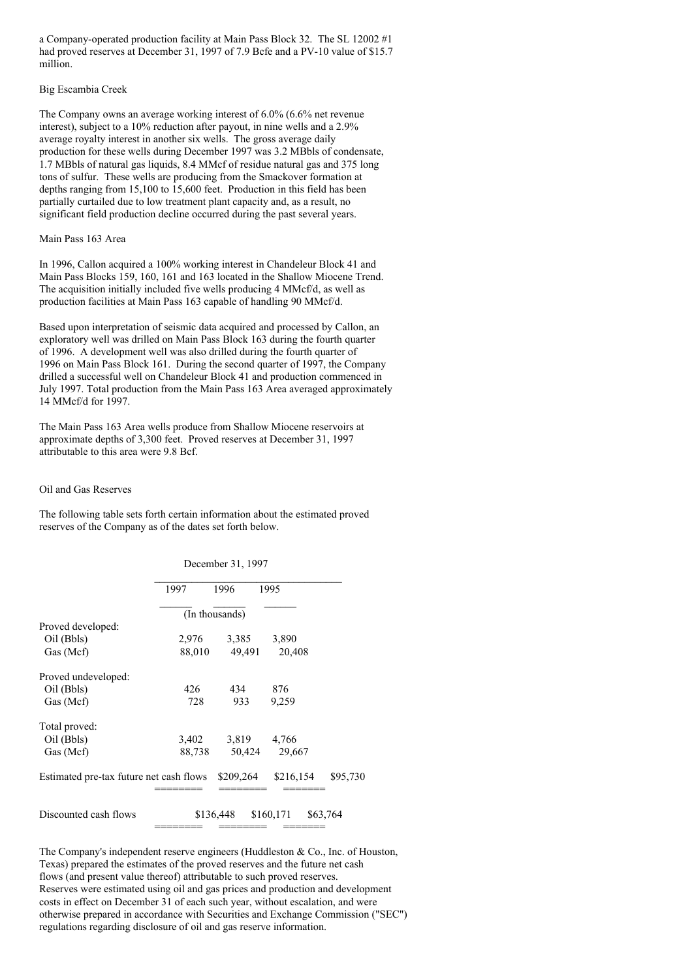a Company-operated production facility at Main Pass Block 32. The SL 12002 #1 had proved reserves at December 31, 1997 of 7.9 Bcfe and a PV-10 value of \$15.7 million.

### Big Escambia Creek

The Company owns an average working interest of 6.0% (6.6% net revenue interest), subject to a 10% reduction after payout, in nine wells and a 2.9% average royalty interest in another six wells. The gross average daily production for these wells during December 1997 was 3.2 MBbls of condensate, 1.7 MBbls of natural gas liquids, 8.4 MMcf of residue natural gas and 375 long tons of sulfur. These wells are producing from the Smackover formation at depths ranging from 15,100 to 15,600 feet. Production in this field has been partially curtailed due to low treatment plant capacity and, as a result, no significant field production decline occurred during the past several years.

## Main Pass 163 Area

In 1996, Callon acquired a 100% working interest in Chandeleur Block 41 and Main Pass Blocks 159, 160, 161 and 163 located in the Shallow Miocene Trend. The acquisition initially included five wells producing 4 MMcf/d, as well as production facilities at Main Pass 163 capable of handling 90 MMcf/d.

Based upon interpretation of seismic data acquired and processed by Callon, an exploratory well was drilled on Main Pass Block 163 during the fourth quarter of 1996. A development well was also drilled during the fourth quarter of 1996 on Main Pass Block 161. During the second quarter of 1997, the Company drilled a successful well on Chandeleur Block 41 and production commenced in July 1997. Total production from the Main Pass 163 Area averaged approximately 14 MMcf/d for 1997.

The Main Pass 163 Area wells produce from Shallow Miocene reservoirs at approximate depths of 3,300 feet. Proved reserves at December 31, 1997 attributable to this area were 9.8 Bcf.

## Oil and Gas Reserves

The following table sets forth certain information about the estimated proved reserves of the Company as of the dates set forth below.

December 31, 1997

|                                         | 1997           | 1996      | 1995      |          |  |  |  |  |  |
|-----------------------------------------|----------------|-----------|-----------|----------|--|--|--|--|--|
|                                         | (In thousands) |           |           |          |  |  |  |  |  |
| Proved developed:                       |                |           |           |          |  |  |  |  |  |
| Oil (Bbls)                              | 2,976          | 3,385     | 3,890     |          |  |  |  |  |  |
| Gas (Mcf)                               | 88,010         | 49,491    | 20,408    |          |  |  |  |  |  |
| Proved undeveloped:                     |                |           |           |          |  |  |  |  |  |
| Oil (Bbls)                              | 426            | 434       | 876       |          |  |  |  |  |  |
| Gas (Mcf)                               | 728            | 933       | 9.259     |          |  |  |  |  |  |
| Total proved:                           |                |           |           |          |  |  |  |  |  |
| Oil (Bbls)                              | 3,402          | 3,819     | 4,766     |          |  |  |  |  |  |
| Gas (Mcf)                               | 88,738         | 50,424    | 29,667    |          |  |  |  |  |  |
| Estimated pre-tax future net cash flows |                | \$209,264 | \$216,154 | \$95,730 |  |  |  |  |  |
|                                         |                |           |           |          |  |  |  |  |  |
| Discounted cash flows                   |                | \$136,448 | \$160,171 | \$63,764 |  |  |  |  |  |

The Company's independent reserve engineers (Huddleston & Co., Inc. of Houston, Texas) prepared the estimates of the proved reserves and the future net cash flows (and present value thereof) attributable to such proved reserves. Reserves were estimated using oil and gas prices and production and development costs in effect on December 31 of each such year, without escalation, and were otherwise prepared in accordance with Securities and Exchange Commission ("SEC") regulations regarding disclosure of oil and gas reserve information.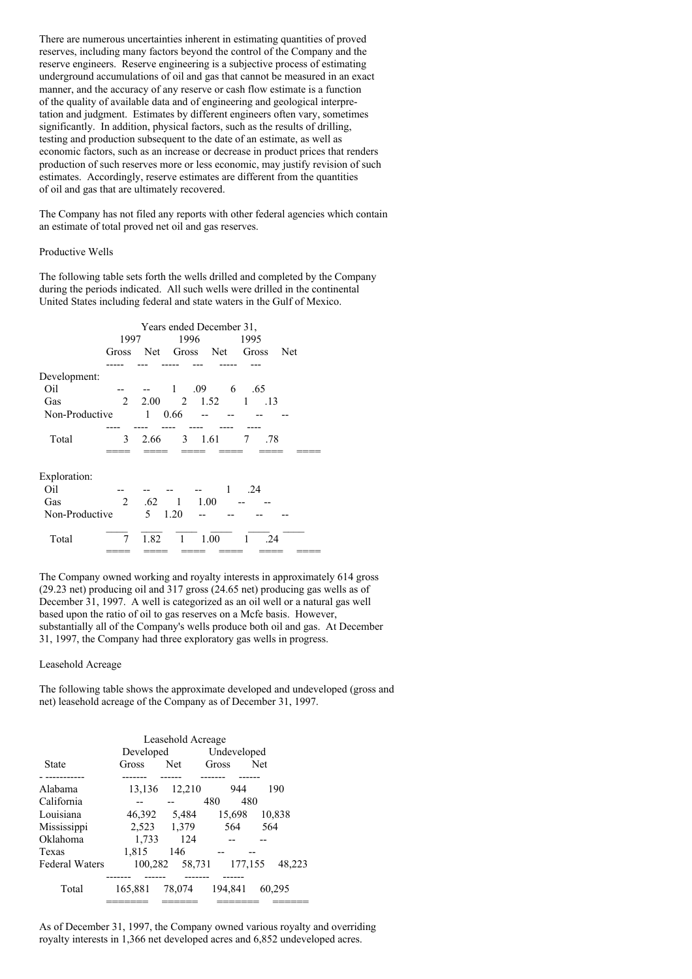There are numerous uncertainties inherent in estimating quantities of proved reserves, including many factors beyond the control of the Company and the reserve engineers. Reserve engineering is a subjective process of estimating underground accumulations of oil and gas that cannot be measured in an exact manner, and the accuracy of any reserve or cash flow estimate is a function of the quality of available data and of engineering and geological interpretation and judgment. Estimates by different engineers often vary, sometimes significantly. In addition, physical factors, such as the results of drilling, testing and production subsequent to the date of an estimate, as well as economic factors, such as an increase or decrease in product prices that renders production of such reserves more or less economic, may justify revision of such estimates. Accordingly, reserve estimates are different from the quantities of oil and gas that are ultimately recovered.

The Company has not filed any reports with other federal agencies which contain an estimate of total proved net oil and gas reserves.

### Productive Wells

The following table sets forth the wells drilled and completed by the Company during the periods indicated. All such wells were drilled in the continental United States including federal and state waters in the Gulf of Mexico.

| Years ended December 31, |                |                                          |              |                                                   |                     |                                         |  |  |
|--------------------------|----------------|------------------------------------------|--------------|---------------------------------------------------|---------------------|-----------------------------------------|--|--|
|                          |                |                                          |              |                                                   | 1995                |                                         |  |  |
| Gross                    |                |                                          |              |                                                   | Gross               | Net                                     |  |  |
|                          |                |                                          |              |                                                   |                     |                                         |  |  |
|                          |                |                                          |              |                                                   |                     |                                         |  |  |
|                          |                | 1                                        |              |                                                   | .65                 |                                         |  |  |
|                          |                |                                          |              |                                                   | 1                   |                                         |  |  |
| Non-Productive           |                |                                          |              |                                                   |                     |                                         |  |  |
|                          |                |                                          |              |                                                   |                     |                                         |  |  |
| 3                        | 2.66           |                                          |              |                                                   | 7                   |                                         |  |  |
|                          |                |                                          |              |                                                   |                     |                                         |  |  |
|                          |                |                                          |              |                                                   |                     |                                         |  |  |
|                          |                |                                          |              | -1                                                | .24                 |                                         |  |  |
| 2                        | .62            |                                          |              |                                                   |                     |                                         |  |  |
| Non-Productive           | 5 <sup>7</sup> |                                          |              |                                                   |                     |                                         |  |  |
| 7                        | 1.82           |                                          |              |                                                   | 1                   |                                         |  |  |
|                          |                | 1997<br>$\overline{2}$<br>$\overline{1}$ | 0.66<br>1.20 | 1996<br>.09<br>$3 \quad 1.61$<br>1 1.00<br>1 1.00 | $2.00 \t 2 \t 1.52$ | Net Gross Net<br>6<br>.13<br>.78<br>-24 |  |  |

The Company owned working and royalty interests in approximately 614 gross (29.23 net) producing oil and 317 gross (24.65 net) producing gas wells as of December 31, 1997. A well is categorized as an oil well or a natural gas well based upon the ratio of oil to gas reserves on a Mcfe basis. However, substantially all of the Company's wells produce both oil and gas. At December 31, 1997, the Company had three exploratory gas wells in progress.

#### Leasehold Acreage

The following table shows the approximate developed and undeveloped (gross and net) leasehold acreage of the Company as of December 31, 1997.

| Leasehold Acreage     |           |             |             |            |  |  |  |  |
|-----------------------|-----------|-------------|-------------|------------|--|--|--|--|
|                       | Developed |             | Undeveloped |            |  |  |  |  |
| State                 | Gross     | <b>Net</b>  | Gross       | <b>Net</b> |  |  |  |  |
|                       |           |             |             |            |  |  |  |  |
| Alabama               | 13,136    | 12,210      | 944         | 190        |  |  |  |  |
| California            |           |             | 480         | 480        |  |  |  |  |
| Louisiana             | 46,392    | 5,484       | 15,698      | 10,838     |  |  |  |  |
| Mississippi           |           | 2,523 1,379 | 564         | 564        |  |  |  |  |
| Oklahoma              | 1.733     | 124         |             |            |  |  |  |  |
| Texas                 | 1.815     | 146         |             |            |  |  |  |  |
| <b>Federal Waters</b> | 100,282   | 58,731      | 177,155     | 48.223     |  |  |  |  |
|                       |           |             |             |            |  |  |  |  |
| Total                 | 165,881   | 78,074      | 194.841     | 60,295     |  |  |  |  |
|                       |           |             |             |            |  |  |  |  |

As of December 31, 1997, the Company owned various royalty and overriding royalty interests in 1,366 net developed acres and 6,852 undeveloped acres.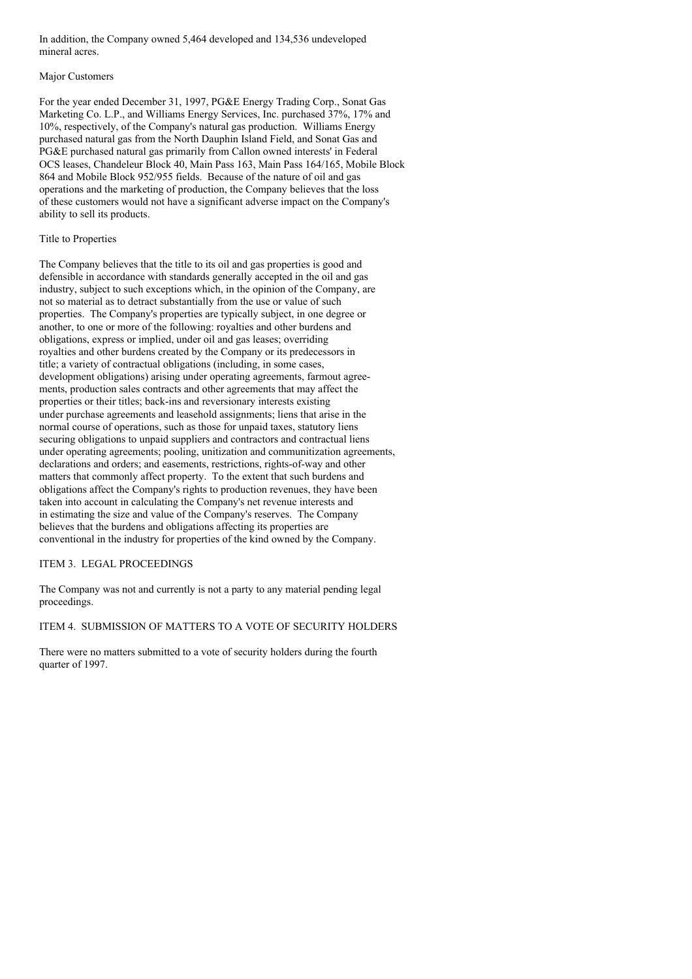In addition, the Company owned 5,464 developed and 134,536 undeveloped mineral acres.

## Major Customers

For the year ended December 31, 1997, PG&E Energy Trading Corp., Sonat Gas Marketing Co. L.P., and Williams Energy Services, Inc. purchased 37%, 17% and 10%, respectively, of the Company's natural gas production. Williams Energy purchased natural gas from the North Dauphin Island Field, and Sonat Gas and PG&E purchased natural gas primarily from Callon owned interests' in Federal OCS leases, Chandeleur Block 40, Main Pass 163, Main Pass 164/165, Mobile Block 864 and Mobile Block 952/955 fields. Because of the nature of oil and gas operations and the marketing of production, the Company believes that the loss of these customers would not have a significant adverse impact on the Company's ability to sell its products.

## Title to Properties

The Company believes that the title to its oil and gas properties is good and defensible in accordance with standards generally accepted in the oil and gas industry, subject to such exceptions which, in the opinion of the Company, are not so material as to detract substantially from the use or value of such properties. The Company's properties are typically subject, in one degree or another, to one or more of the following: royalties and other burdens and obligations, express or implied, under oil and gas leases; overriding royalties and other burdens created by the Company or its predecessors in title; a variety of contractual obligations (including, in some cases, development obligations) arising under operating agreements, farmout agreements, production sales contracts and other agreements that may affect the properties or their titles; back-ins and reversionary interests existing under purchase agreements and leasehold assignments; liens that arise in the normal course of operations, such as those for unpaid taxes, statutory liens securing obligations to unpaid suppliers and contractors and contractual liens under operating agreements; pooling, unitization and communitization agreements, declarations and orders; and easements, restrictions, rights-of-way and other matters that commonly affect property. To the extent that such burdens and obligations affect the Company's rights to production revenues, they have been taken into account in calculating the Company's net revenue interests and in estimating the size and value of the Company's reserves. The Company believes that the burdens and obligations affecting its properties are conventional in the industry for properties of the kind owned by the Company.

## ITEM 3. LEGAL PROCEEDINGS

The Company was not and currently is not a party to any material pending legal proceedings.

## ITEM 4. SUBMISSION OF MATTERS TO A VOTE OF SECURITY HOLDERS

There were no matters submitted to a vote of security holders during the fourth quarter of 1997.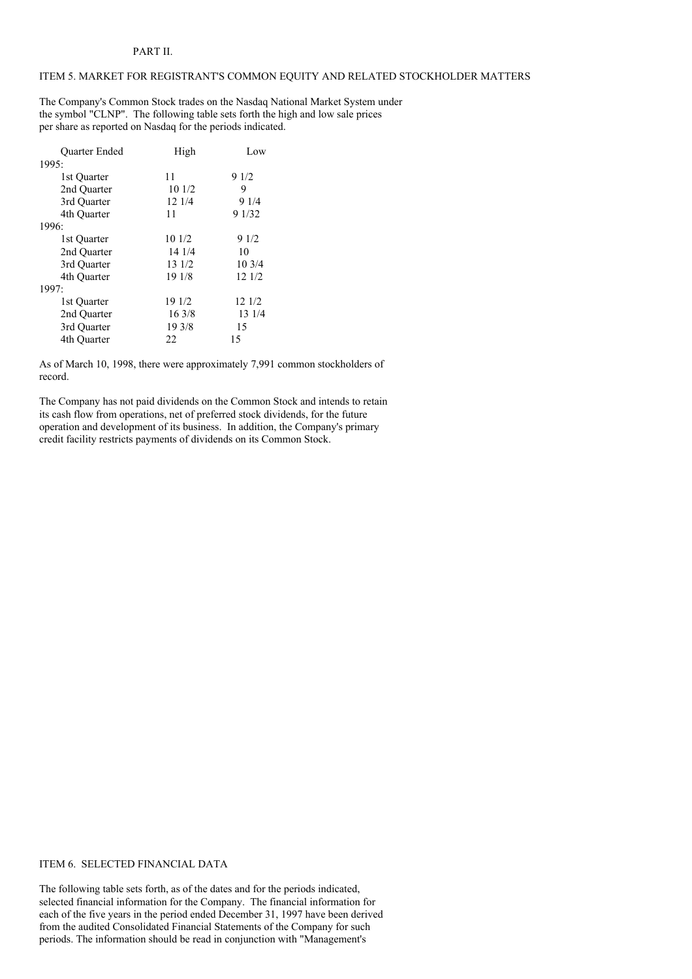## ITEM 5. MARKET FOR REGISTRANT'S COMMON EQUITY AND RELATED STOCKHOLDER MATTERS

The Company's Common Stock trades on the Nasdaq National Market System under the symbol "CLNP". The following table sets forth the high and low sale prices per share as reported on Nasdaq for the periods indicated.

| <b>Ouarter Ended</b> | High   | Low    |
|----------------------|--------|--------|
| 1995:                |        |        |
| 1st Quarter          | 11     | 91/2   |
| 2nd Quarter          | 10 1/2 | 9      |
| 3rd Quarter          | 12 1/4 | 9 1/4  |
| 4th Ouarter          | 11     | 9 1/32 |
| 1996:                |        |        |
| 1st Quarter          | 10 1/2 | 9 1/2  |
| 2nd Ouarter          | 14 1/4 | 10     |
| 3rd Quarter          | 13 1/2 | 103/4  |
| 4th Ouarter          | 19 1/8 | 12 1/2 |
| 1997:                |        |        |
| 1st Quarter          | 19 1/2 | 12 1/2 |
| 2nd Quarter          | 163/8  | 13 1/4 |
| 3rd Quarter          | 19 3/8 | 15     |
| 4th Ouarter          | 22     | 15     |

As of March 10, 1998, there were approximately 7,991 common stockholders of record.

The Company has not paid dividends on the Common Stock and intends to retain its cash flow from operations, net of preferred stock dividends, for the future operation and development of its business. In addition, the Company's primary credit facility restricts payments of dividends on its Common Stock.

## ITEM 6. SELECTED FINANCIAL DATA

The following table sets forth, as of the dates and for the periods indicated, selected financial information for the Company. The financial information for each of the five years in the period ended December 31, 1997 have been derived from the audited Consolidated Financial Statements of the Company for such periods. The information should be read in conjunction with "Management's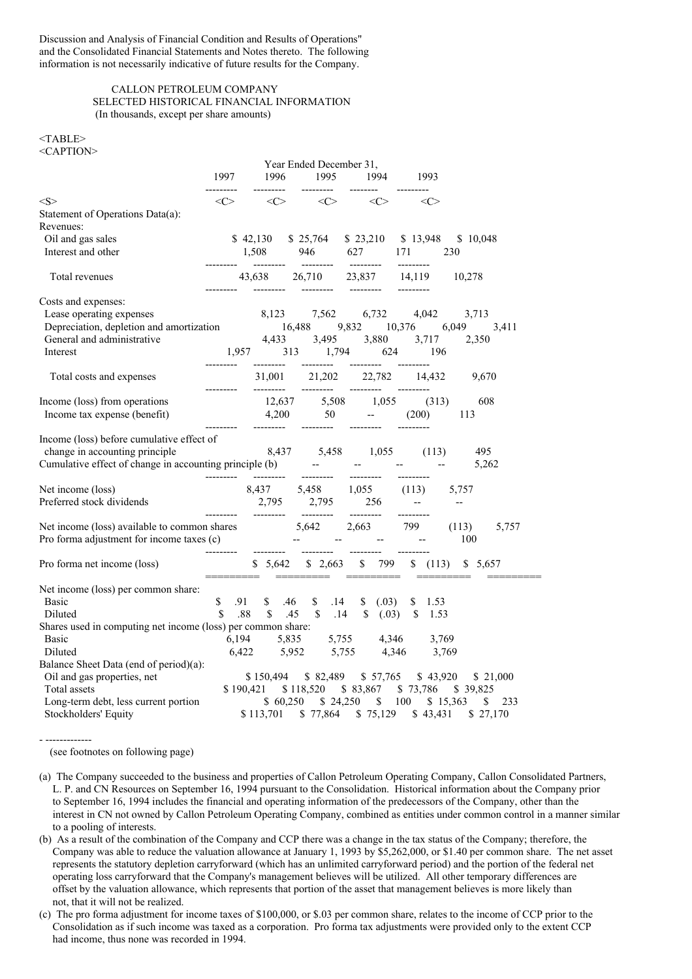Discussion and Analysis of Financial Condition and Results of Operations" and the Consolidated Financial Statements and Notes thereto. The following information is not necessarily indicative of future results for the Company.

## CALLON PETROLEUM COMPANY SELECTED HISTORICAL FINANCIAL INFORMATION (In thousands, except per share amounts)

<TABLE> <CAPTION>

|                                                                                                                                                                                                   |                     |           | Year Ended December 31,        |                                                                 |            |                                               |
|---------------------------------------------------------------------------------------------------------------------------------------------------------------------------------------------------|---------------------|-----------|--------------------------------|-----------------------------------------------------------------|------------|-----------------------------------------------|
|                                                                                                                                                                                                   | 1997                | --------- | ---------                      | 1996 1995 1994<br>--------                                      | -1993      |                                               |
| $<\!S>$                                                                                                                                                                                           | <<>                 | <<>       | <<>                            | <<>                                                             | <<>        |                                               |
| Statement of Operations Data(a):                                                                                                                                                                  |                     |           |                                |                                                                 |            |                                               |
| Revenues:                                                                                                                                                                                         |                     |           |                                |                                                                 |            |                                               |
| Oil and gas sales                                                                                                                                                                                 |                     |           |                                | \$42,130 \$25,764 \$23,210 \$13,948 \$10,048                    |            |                                               |
| Interest and other                                                                                                                                                                                |                     |           |                                | $1,508$ 946 627 171                                             |            | 230                                           |
| Total revenues                                                                                                                                                                                    |                     |           |                                |                                                                 |            | 10,278                                        |
| Costs and expenses:                                                                                                                                                                               |                     |           |                                |                                                                 |            |                                               |
| Lease operating expenses                                                                                                                                                                          |                     |           |                                | 8,123 7,562 6,732 4,042 3,713                                   |            |                                               |
| Lease operating expenses<br>Depreciation depletion and amortization 16,488 9,832 10,376 6,049<br>General and administrative 4,433 3,495 3,880 3,717 2,3                                           |                     |           |                                |                                                                 |            | 3,411                                         |
|                                                                                                                                                                                                   |                     |           |                                |                                                                 |            | 2,350                                         |
| Interest                                                                                                                                                                                          |                     |           |                                |                                                                 |            |                                               |
| Total costs and expenses                                                                                                                                                                          |                     | --------- |                                | 31,001 21,202 22,782 14,432                                     |            | 9,670                                         |
| Income (loss) from operations                                                                                                                                                                     |                     |           |                                |                                                                 |            | 608                                           |
| Income tax expense (benefit)                                                                                                                                                                      |                     |           |                                | $12,637$ $5,508$ $1,055$ $(313)$<br>4,200 50 -- $(200)$         |            | - 113                                         |
| Income (loss) before cumulative effect of                                                                                                                                                         | .                   | --------- | ---------                      |                                                                 | ---------  |                                               |
|                                                                                                                                                                                                   |                     |           |                                |                                                                 |            | 495                                           |
| change in accounting principle 8,437 5,458 1,055 (113)<br>Cumulative effect of change in accounting principle (b) -- -- -- -- --                                                                  |                     |           |                                |                                                                 |            | 5,262                                         |
|                                                                                                                                                                                                   |                     |           | ---------  --------  --------- |                                                                 |            |                                               |
| Net income (loss)                                                                                                                                                                                 |                     |           |                                |                                                                 |            |                                               |
| Preferred stock dividends                                                                                                                                                                         |                     |           |                                | $8,437$ $5,458$ $1,055$ $(113)$ $5,757$<br>2,795 2,795 256 -- - | ---------- |                                               |
|                                                                                                                                                                                                   |                     |           |                                |                                                                 |            | 5,757<br>(113)                                |
| Net income (loss) available to common shares<br>Pro forma adjustment for income taxes (c)<br>The common share and the common share and the common share and the common share<br>$5,642$ 2,663 799 |                     |           |                                |                                                                 |            | 100                                           |
| Pro forma net income (loss)                                                                                                                                                                       |                     |           | =====================          |                                                                 |            | \$5,642 \$2,663 \$799 \$ (113) \$5,657        |
| Net income (loss) per common share:                                                                                                                                                               |                     |           |                                |                                                                 |            |                                               |
| <b>Basic</b>                                                                                                                                                                                      | $\mathbb{S}$<br>.91 |           |                                | $$.46$ $$.14$ $$.03)$ $$.153$                                   |            |                                               |
| Diluted                                                                                                                                                                                           | \$                  |           |                                | .88 \$ .45 \$ .14 \$ (.03) \$ 1.53                              |            |                                               |
| Shares used in computing net income (loss) per common share:                                                                                                                                      |                     |           |                                |                                                                 |            |                                               |
| Basic                                                                                                                                                                                             |                     |           |                                |                                                                 |            |                                               |
| Diluted                                                                                                                                                                                           |                     |           |                                | 6,194 5,835 5,755 4,346 3,769<br>6,422 5,952 5,755 4,346 3,769  |            |                                               |
| Balance Sheet Data (end of period)(a):                                                                                                                                                            |                     |           |                                |                                                                 |            |                                               |
| Oil and gas properties, net                                                                                                                                                                       |                     |           |                                |                                                                 |            | \$150,494 \$82,489 \$57,765 \$43,920 \$21,000 |
| Total assets                                                                                                                                                                                      |                     |           |                                | \$190,421 \$118,520 \$83,867 \$73,786 \$39,825                  |            |                                               |
| Long-term debt, less current portion                                                                                                                                                              |                     |           |                                | \$ 60,250 \$ 24,250 \$ 100 \$ 15,363                            |            | 233<br>S.                                     |
| Stockholders' Equity                                                                                                                                                                              |                     |           |                                |                                                                 |            | \$113,701 \$77,864 \$75,129 \$43,431 \$27,170 |

- ------------- (see footnotes on following page)

(b) As a result of the combination of the Company and CCP there was a change in the tax status of the Company; therefore, the Company was able to reduce the valuation allowance at January 1, 1993 by \$5,262,000, or \$1.40 per common share. The net asset represents the statutory depletion carryforward (which has an unlimited carryforward period) and the portion of the federal net operating loss carryforward that the Company's management believes will be utilized. All other temporary differences are offset by the valuation allowance, which represents that portion of the asset that management believes is more likely than not, that it will not be realized.

(c) The pro forma adjustment for income taxes of \$100,000, or \$.03 per common share, relates to the income of CCP prior to the Consolidation as if such income was taxed as a corporation. Pro forma tax adjustments were provided only to the extent CCP had income, thus none was recorded in 1994.

<sup>(</sup>a) The Company succeeded to the business and properties of Callon Petroleum Operating Company, Callon Consolidated Partners, L. P. and CN Resources on September 16, 1994 pursuant to the Consolidation. Historical information about the Company prior to September 16, 1994 includes the financial and operating information of the predecessors of the Company, other than the interest in CN not owned by Callon Petroleum Operating Company, combined as entities under common control in a manner similar to a pooling of interests.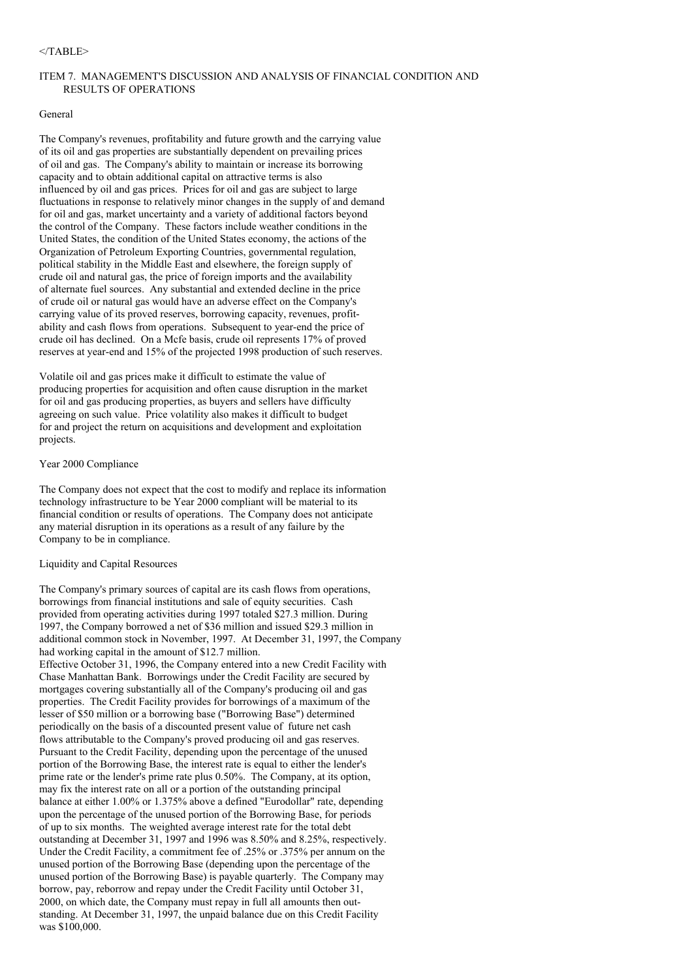#### $<$ /TABLE>

## ITEM 7. MANAGEMENT'S DISCUSSION AND ANALYSIS OF FINANCIAL CONDITION AND RESULTS OF OPERATIONS

## General

The Company's revenues, profitability and future growth and the carrying value of its oil and gas properties are substantially dependent on prevailing prices of oil and gas. The Company's ability to maintain or increase its borrowing capacity and to obtain additional capital on attractive terms is also influenced by oil and gas prices. Prices for oil and gas are subject to large fluctuations in response to relatively minor changes in the supply of and demand for oil and gas, market uncertainty and a variety of additional factors beyond the control of the Company. These factors include weather conditions in the United States, the condition of the United States economy, the actions of the Organization of Petroleum Exporting Countries, governmental regulation, political stability in the Middle East and elsewhere, the foreign supply of crude oil and natural gas, the price of foreign imports and the availability of alternate fuel sources. Any substantial and extended decline in the price of crude oil or natural gas would have an adverse effect on the Company's carrying value of its proved reserves, borrowing capacity, revenues, profitability and cash flows from operations. Subsequent to year-end the price of crude oil has declined. On a Mcfe basis, crude oil represents 17% of proved reserves at year-end and 15% of the projected 1998 production of such reserves.

Volatile oil and gas prices make it difficult to estimate the value of producing properties for acquisition and often cause disruption in the market for oil and gas producing properties, as buyers and sellers have difficulty agreeing on such value. Price volatility also makes it difficult to budget for and project the return on acquisitions and development and exploitation projects.

## Year 2000 Compliance

The Company does not expect that the cost to modify and replace its information technology infrastructure to be Year 2000 compliant will be material to its financial condition or results of operations. The Company does not anticipate any material disruption in its operations as a result of any failure by the Company to be in compliance.

### Liquidity and Capital Resources

The Company's primary sources of capital are its cash flows from operations, borrowings from financial institutions and sale of equity securities. Cash provided from operating activities during 1997 totaled \$27.3 million. During 1997, the Company borrowed a net of \$36 million and issued \$29.3 million in additional common stock in November, 1997. At December 31, 1997, the Company had working capital in the amount of \$12.7 million. Effective October 31, 1996, the Company entered into a new Credit Facility with Chase Manhattan Bank. Borrowings under the Credit Facility are secured by mortgages covering substantially all of the Company's producing oil and gas properties. The Credit Facility provides for borrowings of a maximum of the lesser of \$50 million or a borrowing base ("Borrowing Base") determined periodically on the basis of a discounted present value of future net cash flows attributable to the Company's proved producing oil and gas reserves. Pursuant to the Credit Facility, depending upon the percentage of the unused portion of the Borrowing Base, the interest rate is equal to either the lender's prime rate or the lender's prime rate plus 0.50%. The Company, at its option, may fix the interest rate on all or a portion of the outstanding principal balance at either 1.00% or 1.375% above a defined "Eurodollar" rate, depending upon the percentage of the unused portion of the Borrowing Base, for periods of up to six months. The weighted average interest rate for the total debt outstanding at December 31, 1997 and 1996 was 8.50% and 8.25%, respectively. Under the Credit Facility, a commitment fee of .25% or .375% per annum on the unused portion of the Borrowing Base (depending upon the percentage of the unused portion of the Borrowing Base) is payable quarterly. The Company may borrow, pay, reborrow and repay under the Credit Facility until October 31, 2000, on which date, the Company must repay in full all amounts then outstanding. At December 31, 1997, the unpaid balance due on this Credit Facility was \$100,000.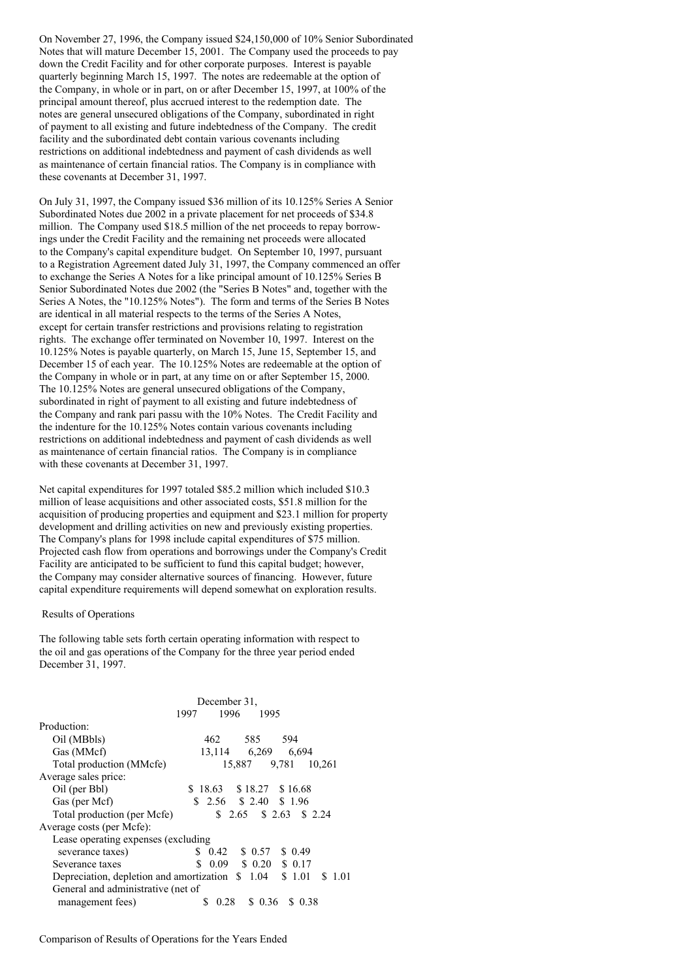On November 27, 1996, the Company issued \$24,150,000 of 10% Senior Subordinated Notes that will mature December 15, 2001. The Company used the proceeds to pay down the Credit Facility and for other corporate purposes. Interest is payable quarterly beginning March 15, 1997. The notes are redeemable at the option of the Company, in whole or in part, on or after December 15, 1997, at 100% of the principal amount thereof, plus accrued interest to the redemption date. The notes are general unsecured obligations of the Company, subordinated in right of payment to all existing and future indebtedness of the Company. The credit facility and the subordinated debt contain various covenants including restrictions on additional indebtedness and payment of cash dividends as well as maintenance of certain financial ratios. The Company is in compliance with these covenants at December 31, 1997.

On July 31, 1997, the Company issued \$36 million of its 10.125% Series A Senior Subordinated Notes due 2002 in a private placement for net proceeds of \$34.8 million. The Company used \$18.5 million of the net proceeds to repay borrowings under the Credit Facility and the remaining net proceeds were allocated to the Company's capital expenditure budget. On September 10, 1997, pursuant to a Registration Agreement dated July 31, 1997, the Company commenced an offer to exchange the Series A Notes for a like principal amount of 10.125% Series B Senior Subordinated Notes due 2002 (the "Series B Notes" and, together with the Series A Notes, the "10.125% Notes"). The form and terms of the Series B Notes are identical in all material respects to the terms of the Series A Notes, except for certain transfer restrictions and provisions relating to registration rights. The exchange offer terminated on November 10, 1997. Interest on the 10.125% Notes is payable quarterly, on March 15, June 15, September 15, and December 15 of each year. The 10.125% Notes are redeemable at the option of the Company in whole or in part, at any time on or after September 15, 2000. The 10.125% Notes are general unsecured obligations of the Company, subordinated in right of payment to all existing and future indebtedness of the Company and rank pari passu with the 10% Notes. The Credit Facility and the indenture for the 10.125% Notes contain various covenants including restrictions on additional indebtedness and payment of cash dividends as well as maintenance of certain financial ratios. The Company is in compliance with these covenants at December 31, 1997.

Net capital expenditures for 1997 totaled \$85.2 million which included \$10.3 million of lease acquisitions and other associated costs, \$51.8 million for the acquisition of producing properties and equipment and \$23.1 million for property development and drilling activities on new and previously existing properties. The Company's plans for 1998 include capital expenditures of \$75 million. Projected cash flow from operations and borrowings under the Company's Credit Facility are anticipated to be sufficient to fund this capital budget; however, the Company may consider alternative sources of financing. However, future capital expenditure requirements will depend somewhat on exploration results.

### Results of Operations

The following table sets forth certain operating information with respect to the oil and gas operations of the Company for the three year period ended December 31, 1997.

|                                          | December 31.                     |  |  |  |  |  |  |  |
|------------------------------------------|----------------------------------|--|--|--|--|--|--|--|
|                                          | 1996<br>1997<br>1995             |  |  |  |  |  |  |  |
| Production:                              |                                  |  |  |  |  |  |  |  |
| Oil (MBbls)                              | 585<br>462<br>594                |  |  |  |  |  |  |  |
| Gas (MMcf)                               | 13,114 6,269 6,694               |  |  |  |  |  |  |  |
| Total production (MMcfe)                 | 15,887 9,781<br>10.261           |  |  |  |  |  |  |  |
| Average sales price:                     |                                  |  |  |  |  |  |  |  |
| Oil (per Bbl)                            | $$18.63$ $$18.27$ $$16.68$       |  |  |  |  |  |  |  |
| Gas (per Mcf)                            | $$2.56$ $$2.40$ $$1.96$          |  |  |  |  |  |  |  |
| Total production (per Mcfe)              | $$2.65$ $$2.63$ $$2.24$          |  |  |  |  |  |  |  |
| Average costs (per Mcfe):                |                                  |  |  |  |  |  |  |  |
| Lease operating expenses (excluding      |                                  |  |  |  |  |  |  |  |
| severance taxes)                         | S.<br>\$ 0.57<br>\$0.49<br>0.42  |  |  |  |  |  |  |  |
| Severance taxes                          | \$<br>\$0.20<br>0.09<br>\$ 0.17  |  |  |  |  |  |  |  |
| Depreciation, depletion and amortization | 1.04<br>\$1.01<br>\$1.01<br>S    |  |  |  |  |  |  |  |
| General and administrative (net of       |                                  |  |  |  |  |  |  |  |
| management fees)                         | 0.28<br>0.38<br>S.<br>0.36<br>S. |  |  |  |  |  |  |  |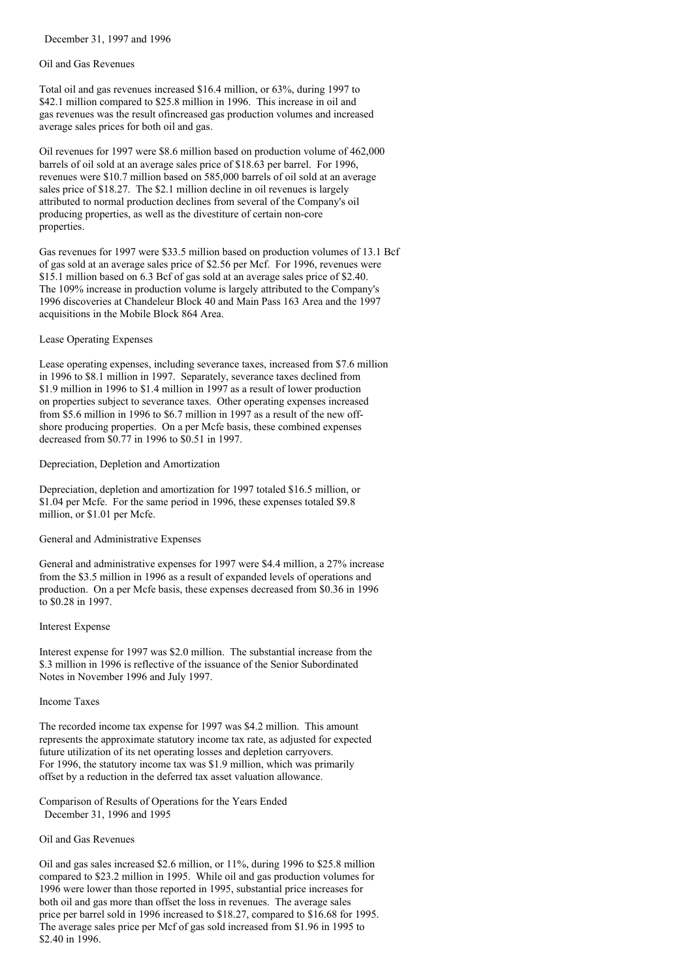December 31, 1997 and 1996

#### Oil and Gas Revenues

Total oil and gas revenues increased \$16.4 million, or 63%, during 1997 to \$42.1 million compared to \$25.8 million in 1996. This increase in oil and gas revenues was the result ofincreased gas production volumes and increased average sales prices for both oil and gas.

Oil revenues for 1997 were \$8.6 million based on production volume of 462,000 barrels of oil sold at an average sales price of \$18.63 per barrel. For 1996, revenues were \$10.7 million based on 585,000 barrels of oil sold at an average sales price of \$18.27. The \$2.1 million decline in oil revenues is largely attributed to normal production declines from several of the Company's oil producing properties, as well as the divestiture of certain non-core properties.

Gas revenues for 1997 were \$33.5 million based on production volumes of 13.1 Bcf of gas sold at an average sales price of \$2.56 per Mcf. For 1996, revenues were \$15.1 million based on 6.3 Bcf of gas sold at an average sales price of \$2.40. The 109% increase in production volume is largely attributed to the Company's 1996 discoveries at Chandeleur Block 40 and Main Pass 163 Area and the 1997 acquisitions in the Mobile Block 864 Area.

## Lease Operating Expenses

Lease operating expenses, including severance taxes, increased from \$7.6 million in 1996 to \$8.1 million in 1997. Separately, severance taxes declined from \$1.9 million in 1996 to \$1.4 million in 1997 as a result of lower production on properties subject to severance taxes. Other operating expenses increased from \$5.6 million in 1996 to \$6.7 million in 1997 as a result of the new offshore producing properties. On a per Mcfe basis, these combined expenses decreased from \$0.77 in 1996 to \$0.51 in 1997.

## Depreciation, Depletion and Amortization

Depreciation, depletion and amortization for 1997 totaled \$16.5 million, or \$1.04 per Mcfe. For the same period in 1996, these expenses totaled \$9.8 million, or \$1.01 per Mcfe.

## General and Administrative Expenses

General and administrative expenses for 1997 were \$4.4 million, a 27% increase from the \$3.5 million in 1996 as a result of expanded levels of operations and production. On a per Mcfe basis, these expenses decreased from \$0.36 in 1996 to \$0.28 in 1997.

#### Interest Expense

Interest expense for 1997 was \$2.0 million. The substantial increase from the \$.3 million in 1996 is reflective of the issuance of the Senior Subordinated Notes in November 1996 and July 1997.

#### Income Taxes

The recorded income tax expense for 1997 was \$4.2 million. This amount represents the approximate statutory income tax rate, as adjusted for expected future utilization of its net operating losses and depletion carryovers. For 1996, the statutory income tax was \$1.9 million, which was primarily offset by a reduction in the deferred tax asset valuation allowance.

Comparison of Results of Operations for the Years Ended December 31, 1996 and 1995

## Oil and Gas Revenues

Oil and gas sales increased \$2.6 million, or 11%, during 1996 to \$25.8 million compared to \$23.2 million in 1995. While oil and gas production volumes for 1996 were lower than those reported in 1995, substantial price increases for both oil and gas more than offset the loss in revenues. The average sales price per barrel sold in 1996 increased to \$18.27, compared to \$16.68 for 1995. The average sales price per Mcf of gas sold increased from \$1.96 in 1995 to \$2.40 in 1996.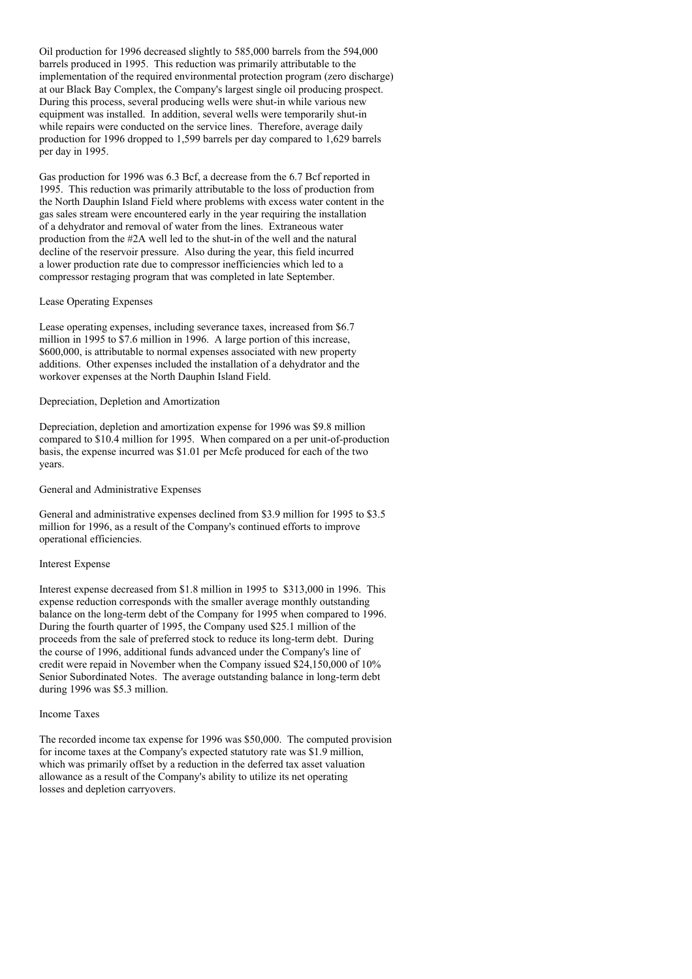Oil production for 1996 decreased slightly to 585,000 barrels from the 594,000 barrels produced in 1995. This reduction was primarily attributable to the implementation of the required environmental protection program (zero discharge) at our Black Bay Complex, the Company's largest single oil producing prospect. During this process, several producing wells were shut-in while various new equipment was installed. In addition, several wells were temporarily shut-in while repairs were conducted on the service lines. Therefore, average daily production for 1996 dropped to 1,599 barrels per day compared to 1,629 barrels per day in 1995.

Gas production for 1996 was 6.3 Bcf, a decrease from the 6.7 Bcf reported in 1995. This reduction was primarily attributable to the loss of production from the North Dauphin Island Field where problems with excess water content in the gas sales stream were encountered early in the year requiring the installation of a dehydrator and removal of water from the lines. Extraneous water production from the #2A well led to the shut-in of the well and the natural decline of the reservoir pressure. Also during the year, this field incurred a lower production rate due to compressor inefficiencies which led to a compressor restaging program that was completed in late September.

#### Lease Operating Expenses

Lease operating expenses, including severance taxes, increased from \$6.7 million in 1995 to \$7.6 million in 1996. A large portion of this increase, \$600,000, is attributable to normal expenses associated with new property additions. Other expenses included the installation of a dehydrator and the workover expenses at the North Dauphin Island Field.

## Depreciation, Depletion and Amortization

Depreciation, depletion and amortization expense for 1996 was \$9.8 million compared to \$10.4 million for 1995. When compared on a per unit-of-production basis, the expense incurred was \$1.01 per Mcfe produced for each of the two years.

#### General and Administrative Expenses

General and administrative expenses declined from \$3.9 million for 1995 to \$3.5 million for 1996, as a result of the Company's continued efforts to improve operational efficiencies.

### Interest Expense

Interest expense decreased from \$1.8 million in 1995 to \$313,000 in 1996. This expense reduction corresponds with the smaller average monthly outstanding balance on the long-term debt of the Company for 1995 when compared to 1996. During the fourth quarter of 1995, the Company used \$25.1 million of the proceeds from the sale of preferred stock to reduce its long-term debt. During the course of 1996, additional funds advanced under the Company's line of credit were repaid in November when the Company issued \$24,150,000 of 10% Senior Subordinated Notes. The average outstanding balance in long-term debt during 1996 was \$5.3 million.

### Income Taxes

The recorded income tax expense for 1996 was \$50,000. The computed provision for income taxes at the Company's expected statutory rate was \$1.9 million, which was primarily offset by a reduction in the deferred tax asset valuation allowance as a result of the Company's ability to utilize its net operating losses and depletion carryovers.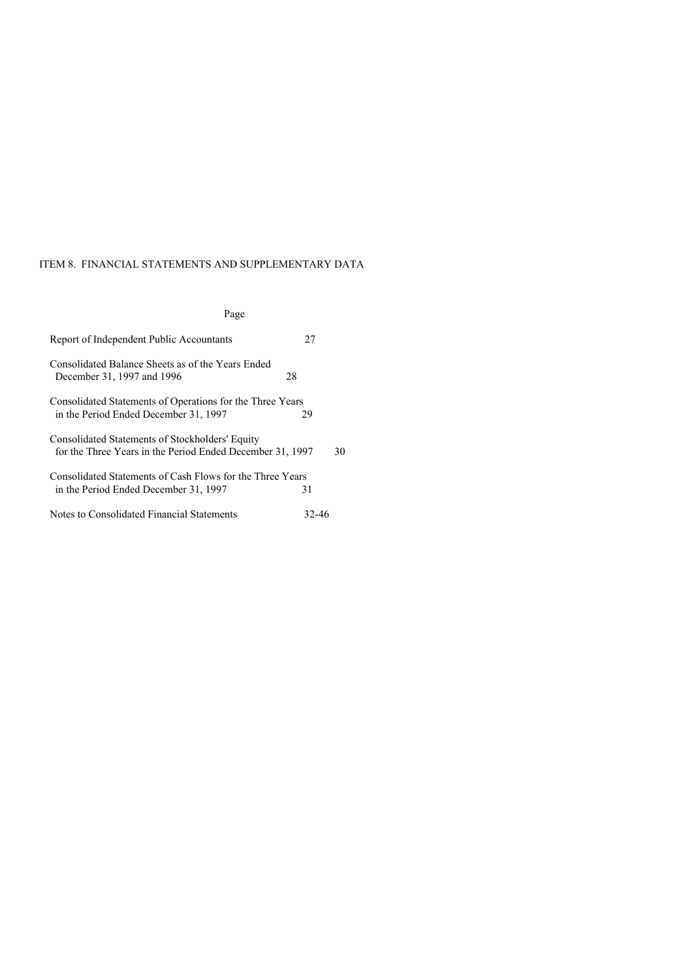# ITEM 8. FINANCIAL STATEMENTS AND SUPPLEMENTARY DATA

# Page

| Report of Independent Public Accountants                                                                     | 27    |    |
|--------------------------------------------------------------------------------------------------------------|-------|----|
| Consolidated Balance Sheets as of the Years Ended<br>December 31, 1997 and 1996                              | 28    |    |
| Consolidated Statements of Operations for the Three Years<br>in the Period Ended December 31, 1997           | 29    |    |
| Consolidated Statements of Stockholders' Equity<br>for the Three Years in the Period Ended December 31, 1997 |       | 30 |
| Consolidated Statements of Cash Flows for the Three Years<br>in the Period Ended December 31, 1997           | 31    |    |
| Notes to Consolidated Financial Statements                                                                   | 32-46 |    |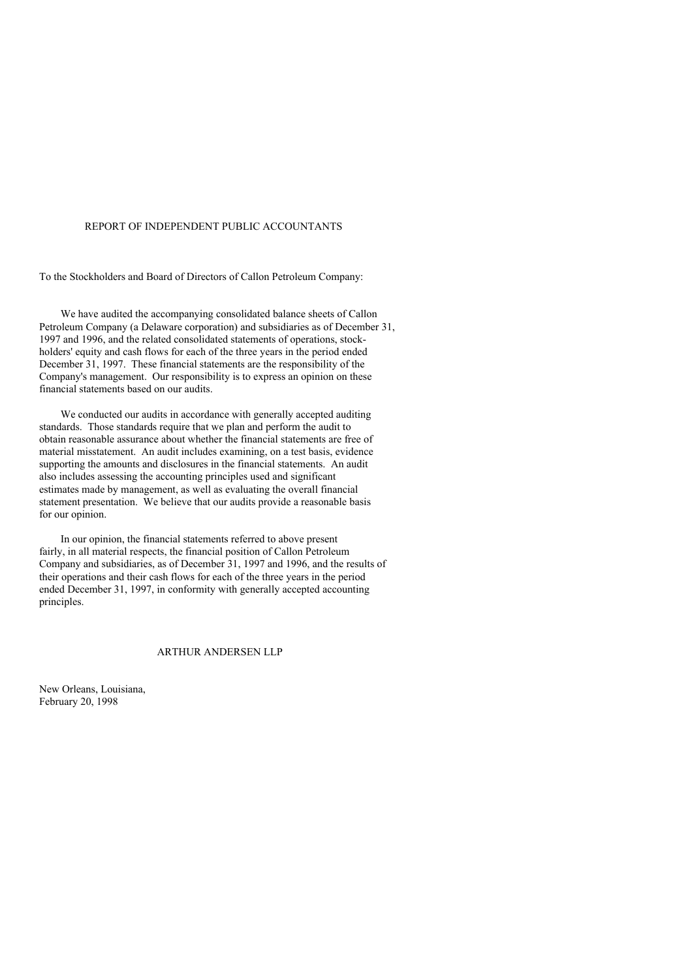## REPORT OF INDEPENDENT PUBLIC ACCOUNTANTS

To the Stockholders and Board of Directors of Callon Petroleum Company:

We have audited the accompanying consolidated balance sheets of Callon Petroleum Company (a Delaware corporation) and subsidiaries as of December 31, 1997 and 1996, and the related consolidated statements of operations, stockholders' equity and cash flows for each of the three years in the period ended December 31, 1997. These financial statements are the responsibility of the Company's management. Our responsibility is to express an opinion on these financial statements based on our audits.

We conducted our audits in accordance with generally accepted auditing standards. Those standards require that we plan and perform the audit to obtain reasonable assurance about whether the financial statements are free of material misstatement. An audit includes examining, on a test basis, evidence supporting the amounts and disclosures in the financial statements. An audit also includes assessing the accounting principles used and significant estimates made by management, as well as evaluating the overall financial statement presentation. We believe that our audits provide a reasonable basis for our opinion.

In our opinion, the financial statements referred to above present fairly, in all material respects, the financial position of Callon Petroleum Company and subsidiaries, as of December 31, 1997 and 1996, and the results of their operations and their cash flows for each of the three years in the period ended December 31, 1997, in conformity with generally accepted accounting principles.

#### ARTHUR ANDERSEN LLP

New Orleans, Louisiana, February 20, 1998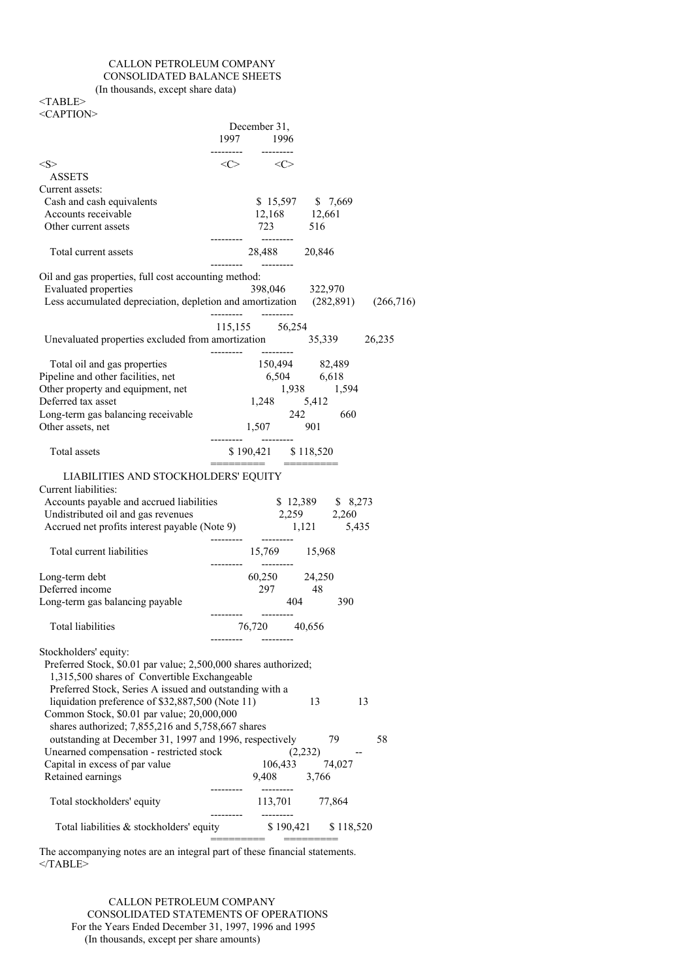# CALLON PETROLEUM COMPANY CONSOLIDATED BALANCE SHEETS

(In thousands, except share data)

<TABLE> <CAPTION>

| <caption></caption>                                                                                             |                                                                                                                                       |
|-----------------------------------------------------------------------------------------------------------------|---------------------------------------------------------------------------------------------------------------------------------------|
|                                                                                                                 | December 31,<br>1997 1996                                                                                                             |
|                                                                                                                 | --------- --------                                                                                                                    |
| $<\ge$<br><b>ASSETS</b>                                                                                         | $\langle C \rangle$ $\langle C \rangle$                                                                                               |
| Current assets:                                                                                                 |                                                                                                                                       |
| Cash and cash equivalents                                                                                       | \$15,597 \$7,669                                                                                                                      |
| Accounts receivable                                                                                             | 12,168 12,661                                                                                                                         |
| Other current assets                                                                                            | 723 516                                                                                                                               |
| Total current assets                                                                                            |                                                                                                                                       |
| Oil and gas properties, full cost accounting method:                                                            |                                                                                                                                       |
| <b>Evaluated</b> properties                                                                                     | 398,046 322,970                                                                                                                       |
|                                                                                                                 | Less accumulated depreciation, depletion and amortization (282,891) (266,716)                                                         |
|                                                                                                                 | 115,155 56,254                                                                                                                        |
|                                                                                                                 | Unevaluated properties excluded from amortization 35,339 26,235<br>----------                                                         |
| Total oil and gas properties                                                                                    | $\begin{array}{r} 150,494 \\ 150,494 \\ 6,504 \\ 1,938 \end{array}$ 82,489<br>$\begin{array}{r} 82,489 \\ 6,618 \\ 1,594 \end{array}$ |
| Pipeline and other facilities, net                                                                              |                                                                                                                                       |
| Other property and equipment, net                                                                               |                                                                                                                                       |
| Deferred tax asset                                                                                              | $1,248$ $5,412$                                                                                                                       |
| Long-term gas balancing receivable                                                                              | $242$ 660<br>1,507 901                                                                                                                |
| Other assets, net                                                                                               |                                                                                                                                       |
| Total assets                                                                                                    | $$190,421$ $$118,520$<br>======================                                                                                       |
| LIABILITIES AND STOCKHOLDERS' EQUITY                                                                            |                                                                                                                                       |
| Current liabilities:                                                                                            |                                                                                                                                       |
| Accounts payable and accrued liabilities \$12,389 \$8,273                                                       | 2,259 2,260                                                                                                                           |
| Undistributed oil and gas revenues<br>Accrued net profits interest payable (Note 9) 1,121 5,435                 |                                                                                                                                       |
|                                                                                                                 | ----------                                                                                                                            |
| Total current liabilities                                                                                       | 15,769 15,968<br>---------                                                                                                            |
| Long-term debt                                                                                                  | 60,250 24,250                                                                                                                         |
| Deferred income                                                                                                 | 297 48                                                                                                                                |
| Long-term gas balancing payable                                                                                 | 404 390                                                                                                                               |
| <b>Total liabilities</b>                                                                                        | 76,720 40,656                                                                                                                         |
|                                                                                                                 |                                                                                                                                       |
| Stockholders' equity:                                                                                           |                                                                                                                                       |
| Preferred Stock, \$0.01 par value; 2,500,000 shares authorized;<br>1,315,500 shares of Convertible Exchangeable |                                                                                                                                       |
| Preferred Stock, Series A issued and outstanding with a                                                         |                                                                                                                                       |
| liquidation preference of \$32,887,500 (Note 11)                                                                | 13<br>13                                                                                                                              |
| Common Stock, \$0.01 par value; 20,000,000                                                                      |                                                                                                                                       |
| shares authorized; 7,855,216 and 5,758,667 shares                                                               |                                                                                                                                       |
| outstanding at December 31, 1997 and 1996, respectively                                                         | 79<br>58                                                                                                                              |
| Unearned compensation - restricted stock                                                                        | (2, 232)<br>$\overline{\phantom{a}}$                                                                                                  |
| Capital in excess of par value                                                                                  | 106,433<br>74,027                                                                                                                     |
| Retained earnings                                                                                               | 9,408 3,766                                                                                                                           |
| Total stockholders' equity                                                                                      | ---------<br>113,701 77,864<br>__________<br>---------                                                                                |
| Total liabilities & stockholders' equity                                                                        | $$190,421$ $$118,520$<br>=========                                                                                                    |
|                                                                                                                 |                                                                                                                                       |

The accompanying notes are an integral part of these financial statements. </TABLE>

CALLON PETROLEUM COMPANY CONSOLIDATED STATEMENTS OF OPERATIONS For the Years Ended December 31, 1997, 1996 and 1995 (In thousands, except per share amounts)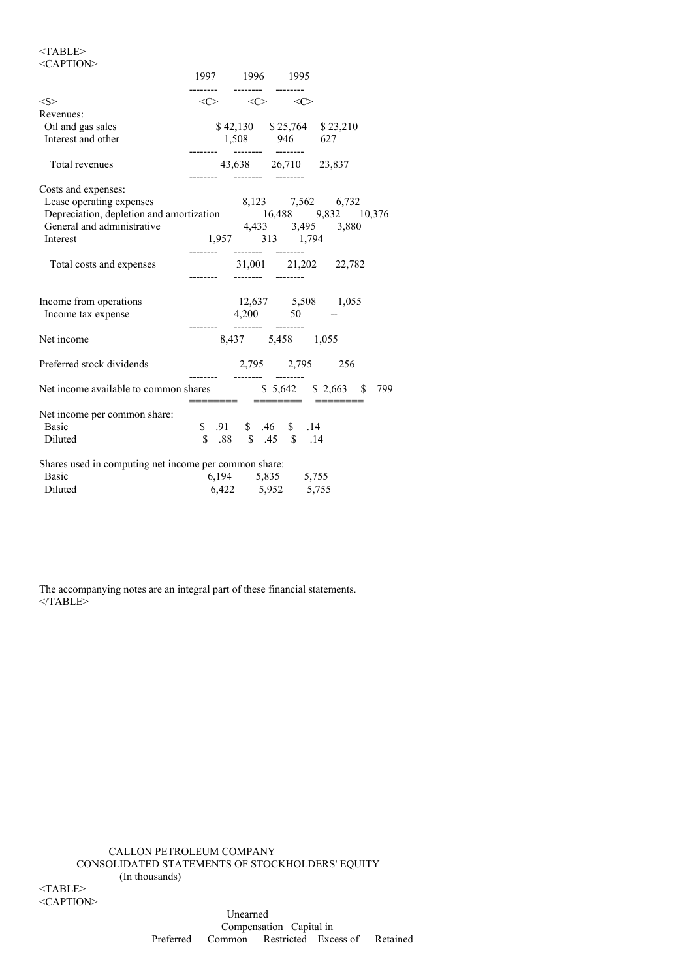# $<$ TABLE>

| $<$ CAPTION $>$                                                                                                                                                                                                                        |          |  |                                                                                       |  |                               |  |
|----------------------------------------------------------------------------------------------------------------------------------------------------------------------------------------------------------------------------------------|----------|--|---------------------------------------------------------------------------------------|--|-------------------------------|--|
|                                                                                                                                                                                                                                        |          |  | 1997 1996 1995                                                                        |  |                               |  |
| <s></s>                                                                                                                                                                                                                                |          |  | ------ ------- -------<br>$\langle C \rangle$ $\langle C \rangle$ $\langle C \rangle$ |  |                               |  |
| Revenues:                                                                                                                                                                                                                              |          |  |                                                                                       |  |                               |  |
| Oil and gas sales                                                                                                                                                                                                                      |          |  |                                                                                       |  | $$42,130$ $$25,764$ $$23,210$ |  |
| Interest and other                                                                                                                                                                                                                     |          |  | $1,508$ 946 627                                                                       |  |                               |  |
| Total revenues                                                                                                                                                                                                                         |          |  | -------- --------                                                                     |  | 43,638 26,710 23,837          |  |
| Costs and expenses:                                                                                                                                                                                                                    |          |  |                                                                                       |  |                               |  |
| Lease operating expenses                                                                                                                                                                                                               |          |  |                                                                                       |  | 8,123 7,562 6,732             |  |
| Depreciation, depletion and amortization<br>General and administrative data and all administrative data and all and administrative data and all and the data and all and the data and all and the data and all and $\frac{16,488}{3,4$ |          |  |                                                                                       |  |                               |  |
|                                                                                                                                                                                                                                        |          |  |                                                                                       |  |                               |  |
| Interest                                                                                                                                                                                                                               |          |  | 1,957 313 1,794                                                                       |  |                               |  |
| Total costs and expenses                                                                                                                                                                                                               | -------- |  |                                                                                       |  | 31,001 21,202 22,782          |  |
| Income from operations                                                                                                                                                                                                                 |          |  |                                                                                       |  | 12,637 5,508 1,055            |  |
| Income tax expense                                                                                                                                                                                                                     |          |  | $4,200$ 50 -                                                                          |  |                               |  |
| Net income                                                                                                                                                                                                                             |          |  | -------- --------<br>8,437 5,458 1,055                                                |  |                               |  |
| Preferred stock dividends                                                                                                                                                                                                              |          |  |                                                                                       |  | 2,795 2,795 256               |  |
| Net income available to common shares \$5,642 \$2,663 \$799                                                                                                                                                                            |          |  |                                                                                       |  |                               |  |
| Net income per common share:                                                                                                                                                                                                           |          |  |                                                                                       |  |                               |  |
| <b>Basic</b>                                                                                                                                                                                                                           |          |  | $$.91$ $$.46$ $$.14$                                                                  |  |                               |  |
| Diluted                                                                                                                                                                                                                                |          |  | \$ .88 \$ .45 \$ .14                                                                  |  |                               |  |
| Shares used in computing net income per common share:                                                                                                                                                                                  |          |  |                                                                                       |  |                               |  |
| Basic                                                                                                                                                                                                                                  |          |  | 6,194 5,835 5,755                                                                     |  |                               |  |
| Diluted                                                                                                                                                                                                                                |          |  | 6,422 5,952 5,755                                                                     |  |                               |  |

The accompanying notes are an integral part of these financial statements.  $<$ /TABLE>

CALLON PETROLEUM COMPANY CONSOLIDATED STATEMENTS OF STOCKHOLDERS' EQUITY (In thousands) <TABLE>

<CAPTION>

Unearned Compensation Capital in Preferred Common Restricted Excess of Retained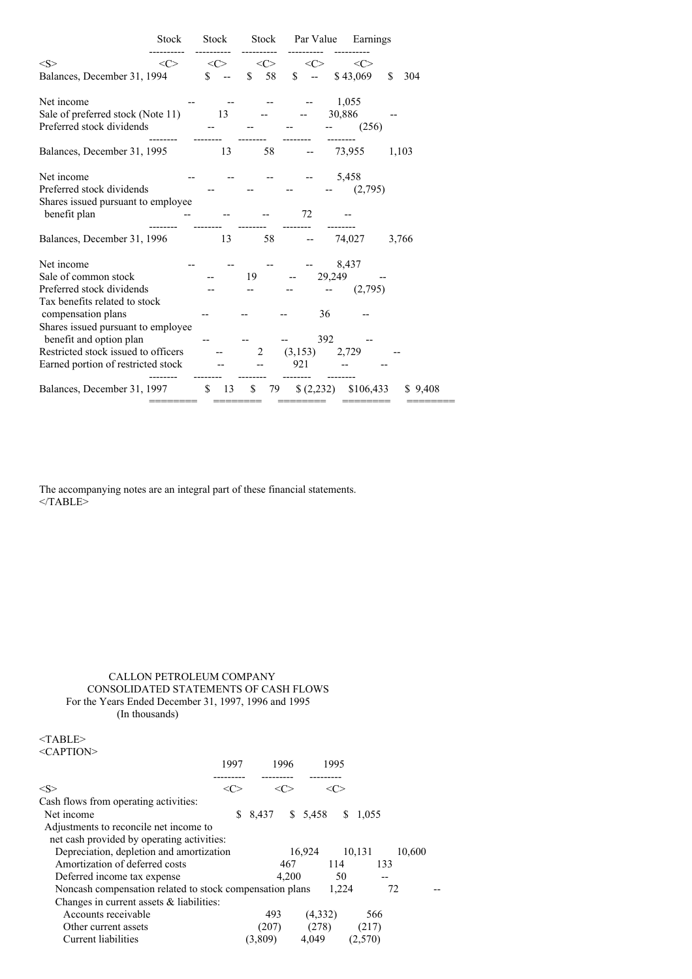|                                                                                                                                                                                                                                                                      | Stock               | Stock               |               | Stock Par Value                                                   | Earnings                             |
|----------------------------------------------------------------------------------------------------------------------------------------------------------------------------------------------------------------------------------------------------------------------|---------------------|---------------------|---------------|-------------------------------------------------------------------|--------------------------------------|
| < S >                                                                                                                                                                                                                                                                | $\langle C \rangle$ | $\langle C \rangle$ | <<>           | <<>                                                               | $\langle C \rangle$                  |
| Balances, December 31, 1994                                                                                                                                                                                                                                          |                     | $\mathbb{S}$        | <sup>\$</sup> | 58 \$                                                             | $-$ \$43,069<br><sup>\$</sup><br>304 |
| Net income<br>Sale of preferred stock (Note 11) 13<br>Preferred stock dividends                                                                                                                                                                                      |                     |                     |               |                                                                   | 1,055<br>30,886<br>(256)             |
| Balances, December 31, 1995                                                                                                                                                                                                                                          |                     | 13                  | 58            |                                                                   | 73,955<br>1,103                      |
| Net income<br>Preferred stock dividends<br>Shares issued pursuant to employee<br>benefit plan                                                                                                                                                                        |                     |                     |               | 72                                                                | 5,458<br>(2,795)                     |
| Balances, December 31, 1996                                                                                                                                                                                                                                          |                     | 13                  | 58            |                                                                   | 74,027 3,766                         |
| Net income<br>Sale of common stock<br>Preferred stock dividends<br>Tax benefits related to stock<br>compensation plans<br>Shares issued pursuant to employee<br>benefit and option plan<br>Restricted stock issued to officers<br>Earned portion of restricted stock |                     |                     | 19<br>2       | 29,249<br><b>Contract Contract</b><br>36<br>392<br>(3,153)<br>921 | 8,437<br>(2,795)<br>2,729            |
| Balances, December 31, 1997                                                                                                                                                                                                                                          |                     | $\frac{13}{2}$      | \$79          | (2,232)                                                           | \$106,433<br>\$9,408                 |

The accompanying notes are an integral part of these financial statements.  $<$ /TABLE>

## CALLON PETROLEUM COMPANY CONSOLIDATED STATEMENTS OF CASH FLOWS For the Years Ended December 31, 1997, 1996 and 1995 (In thousands)

| $<$ TABLE><br>$\leq$ CAPTION $>$                                                     |       |         |         |             |        |  |
|--------------------------------------------------------------------------------------|-------|---------|---------|-------------|--------|--|
|                                                                                      | 1997  | 1996    | 1995    |             |        |  |
| $<\leq>$                                                                             | <( '> | <c></c> | <( '>   |             |        |  |
| Cash flows from operating activities:                                                |       |         |         |             |        |  |
| Net income                                                                           | S     | 8.437   | \$5,458 | S.<br>1,055 |        |  |
| Adjustments to reconcile net income to<br>net cash provided by operating activities: |       |         |         |             |        |  |
| Depreciation, depletion and amortization                                             |       |         | 16,924  | 10,131      | 10,600 |  |
| Amortization of deferred costs                                                       |       | 467     | 114     | 133         |        |  |
| Deferred income tax expense                                                          |       | 4.200   | 50      |             |        |  |
| Noncash compensation related to stock compensation plans                             |       |         | 1,224   |             | 72     |  |
| Changes in current assets $\&$ liabilities:                                          |       |         |         |             |        |  |
| Accounts receivable                                                                  |       | 493     | (4,332) | 566         |        |  |
| Other current assets                                                                 |       | (207)   | (278)   | (217)       |        |  |
| Current liabilities                                                                  |       | (3,809) | 4,049   | (2,570)     |        |  |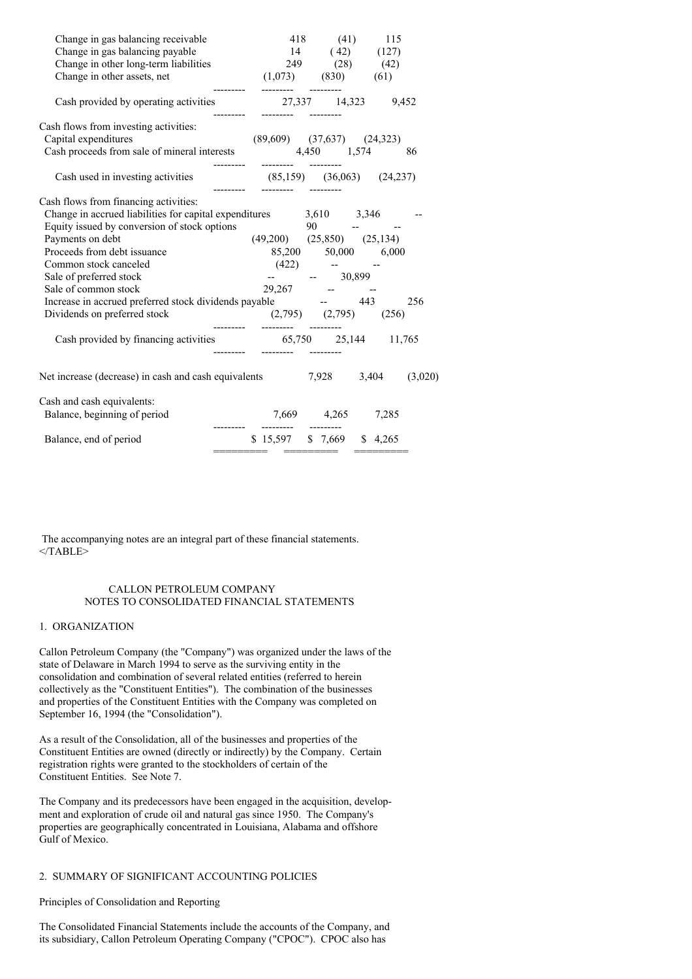| Change in gas balancing receivable<br>Change in gas balancing payable                                                                                                                                                                                                                                                                                                                                                    | $14(42)$ $(127)$                                                                   | 418 (41) 115 |     |
|--------------------------------------------------------------------------------------------------------------------------------------------------------------------------------------------------------------------------------------------------------------------------------------------------------------------------------------------------------------------------------------------------------------------------|------------------------------------------------------------------------------------|--------------|-----|
| Change in other long-term liabilities<br>Change in other long-term liabilities<br>$249$ (28) (42)<br>Change in other assets, net (1,073) (830) (61)                                                                                                                                                                                                                                                                      |                                                                                    |              |     |
| ---------<br>Cash provided by operating activities $27,337$ 14,323 9,452                                                                                                                                                                                                                                                                                                                                                 |                                                                                    |              |     |
| Cash flows from investing activities:<br>Capital expenditures<br>Cash proceeds from sale of mineral interests 4,450 1,574 86                                                                                                                                                                                                                                                                                             | $(89,609)$ $(37,637)$ $(24,323)$<br>---------  --------  --------                  |              |     |
| Cash used in investing activities $(85,159)$ $(36,063)$ $(24,237)$                                                                                                                                                                                                                                                                                                                                                       |                                                                                    |              |     |
| Cash flows from financing activities:<br>Change in accrued liabilities for capital expenditures 3,610 3,346<br>Equity issued by conversion of stock options<br>Payments on debt<br>Proceeds from debt issuance<br>Common stock canceled<br>Sale of preferred stock<br>Sale of common stock<br>Increase in accrued preferred stock dividends payable - 443<br>$(2,795)$ $(2,795)$ $(256)$<br>Dividends on preferred stock | $90 - - -$<br>$(49,200)$ $(25,850)$ $(25,134)$<br>85,200 50,000 6,000<br>$(422)$ - | $ -$ 30,899  | 256 |
| Cash provided by financing activities 65,750 25,144 11,765                                                                                                                                                                                                                                                                                                                                                               |                                                                                    |              |     |
| Net increase (decrease) in cash and cash equivalents $7,928$ $3,404$ $(3,020)$                                                                                                                                                                                                                                                                                                                                           |                                                                                    |              |     |
| Cash and cash equivalents:<br>Balance, beginning of period                                                                                                                                                                                                                                                                                                                                                               | 7,669 4,265 7,285                                                                  |              |     |
| Balance, end of period                                                                                                                                                                                                                                                                                                                                                                                                   | \$15,597 \$7,669 \$4,265                                                           |              |     |
|                                                                                                                                                                                                                                                                                                                                                                                                                          |                                                                                    |              |     |

The accompanying notes are an integral part of these financial statements. </TABLE>

## CALLON PETROLEUM COMPANY NOTES TO CONSOLIDATED FINANCIAL STATEMENTS

## 1. ORGANIZATION

Callon Petroleum Company (the "Company") was organized under the laws of the state of Delaware in March 1994 to serve as the surviving entity in the consolidation and combination of several related entities (referred to herein collectively as the "Constituent Entities"). The combination of the businesses and properties of the Constituent Entities with the Company was completed on September 16, 1994 (the "Consolidation").

As a result of the Consolidation, all of the businesses and properties of the Constituent Entities are owned (directly or indirectly) by the Company. Certain registration rights were granted to the stockholders of certain of the Constituent Entities. See Note 7.

The Company and its predecessors have been engaged in the acquisition, development and exploration of crude oil and natural gas since 1950. The Company's properties are geographically concentrated in Louisiana, Alabama and offshore Gulf of Mexico.

## 2. SUMMARY OF SIGNIFICANT ACCOUNTING POLICIES

## Principles of Consolidation and Reporting

The Consolidated Financial Statements include the accounts of the Company, and its subsidiary, Callon Petroleum Operating Company ("CPOC"). CPOC also has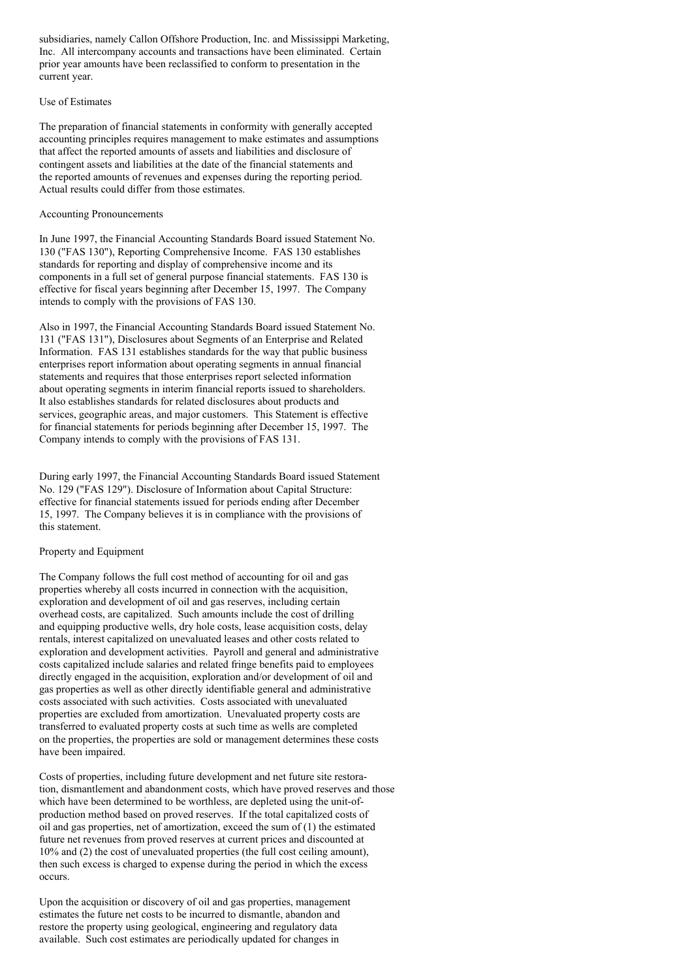subsidiaries, namely Callon Offshore Production, Inc. and Mississippi Marketing, Inc. All intercompany accounts and transactions have been eliminated. Certain prior year amounts have been reclassified to conform to presentation in the current year.

### Use of Estimates

The preparation of financial statements in conformity with generally accepted accounting principles requires management to make estimates and assumptions that affect the reported amounts of assets and liabilities and disclosure of contingent assets and liabilities at the date of the financial statements and the reported amounts of revenues and expenses during the reporting period. Actual results could differ from those estimates.

## Accounting Pronouncements

In June 1997, the Financial Accounting Standards Board issued Statement No. 130 ("FAS 130"), Reporting Comprehensive Income. FAS 130 establishes standards for reporting and display of comprehensive income and its components in a full set of general purpose financial statements. FAS 130 is effective for fiscal years beginning after December 15, 1997. The Company intends to comply with the provisions of FAS 130.

Also in 1997, the Financial Accounting Standards Board issued Statement No. 131 ("FAS 131"), Disclosures about Segments of an Enterprise and Related Information. FAS 131 establishes standards for the way that public business enterprises report information about operating segments in annual financial statements and requires that those enterprises report selected information about operating segments in interim financial reports issued to shareholders. It also establishes standards for related disclosures about products and services, geographic areas, and major customers. This Statement is effective for financial statements for periods beginning after December 15, 1997. The Company intends to comply with the provisions of FAS 131.

During early 1997, the Financial Accounting Standards Board issued Statement No. 129 ("FAS 129"). Disclosure of Information about Capital Structure: effective for financial statements issued for periods ending after December 15, 1997. The Company believes it is in compliance with the provisions of this statement.

## Property and Equipment

The Company follows the full cost method of accounting for oil and gas properties whereby all costs incurred in connection with the acquisition, exploration and development of oil and gas reserves, including certain overhead costs, are capitalized. Such amounts include the cost of drilling and equipping productive wells, dry hole costs, lease acquisition costs, delay rentals, interest capitalized on unevaluated leases and other costs related to exploration and development activities. Payroll and general and administrative costs capitalized include salaries and related fringe benefits paid to employees directly engaged in the acquisition, exploration and/or development of oil and gas properties as well as other directly identifiable general and administrative costs associated with such activities. Costs associated with unevaluated properties are excluded from amortization. Unevaluated property costs are transferred to evaluated property costs at such time as wells are completed on the properties, the properties are sold or management determines these costs have been impaired.

Costs of properties, including future development and net future site restoration, dismantlement and abandonment costs, which have proved reserves and those which have been determined to be worthless, are depleted using the unit-ofproduction method based on proved reserves. If the total capitalized costs of oil and gas properties, net of amortization, exceed the sum of (1) the estimated future net revenues from proved reserves at current prices and discounted at 10% and (2) the cost of unevaluated properties (the full cost ceiling amount), then such excess is charged to expense during the period in which the excess occurs.

Upon the acquisition or discovery of oil and gas properties, management estimates the future net costs to be incurred to dismantle, abandon and restore the property using geological, engineering and regulatory data available. Such cost estimates are periodically updated for changes in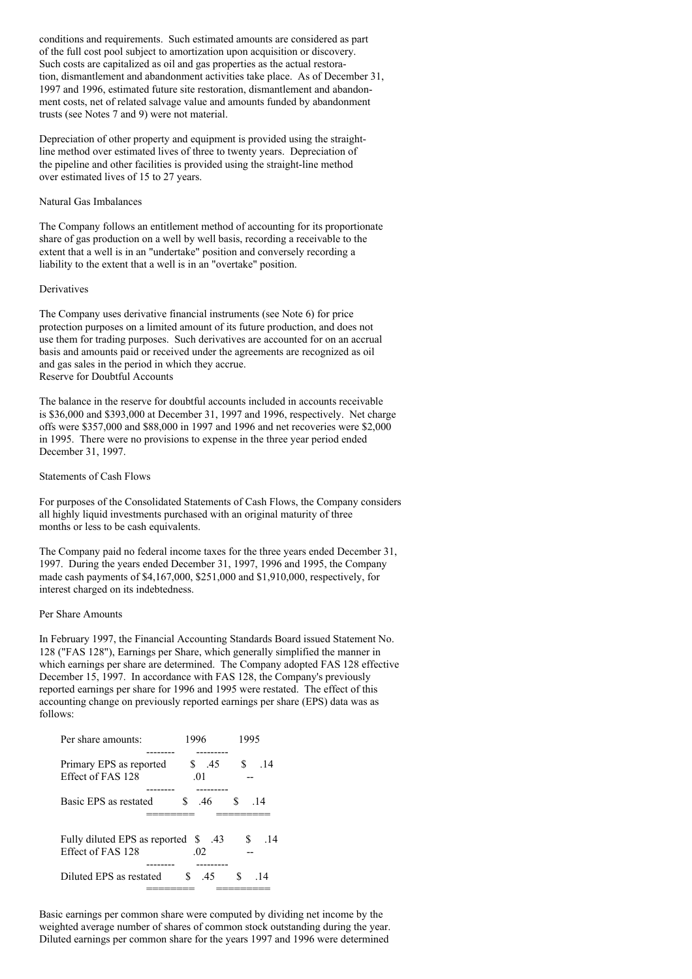conditions and requirements. Such estimated amounts are considered as part of the full cost pool subject to amortization upon acquisition or discovery. Such costs are capitalized as oil and gas properties as the actual restoration, dismantlement and abandonment activities take place. As of December 31, 1997 and 1996, estimated future site restoration, dismantlement and abandonment costs, net of related salvage value and amounts funded by abandonment trusts (see Notes 7 and 9) were not material.

Depreciation of other property and equipment is provided using the straightline method over estimated lives of three to twenty years. Depreciation of the pipeline and other facilities is provided using the straight-line method over estimated lives of 15 to 27 years.

### Natural Gas Imbalances

The Company follows an entitlement method of accounting for its proportionate share of gas production on a well by well basis, recording a receivable to the extent that a well is in an "undertake" position and conversely recording a liability to the extent that a well is in an "overtake" position.

#### **Derivatives**

The Company uses derivative financial instruments (see Note 6) for price protection purposes on a limited amount of its future production, and does not use them for trading purposes. Such derivatives are accounted for on an accrual basis and amounts paid or received under the agreements are recognized as oil and gas sales in the period in which they accrue. Reserve for Doubtful Accounts

The balance in the reserve for doubtful accounts included in accounts receivable is \$36,000 and \$393,000 at December 31, 1997 and 1996, respectively. Net charge offs were \$357,000 and \$88,000 in 1997 and 1996 and net recoveries were \$2,000 in 1995. There were no provisions to expense in the three year period ended December 31, 1997.

## Statements of Cash Flows

For purposes of the Consolidated Statements of Cash Flows, the Company considers all highly liquid investments purchased with an original maturity of three months or less to be cash equivalents.

The Company paid no federal income taxes for the three years ended December 31, 1997. During the years ended December 31, 1997, 1996 and 1995, the Company made cash payments of \$4,167,000, \$251,000 and \$1,910,000, respectively, for interest charged on its indebtedness.

## Per Share Amounts

In February 1997, the Financial Accounting Standards Board issued Statement No. 128 ("FAS 128"), Earnings per Share, which generally simplified the manner in which earnings per share are determined. The Company adopted FAS 128 effective December 15, 1997. In accordance with FAS 128, the Company's previously reported earnings per share for 1996 and 1995 were restated. The effect of this accounting change on previously reported earnings per share (EPS) data was as follows:

| Per share amounts:                                          | 1996         | 1995                |              |                 |
|-------------------------------------------------------------|--------------|---------------------|--------------|-----------------|
|                                                             |              |                     |              |                 |
| Primary EPS as reported                                     |              | \$ .45              | S.           | $\overline{14}$ |
| Effect of FAS 128                                           | .01          |                     |              |                 |
|                                                             |              |                     |              |                 |
| Basic EPS as restated                                       | $\mathbf{s}$ | <sup>S</sup><br>-46 | .14          |                 |
|                                                             |              |                     |              |                 |
| 43. Fully diluted EPS as reported \$43<br>Effect of FAS 128 |              | .02                 | $\mathbb{S}$ | .14             |
|                                                             |              |                     |              |                 |
| Diluted EPS as restated                                     | S.           | .45                 | S.           | . 14            |
|                                                             |              |                     |              |                 |

Basic earnings per common share were computed by dividing net income by the weighted average number of shares of common stock outstanding during the year. Diluted earnings per common share for the years 1997 and 1996 were determined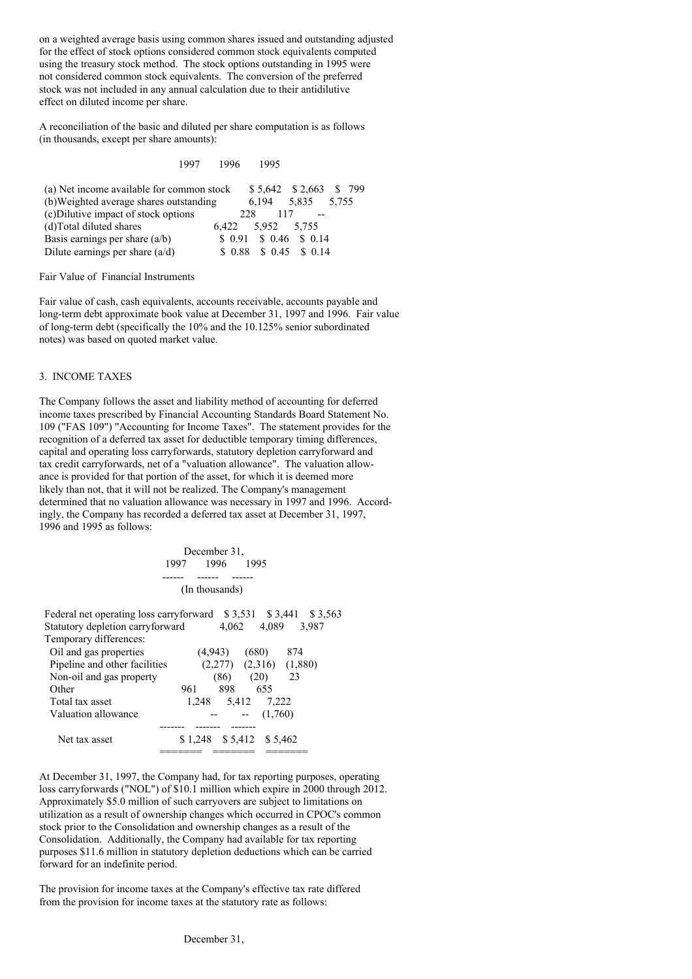on a weighted average basis using common shares issued and outstanding adjusted for the effect of stock options considered common stock equivalents computed using the treasury stock method. The stock options outstanding in 1995 were not considered common stock equivalents. The conversion of the preferred stock was not included in any annual calculation due to their antidilutive effect on diluted income per share.

A reconciliation of the basic and diluted per share computation is as follows (in thousands, except per share amounts):

1997 1996 1995

| (a) Net income available for common stock |                   |     |       | $$5,642$ $$2,663$ $$799$  |  |
|-------------------------------------------|-------------------|-----|-------|---------------------------|--|
| (b) Weighted average shares outstanding   |                   |     | 6.194 | 5.835 5.755               |  |
| (c) Dilutive impact of stock options      |                   | 228 | 117   |                           |  |
| (d) Total diluted shares                  | 6.422 5.952 5.755 |     |       |                           |  |
| Basis earnings per share $(a/b)$          |                   |     |       | $$0.91$ $$0.46$ $$0.14$   |  |
| Dilute earnings per share $(a/d)$         |                   |     |       | $$0.88$$ $$0.45$$ $$0.14$ |  |

Fair Value of Financial Instruments

Fair value of cash, cash equivalents, accounts receivable, accounts payable and long-term debt approximate book value at December 31, 1997 and 1996. Fair value of long-term debt (specifically the 10% and the 10.125% senior subordinated notes) was based on quoted market value.

## 3. INCOME TAXES

The Company follows the asset and liability method of accounting for deferred income taxes prescribed by Financial Accounting Standards Board Statement No. 109 ("FAS 109") "Accounting for Income Taxes". The statement provides for the recognition of a deferred tax asset for deductible temporary timing differences, capital and operating loss carryforwards, statutory depletion carryforward and tax credit carryforwards, net of a "valuation allowance". The valuation allowance is provided for that portion of the asset, for which it is deemed more likely than not, that it will not be realized. The Company's management determined that no valuation allowance was necessary in 1997 and 1996. Accordingly, the Company has recorded a deferred tax asset at December 31, 1997, 1996 and 1995 as follows:

> December 31, 1997 1996 1995 ------ ------ ------ (In thousands)

Federal net operating loss carryforward \$ 3,531 \$ 3,441 \$ 3,563 Statutory depletion carryforward  $4,062$  4,089 3,987 Temporary differences:

| i emporar y universites.      |     |         |                            |       |         |         |  |
|-------------------------------|-----|---------|----------------------------|-------|---------|---------|--|
| Oil and gas properties        |     | (4,943) |                            | (680) |         | 874     |  |
| Pipeline and other facilities |     |         | (2,277)                    |       | (2,316) | (1,880) |  |
| Non-oil and gas property      |     |         | (86)                       | (20)  |         | 23      |  |
| Other                         | 961 |         | 898                        |       | 655     |         |  |
| Total tax asset               |     | 1.248   | 5,412                      |       | 7,222   |         |  |
| Valuation allowance           |     |         |                            |       | (1,760) |         |  |
|                               |     |         |                            |       |         |         |  |
| Net tax asset                 |     |         | $$1,248$ $$5,412$ $$5,462$ |       |         |         |  |
|                               |     |         |                            |       |         |         |  |
|                               |     |         |                            |       |         |         |  |

At December 31, 1997, the Company had, for tax reporting purposes, operating loss carryforwards ("NOL") of \$10.1 million which expire in 2000 through 2012. Approximately \$5.0 million of such carryovers are subject to limitations on utilization as a result of ownership changes which occurred in CPOC's common stock prior to the Consolidation and ownership changes as a result of the Consolidation. Additionally, the Company had available for tax reporting purposes \$11.6 million in statutory depletion deductions which can be carried forward for an indefinite period.

The provision for income taxes at the Company's effective tax rate differed from the provision for income taxes at the statutory rate as follows: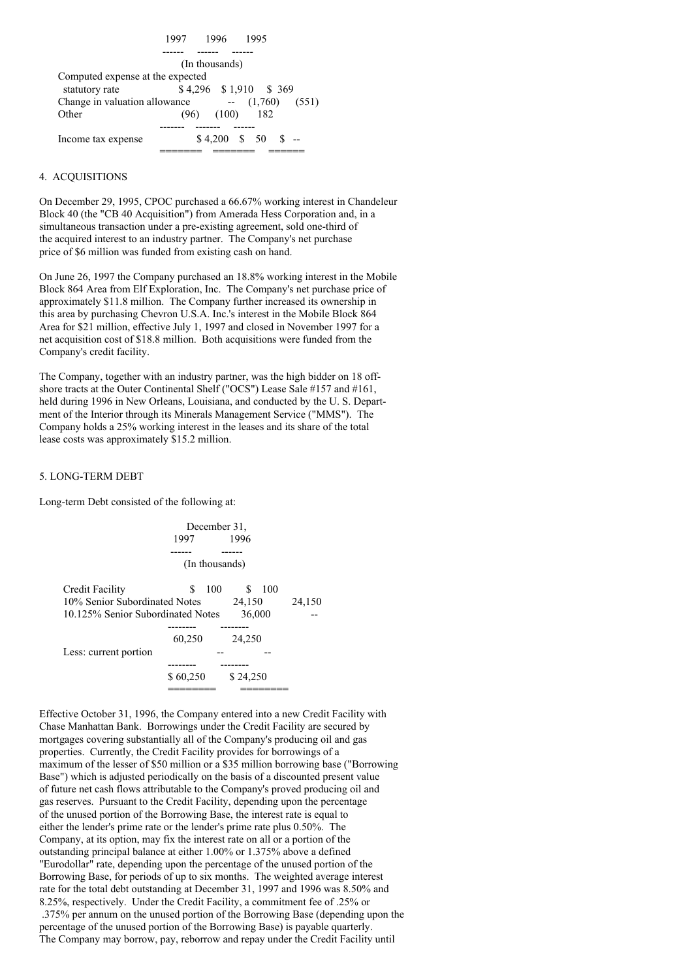

### 4. ACQUISITIONS

On December 29, 1995, CPOC purchased a 66.67% working interest in Chandeleur Block 40 (the "CB 40 Acquisition") from Amerada Hess Corporation and, in a simultaneous transaction under a pre-existing agreement, sold one-third of the acquired interest to an industry partner. The Company's net purchase price of \$6 million was funded from existing cash on hand.

On June 26, 1997 the Company purchased an 18.8% working interest in the Mobile Block 864 Area from Elf Exploration, Inc. The Company's net purchase price of approximately \$11.8 million. The Company further increased its ownership in this area by purchasing Chevron U.S.A. Inc.'s interest in the Mobile Block 864 Area for \$21 million, effective July 1, 1997 and closed in November 1997 for a net acquisition cost of \$18.8 million. Both acquisitions were funded from the Company's credit facility.

The Company, together with an industry partner, was the high bidder on 18 offshore tracts at the Outer Continental Shelf ("OCS") Lease Sale #157 and #161, held during 1996 in New Orleans, Louisiana, and conducted by the U. S. Department of the Interior through its Minerals Management Service ("MMS"). The Company holds a 25% working interest in the leases and its share of the total lease costs was approximately \$15.2 million.

## 5. LONG-TERM DEBT

Long-term Debt consisted of the following at:



Effective October 31, 1996, the Company entered into a new Credit Facility with Chase Manhattan Bank. Borrowings under the Credit Facility are secured by mortgages covering substantially all of the Company's producing oil and gas properties. Currently, the Credit Facility provides for borrowings of a maximum of the lesser of \$50 million or a \$35 million borrowing base ("Borrowing Base") which is adjusted periodically on the basis of a discounted present value of future net cash flows attributable to the Company's proved producing oil and gas reserves. Pursuant to the Credit Facility, depending upon the percentage of the unused portion of the Borrowing Base, the interest rate is equal to either the lender's prime rate or the lender's prime rate plus 0.50%. The Company, at its option, may fix the interest rate on all or a portion of the outstanding principal balance at either 1.00% or 1.375% above a defined "Eurodollar" rate, depending upon the percentage of the unused portion of the Borrowing Base, for periods of up to six months. The weighted average interest rate for the total debt outstanding at December 31, 1997 and 1996 was 8.50% and 8.25%, respectively. Under the Credit Facility, a commitment fee of .25% or .375% per annum on the unused portion of the Borrowing Base (depending upon the percentage of the unused portion of the Borrowing Base) is payable quarterly. The Company may borrow, pay, reborrow and repay under the Credit Facility until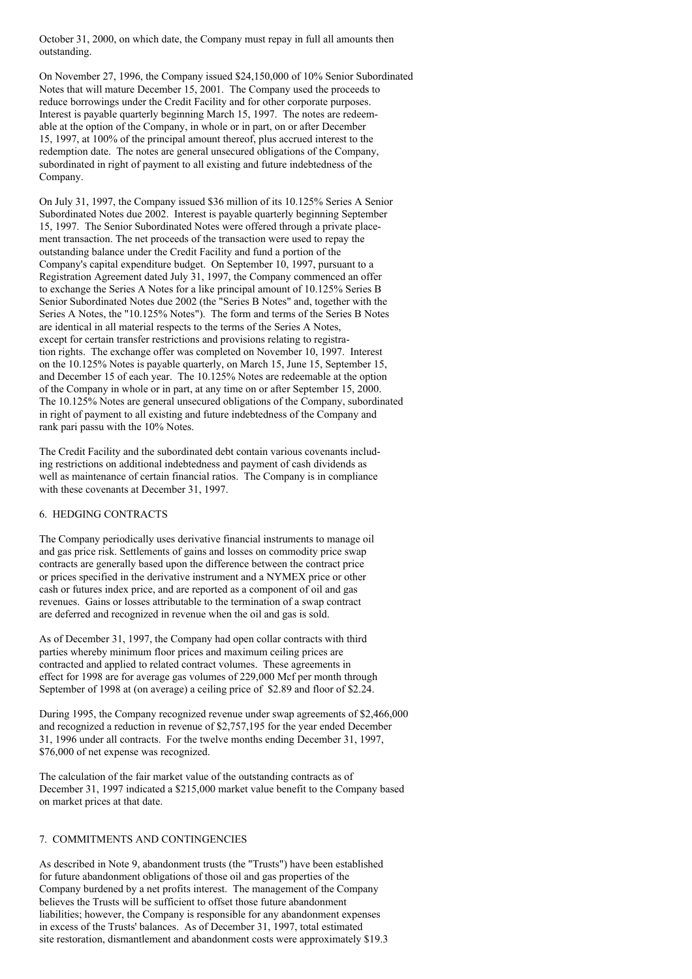October 31, 2000, on which date, the Company must repay in full all amounts then outstanding.

On November 27, 1996, the Company issued \$24,150,000 of 10% Senior Subordinated Notes that will mature December 15, 2001. The Company used the proceeds to reduce borrowings under the Credit Facility and for other corporate purposes. Interest is payable quarterly beginning March 15, 1997. The notes are redeemable at the option of the Company, in whole or in part, on or after December 15, 1997, at 100% of the principal amount thereof, plus accrued interest to the redemption date. The notes are general unsecured obligations of the Company, subordinated in right of payment to all existing and future indebtedness of the Company.

On July 31, 1997, the Company issued \$36 million of its 10.125% Series A Senior Subordinated Notes due 2002. Interest is payable quarterly beginning September 15, 1997. The Senior Subordinated Notes were offered through a private placement transaction. The net proceeds of the transaction were used to repay the outstanding balance under the Credit Facility and fund a portion of the Company's capital expenditure budget. On September 10, 1997, pursuant to a Registration Agreement dated July 31, 1997, the Company commenced an offer to exchange the Series A Notes for a like principal amount of 10.125% Series B Senior Subordinated Notes due 2002 (the "Series B Notes" and, together with the Series A Notes, the "10.125% Notes"). The form and terms of the Series B Notes are identical in all material respects to the terms of the Series A Notes, except for certain transfer restrictions and provisions relating to registration rights. The exchange offer was completed on November 10, 1997. Interest on the 10.125% Notes is payable quarterly, on March 15, June 15, September 15, and December 15 of each year. The 10.125% Notes are redeemable at the option of the Company in whole or in part, at any time on or after September 15, 2000. The 10.125% Notes are general unsecured obligations of the Company, subordinated in right of payment to all existing and future indebtedness of the Company and rank pari passu with the 10% Notes.

The Credit Facility and the subordinated debt contain various covenants including restrictions on additional indebtedness and payment of cash dividends as well as maintenance of certain financial ratios. The Company is in compliance with these covenants at December 31, 1997.

## 6. HEDGING CONTRACTS

The Company periodically uses derivative financial instruments to manage oil and gas price risk. Settlements of gains and losses on commodity price swap contracts are generally based upon the difference between the contract price or prices specified in the derivative instrument and a NYMEX price or other cash or futures index price, and are reported as a component of oil and gas revenues. Gains or losses attributable to the termination of a swap contract are deferred and recognized in revenue when the oil and gas is sold.

As of December 31, 1997, the Company had open collar contracts with third parties whereby minimum floor prices and maximum ceiling prices are contracted and applied to related contract volumes. These agreements in effect for 1998 are for average gas volumes of 229,000 Mcf per month through September of 1998 at (on average) a ceiling price of \$2.89 and floor of \$2.24.

During 1995, the Company recognized revenue under swap agreements of \$2,466,000 and recognized a reduction in revenue of \$2,757,195 for the year ended December 31, 1996 under all contracts. For the twelve months ending December 31, 1997, \$76,000 of net expense was recognized.

The calculation of the fair market value of the outstanding contracts as of December 31, 1997 indicated a \$215,000 market value benefit to the Company based on market prices at that date.

#### 7. COMMITMENTS AND CONTINGENCIES

As described in Note 9, abandonment trusts (the "Trusts") have been established for future abandonment obligations of those oil and gas properties of the Company burdened by a net profits interest. The management of the Company believes the Trusts will be sufficient to offset those future abandonment liabilities; however, the Company is responsible for any abandonment expenses in excess of the Trusts' balances. As of December 31, 1997, total estimated site restoration, dismantlement and abandonment costs were approximately \$19.3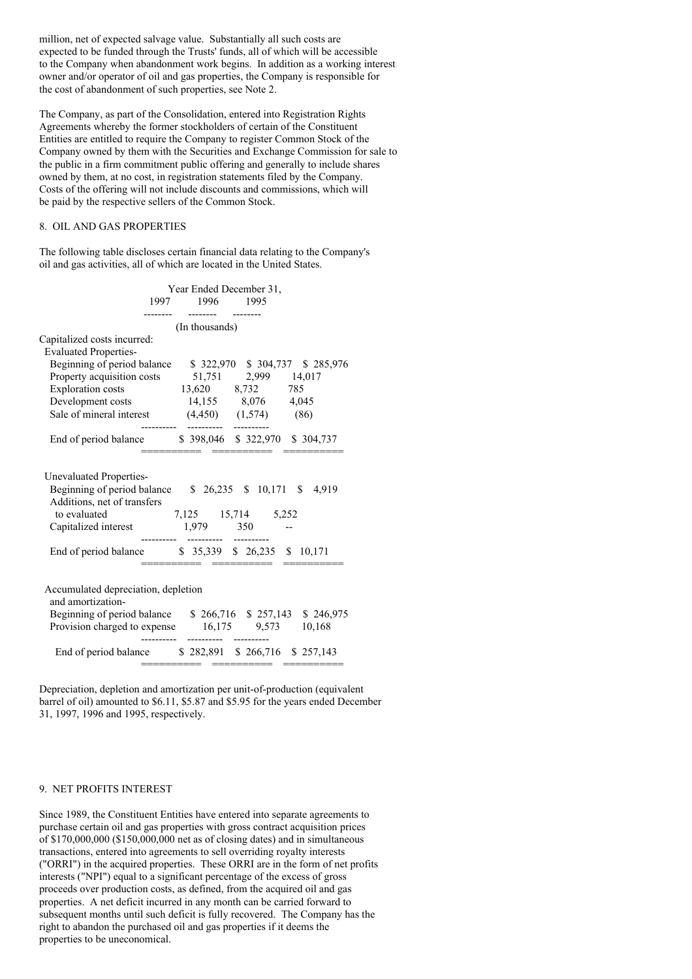million, net of expected salvage value. Substantially all such costs are expected to be funded through the Trusts' funds, all of which will be accessible to the Company when abandonment work begins. In addition as a working interest owner and/or operator of oil and gas properties, the Company is responsible for the cost of abandonment of such properties, see Note 2.

The Company, as part of the Consolidation, entered into Registration Rights Agreements whereby the former stockholders of certain of the Constituent Entities are entitled to require the Company to register Common Stock of the Company owned by them with the Securities and Exchange Commission for sale to the public in a firm commitment public offering and generally to include shares owned by them, at no cost, in registration statements filed by the Company. Costs of the offering will not include discounts and commissions, which will be paid by the respective sellers of the Common Stock.

## 8. OIL AND GAS PROPERTIES

The following table discloses certain financial data relating to the Company's oil and gas activities, all of which are located in the United States.

|                                                                                                                       | Year Ended December 31,<br>1997 1996 1995 |                     |                               |
|-----------------------------------------------------------------------------------------------------------------------|-------------------------------------------|---------------------|-------------------------------|
|                                                                                                                       | (In thousands)                            |                     |                               |
| Capitalized costs incurred:                                                                                           |                                           |                     |                               |
| <b>Evaluated Properties-</b>                                                                                          |                                           |                     |                               |
| Beginning of period balance                                                                                           |                                           |                     | \$322,970 \$304,737 \$285,976 |
| Property acquisition costs                                                                                            |                                           | 51,751 2,999 14,017 |                               |
| <b>Exploration</b> costs                                                                                              | 13,620 8,732 785                          |                     |                               |
| Development costs 14,155 8,076 4,045                                                                                  |                                           |                     |                               |
| Sale of mineral interest $(4,450)$ $(1,574)$ $(86)$                                                                   |                                           |                     |                               |
| End of period balance \$398,046 \$322,970 \$304,737                                                                   |                                           |                     |                               |
|                                                                                                                       |                                           |                     |                               |
| <b>Unevaluated Properties-</b>                                                                                        |                                           |                     |                               |
| Beginning of period balance $$26,235$ $$10,171$ $$$<br>Additions, net of transfers                                    |                                           |                     | 4,919                         |
| to evaluated                                                                                                          | 7,125 15,714 5,252                        |                     |                               |
| Capitalized interest 1,979 350 --                                                                                     |                                           |                     |                               |
|                                                                                                                       |                                           |                     |                               |
| End of period balance \$35,339 \$26,235 \$10,171                                                                      |                                           |                     |                               |
| Accumulated depreciation, depletion<br>and amortization-<br>Beginning of period balance \$266,716 \$257,143 \$246,975 |                                           |                     |                               |
| Provision charged to expense 16,175 9,573 10,168                                                                      |                                           |                     |                               |
| End of period balance \$282,891 \$266,716 \$257,143                                                                   |                                           |                     |                               |

Depreciation, depletion and amortization per unit-of-production (equivalent barrel of oil) amounted to \$6.11, \$5.87 and \$5.95 for the years ended December 31, 1997, 1996 and 1995, respectively.

## 9. NET PROFITS INTEREST

Since 1989, the Constituent Entities have entered into separate agreements to purchase certain oil and gas properties with gross contract acquisition prices of \$170,000,000 (\$150,000,000 net as of closing dates) and in simultaneous transactions, entered into agreements to sell overriding royalty interests ("ORRI") in the acquired properties. These ORRI are in the form of net profits interests ("NPI") equal to a significant percentage of the excess of gross proceeds over production costs, as defined, from the acquired oil and gas properties. A net deficit incurred in any month can be carried forward to subsequent months until such deficit is fully recovered. The Company has the right to abandon the purchased oil and gas properties if it deems the properties to be uneconomical.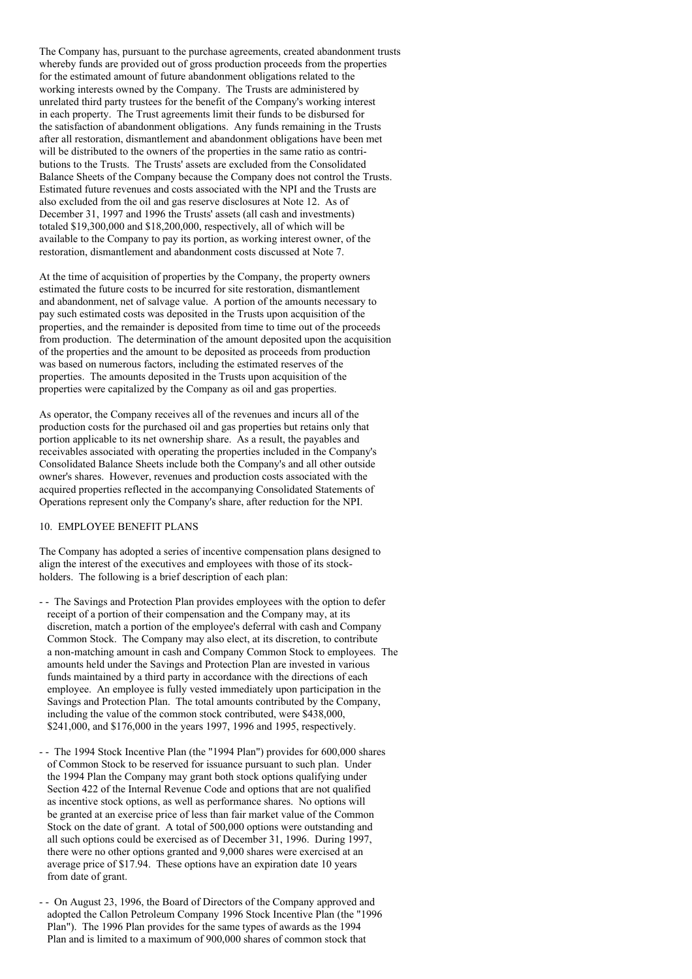The Company has, pursuant to the purchase agreements, created abandonment trusts whereby funds are provided out of gross production proceeds from the properties for the estimated amount of future abandonment obligations related to the working interests owned by the Company. The Trusts are administered by unrelated third party trustees for the benefit of the Company's working interest in each property. The Trust agreements limit their funds to be disbursed for the satisfaction of abandonment obligations. Any funds remaining in the Trusts after all restoration, dismantlement and abandonment obligations have been met will be distributed to the owners of the properties in the same ratio as contributions to the Trusts. The Trusts' assets are excluded from the Consolidated Balance Sheets of the Company because the Company does not control the Trusts. Estimated future revenues and costs associated with the NPI and the Trusts are also excluded from the oil and gas reserve disclosures at Note 12. As of December 31, 1997 and 1996 the Trusts' assets (all cash and investments) totaled \$19,300,000 and \$18,200,000, respectively, all of which will be available to the Company to pay its portion, as working interest owner, of the restoration, dismantlement and abandonment costs discussed at Note 7.

At the time of acquisition of properties by the Company, the property owners estimated the future costs to be incurred for site restoration, dismantlement and abandonment, net of salvage value. A portion of the amounts necessary to pay such estimated costs was deposited in the Trusts upon acquisition of the properties, and the remainder is deposited from time to time out of the proceeds from production. The determination of the amount deposited upon the acquisition of the properties and the amount to be deposited as proceeds from production was based on numerous factors, including the estimated reserves of the properties. The amounts deposited in the Trusts upon acquisition of the properties were capitalized by the Company as oil and gas properties.

As operator, the Company receives all of the revenues and incurs all of the production costs for the purchased oil and gas properties but retains only that portion applicable to its net ownership share. As a result, the payables and receivables associated with operating the properties included in the Company's Consolidated Balance Sheets include both the Company's and all other outside owner's shares. However, revenues and production costs associated with the acquired properties reflected in the accompanying Consolidated Statements of Operations represent only the Company's share, after reduction for the NPI.

## 10. EMPLOYEE BENEFIT PLANS

The Company has adopted a series of incentive compensation plans designed to align the interest of the executives and employees with those of its stockholders. The following is a brief description of each plan:

- - The Savings and Protection Plan provides employees with the option to defer receipt of a portion of their compensation and the Company may, at its discretion, match a portion of the employee's deferral with cash and Company Common Stock. The Company may also elect, at its discretion, to contribute a non-matching amount in cash and Company Common Stock to employees. The amounts held under the Savings and Protection Plan are invested in various funds maintained by a third party in accordance with the directions of each employee. An employee is fully vested immediately upon participation in the Savings and Protection Plan. The total amounts contributed by the Company, including the value of the common stock contributed, were \$438,000, \$241,000, and \$176,000 in the years 1997, 1996 and 1995, respectively.
- - The 1994 Stock Incentive Plan (the "1994 Plan") provides for 600,000 shares of Common Stock to be reserved for issuance pursuant to such plan. Under the 1994 Plan the Company may grant both stock options qualifying under Section 422 of the Internal Revenue Code and options that are not qualified as incentive stock options, as well as performance shares. No options will be granted at an exercise price of less than fair market value of the Common Stock on the date of grant. A total of 500,000 options were outstanding and all such options could be exercised as of December 31, 1996. During 1997, there were no other options granted and 9,000 shares were exercised at an average price of \$17.94. These options have an expiration date 10 years from date of grant.
- - On August 23, 1996, the Board of Directors of the Company approved and adopted the Callon Petroleum Company 1996 Stock Incentive Plan (the "1996 Plan"). The 1996 Plan provides for the same types of awards as the 1994 Plan and is limited to a maximum of 900,000 shares of common stock that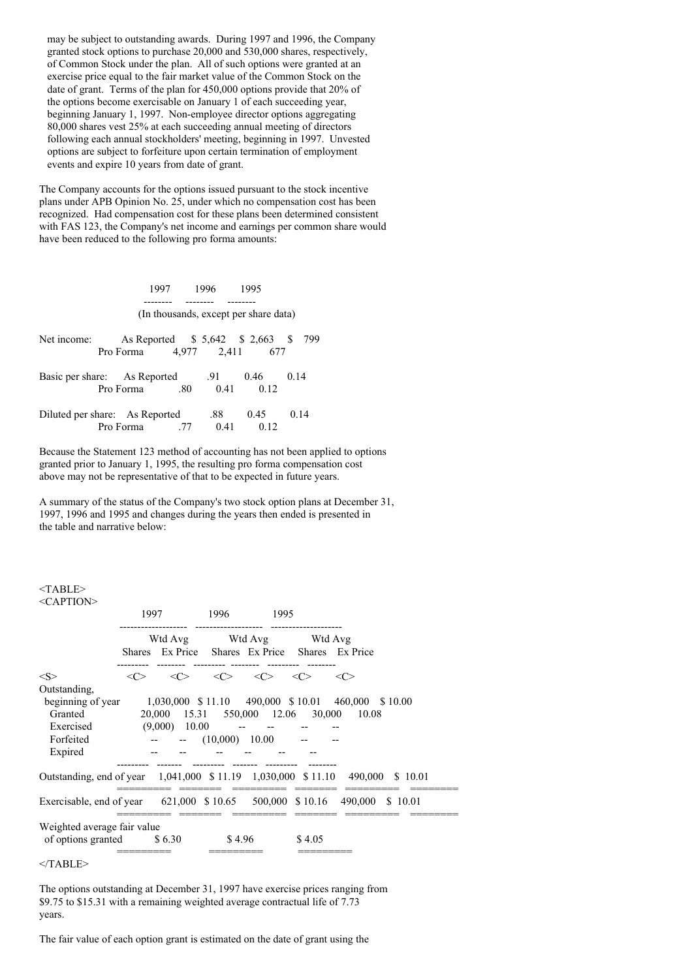may be subject to outstanding awards. During 1997 and 1996, the Company granted stock options to purchase 20,000 and 530,000 shares, respectively, of Common Stock under the plan. All of such options were granted at an exercise price equal to the fair market value of the Common Stock on the date of grant. Terms of the plan for 450,000 options provide that 20% of the options become exercisable on January 1 of each succeeding year, beginning January 1, 1997. Non-employee director options aggregating 80,000 shares vest 25% at each succeeding annual meeting of directors following each annual stockholders' meeting, beginning in 1997. Unvested options are subject to forfeiture upon certain termination of employment events and expire 10 years from date of grant.

The Company accounts for the options issued pursuant to the stock incentive plans under APB Opinion No. 25, under which no compensation cost has been recognized. Had compensation cost for these plans been determined consistent with FAS 123, the Company's net income and earnings per common share would have been reduced to the following pro forma amounts:

|                                |           | 1997 |         | 1996        | 1995                                  |      |
|--------------------------------|-----------|------|---------|-------------|---------------------------------------|------|
|                                |           |      |         |             | (In thousands, except per share data) |      |
| Net income:                    | Pro Forma |      |         | 4,977 2,411 | As Reported \$5,642 \$2,663 \$<br>677 | 799  |
| Basic per share: As Reported   | Pro Forma |      | $.80\,$ | .91<br>0.41 | 0.46<br>0.12                          | 0.14 |
| Diluted per share: As Reported | Pro Forma |      | .77     | .88<br>0.41 | 0.45<br>0.12                          | 0.14 |

Because the Statement 123 method of accounting has not been applied to options granted prior to January 1, 1995, the resulting pro forma compensation cost above may not be representative of that to be expected in future years.

A summary of the status of the Company's two stock option plans at December 31, 1997, 1996 and 1995 and changes during the years then ended is presented in the table and narrative below:

#### $<$ TABLE $>$  $\angle$ CA DTION

| $\sim$ AI TIVIV             | 1997                |                                                                            | 1996                | 1995                |                     |                                                                              |
|-----------------------------|---------------------|----------------------------------------------------------------------------|---------------------|---------------------|---------------------|------------------------------------------------------------------------------|
|                             |                     | Wtd Avg Wtd Avg Wtd Avg<br>Shares Ex Price Shares Ex Price Shares Ex Price |                     |                     |                     |                                                                              |
| $<\leq>$                    | $\langle C \rangle$ | $\langle C \rangle$                                                        | $\langle C \rangle$ | $\langle C \rangle$ | $\langle C \rangle$ | <<>                                                                          |
| Outstanding,                |                     |                                                                            |                     |                     |                     |                                                                              |
| beginning of year           |                     |                                                                            |                     |                     |                     | 1,030,000 \$11.10 490,000 \$10.01 460,000 \$10.00                            |
| Granted                     |                     |                                                                            |                     |                     |                     | 20,000 15.31 550,000 12.06 30,000 10.08                                      |
| Exercised                   |                     | $(9,000)$ 10.00                                                            |                     |                     |                     |                                                                              |
| Forfeited                   |                     | $  (10,000)$ $10.00$                                                       |                     |                     |                     |                                                                              |
| Expired                     |                     |                                                                            |                     |                     |                     |                                                                              |
|                             |                     |                                                                            |                     |                     |                     | Outstanding, end of year 1,041,000 \$11.19 1,030,000 \$11.10 490,000 \$10.01 |
|                             |                     |                                                                            |                     |                     |                     | Exercisable, end of year 621,000 \$10.65 500,000 \$10.16 490,000 \$10.01     |
| Weighted average fair value |                     |                                                                            |                     |                     |                     |                                                                              |
| of options granted $$6.30$  |                     |                                                                            | \$4.96              |                     | \$4.05              |                                                                              |
|                             |                     |                                                                            |                     |                     |                     |                                                                              |

 $<$ /TABLE>

The options outstanding at December 31, 1997 have exercise prices ranging from \$9.75 to \$15.31 with a remaining weighted average contractual life of 7.73 years.

The fair value of each option grant is estimated on the date of grant using the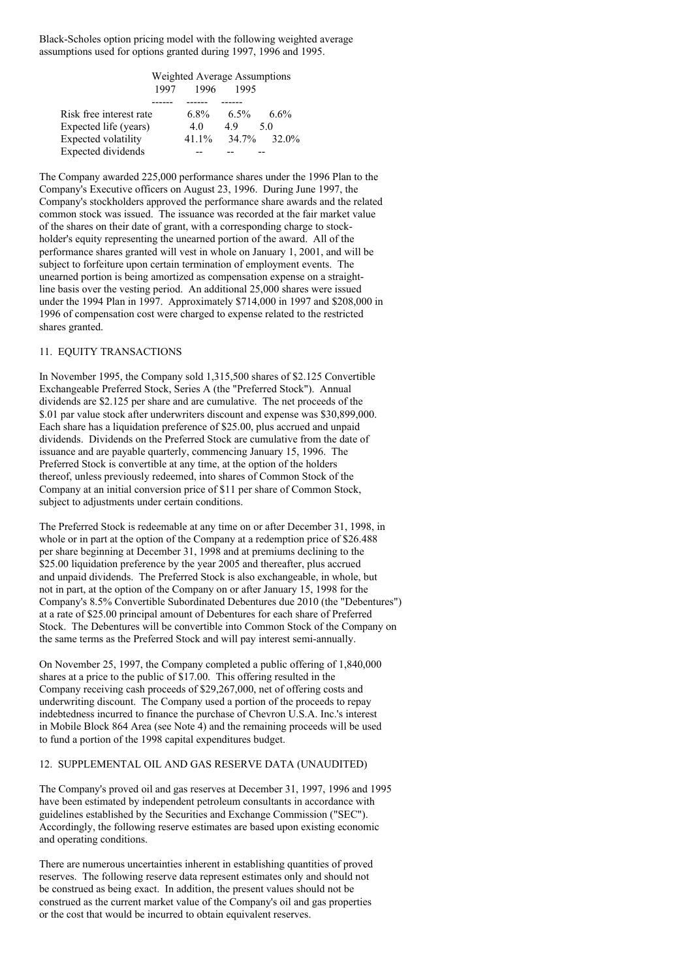Black-Scholes option pricing model with the following weighted average assumptions used for options granted during 1997, 1996 and 1995.

|                            | Weighted Average Assumptions |          |         |         |  |  |  |
|----------------------------|------------------------------|----------|---------|---------|--|--|--|
|                            | 1997                         | 1996     | 1995    |         |  |  |  |
|                            |                              |          |         |         |  |  |  |
| Risk free interest rate    |                              | $6.8\%$  | $6.5\%$ | $6.6\%$ |  |  |  |
| Expected life (years)      |                              | 4.0      | 49      | 5.0     |  |  |  |
| <b>Expected volatility</b> |                              | $41.1\%$ | 34.7%   | 32.0%   |  |  |  |
| Expected dividends         |                              |          |         |         |  |  |  |

The Company awarded 225,000 performance shares under the 1996 Plan to the Company's Executive officers on August 23, 1996. During June 1997, the Company's stockholders approved the performance share awards and the related common stock was issued. The issuance was recorded at the fair market value of the shares on their date of grant, with a corresponding charge to stockholder's equity representing the unearned portion of the award. All of the performance shares granted will vest in whole on January 1, 2001, and will be subject to forfeiture upon certain termination of employment events. The unearned portion is being amortized as compensation expense on a straightline basis over the vesting period. An additional 25,000 shares were issued under the 1994 Plan in 1997. Approximately \$714,000 in 1997 and \$208,000 in 1996 of compensation cost were charged to expense related to the restricted shares granted.

### 11. EQUITY TRANSACTIONS

In November 1995, the Company sold 1,315,500 shares of \$2.125 Convertible Exchangeable Preferred Stock, Series A (the "Preferred Stock"). Annual dividends are \$2.125 per share and are cumulative. The net proceeds of the \$.01 par value stock after underwriters discount and expense was \$30,899,000. Each share has a liquidation preference of \$25.00, plus accrued and unpaid dividends. Dividends on the Preferred Stock are cumulative from the date of issuance and are payable quarterly, commencing January 15, 1996. The Preferred Stock is convertible at any time, at the option of the holders thereof, unless previously redeemed, into shares of Common Stock of the Company at an initial conversion price of \$11 per share of Common Stock, subject to adjustments under certain conditions.

The Preferred Stock is redeemable at any time on or after December 31, 1998, in whole or in part at the option of the Company at a redemption price of \$26.488 per share beginning at December 31, 1998 and at premiums declining to the \$25.00 liquidation preference by the year 2005 and thereafter, plus accrued and unpaid dividends. The Preferred Stock is also exchangeable, in whole, but not in part, at the option of the Company on or after January 15, 1998 for the Company's 8.5% Convertible Subordinated Debentures due 2010 (the "Debentures") at a rate of \$25.00 principal amount of Debentures for each share of Preferred Stock. The Debentures will be convertible into Common Stock of the Company on the same terms as the Preferred Stock and will pay interest semi-annually.

On November 25, 1997, the Company completed a public offering of 1,840,000 shares at a price to the public of \$17.00. This offering resulted in the Company receiving cash proceeds of \$29,267,000, net of offering costs and underwriting discount. The Company used a portion of the proceeds to repay indebtedness incurred to finance the purchase of Chevron U.S.A. Inc.'s interest in Mobile Block 864 Area (see Note 4) and the remaining proceeds will be used to fund a portion of the 1998 capital expenditures budget.

## 12. SUPPLEMENTAL OIL AND GAS RESERVE DATA (UNAUDITED)

The Company's proved oil and gas reserves at December 31, 1997, 1996 and 1995 have been estimated by independent petroleum consultants in accordance with guidelines established by the Securities and Exchange Commission ("SEC"). Accordingly, the following reserve estimates are based upon existing economic and operating conditions.

There are numerous uncertainties inherent in establishing quantities of proved reserves. The following reserve data represent estimates only and should not be construed as being exact. In addition, the present values should not be construed as the current market value of the Company's oil and gas properties or the cost that would be incurred to obtain equivalent reserves.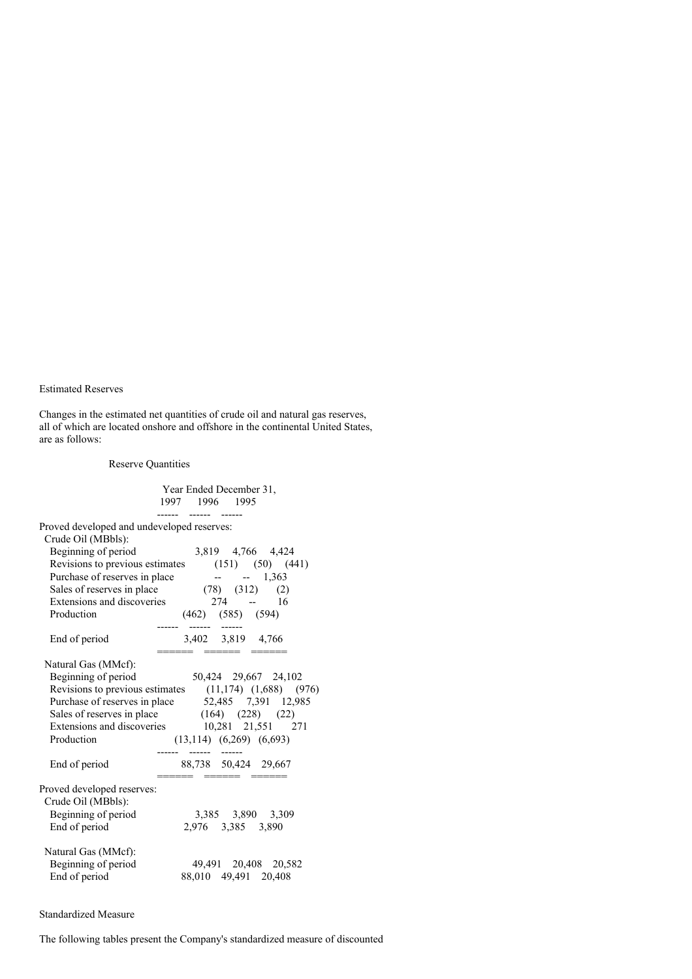## Estimated Reserves

Changes in the estimated net quantities of crude oil and natural gas reserves, all of which are located onshore and offshore in the continental United States, are as follows:

## Reserve Quantities

|                                                                                                                                                                                                                                                                              |                | Year Ended December 31,                                                                           |  |
|------------------------------------------------------------------------------------------------------------------------------------------------------------------------------------------------------------------------------------------------------------------------------|----------------|---------------------------------------------------------------------------------------------------|--|
|                                                                                                                                                                                                                                                                              | 1997 1996 1995 |                                                                                                   |  |
| Proved developed and undeveloped reserves:                                                                                                                                                                                                                                   |                |                                                                                                   |  |
| Crude Oil (MBbls):<br>Beginning of period<br>Revisions to previous estimates $(151)$ $(50)$ $(441)$<br>Purchase of reserves in place<br>Sales of reserves in place<br>Extensions and discoveries<br>Production                                                               |                | 3,819 4,766 4,424<br>$- - 1,363$<br>$(78)$ $(312)$ $(2)$<br>$274 - 16$<br>$(462)$ $(585)$ $(594)$ |  |
| 3,402 3,819 4,766<br>End of period                                                                                                                                                                                                                                           |                |                                                                                                   |  |
| Natural Gas (MMcf):<br>Beginning of period<br>Revisions to previous estimates $(11,174)$ $(1,688)$ $(976)$<br>Purchase of reserves in place 52,485 7,391 12,985<br>Sales of reserves in place (164) (228) (22)<br>Extensions and discoveries 10,281 21,551 271<br>Production |                | 50,424 29,667 24,102<br>$(13,114)$ $(6,269)$ $(6,693)$                                            |  |
| End of period                                                                                                                                                                                                                                                                |                | 88,738 50,424 29,667                                                                              |  |
| Proved developed reserves:<br>Crude Oil (MBbls):<br>Beginning of period<br>End of period                                                                                                                                                                                     |                | 3,385 3,890 3,309<br>2,976 3,385 3,890                                                            |  |
| Natural Gas (MMcf):<br>Beginning of period<br>End of period                                                                                                                                                                                                                  |                | 49,491 20,408 20,582<br>88,010 49,491 20,408                                                      |  |

## Standardized Measure

The following tables present the Company's standardized measure of discounted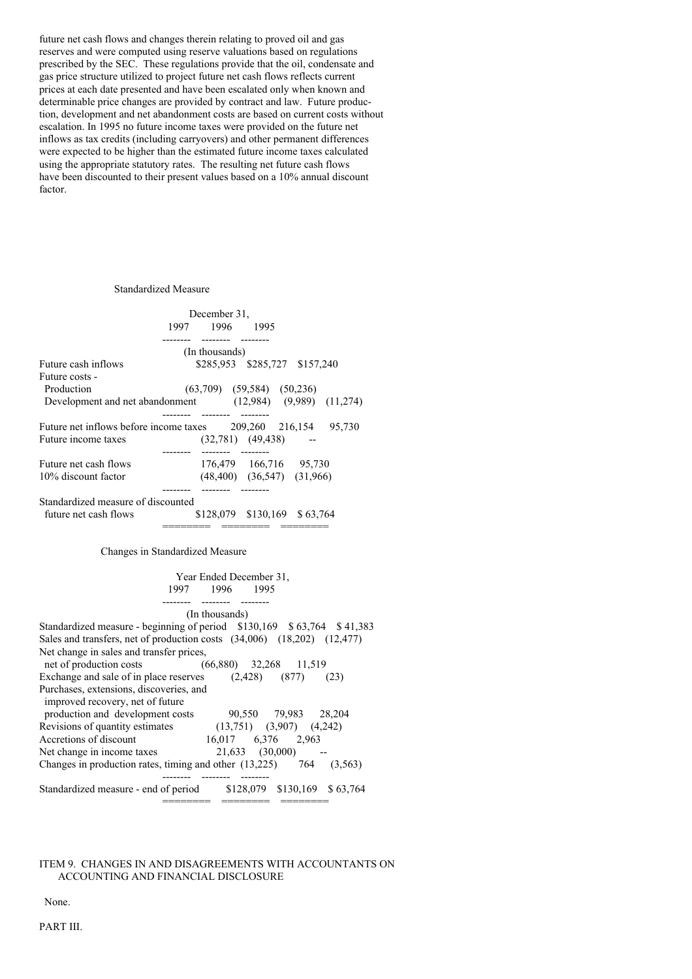future net cash flows and changes therein relating to proved oil and gas reserves and were computed using reserve valuations based on regulations prescribed by the SEC. These regulations provide that the oil, condensate and gas price structure utilized to project future net cash flows reflects current prices at each date presented and have been escalated only when known and determinable price changes are provided by contract and law. Future production, development and net abandonment costs are based on current costs without escalation. In 1995 no future income taxes were provided on the future net inflows as tax credits (including carryovers) and other permanent differences were expected to be higher than the estimated future income taxes calculated using the appropriate statutory rates. The resulting net future cash flows have been discounted to their present values based on a 10% annual discount factor.

#### Standardized Measure

|                                                               | December 31,   |                                                 |  |
|---------------------------------------------------------------|----------------|-------------------------------------------------|--|
|                                                               | 1997 1996      | 1995                                            |  |
|                                                               | (In thousands) |                                                 |  |
| Future cash inflows                                           |                | \$285,953 \$285,727 \$157,240                   |  |
| Future costs -                                                |                |                                                 |  |
| Production                                                    |                | $(63,709)$ $(59,584)$ $(50,236)$                |  |
| Development and net abandonment (12,984) (9,989) (11,274)     |                |                                                 |  |
| Future net inflows before income taxes<br>Future income taxes |                | 209,260 216,154 95,730<br>$(32,781)$ $(49,438)$ |  |
|                                                               |                |                                                 |  |
| Future net cash flows                                         |                | 176,479 166,716 95,730                          |  |
| 10% discount factor                                           |                | $(48,400)$ $(36,547)$ $(31,966)$                |  |
| Standardized measure of discounted                            |                |                                                 |  |
| future net cash flows                                         |                | \$128,079 \$130,169 \$63,764                    |  |
|                                                               |                |                                                 |  |

Changes in Standardized Measure

| Year Ended December 31,                                                     |
|-----------------------------------------------------------------------------|
| 1997 1996 1995                                                              |
|                                                                             |
| (In thousands)                                                              |
| Standardized measure - beginning of period $$130,169$ $$63,764$ $$41,383$   |
| Sales and transfers, net of production costs (34,006) (18,202) (12,477)     |
| Net change in sales and transfer prices,                                    |
| net of production costs<br>$(66,880)$ 32,268 11,519                         |
| Exchange and sale of in place reserves $(2,428)$ $(877)$<br>(23)            |
| Purchases, extensions, discoveries, and<br>improved recovery, net of future |
| production and development costs<br>90,550 79,983 28,204                    |
| Revisions of quantity estimates $(13,751)$ $(3,907)$ $(4,242)$              |
| 16,017 6,376 2,963<br>Accretions of discount                                |
| Net change in income taxes $21,633$ $(30,000)$ --                           |
| Changes in production rates, timing and other $(13,225)$ 764 $(3,563)$      |
|                                                                             |
| \$128,079 \$130,169 \$63,764<br>Standardized measure - end of period        |
|                                                                             |

## ITEM 9. CHANGES IN AND DISAGREEMENTS WITH ACCOUNTANTS ON ACCOUNTING AND FINANCIAL DISCLOSURE

None.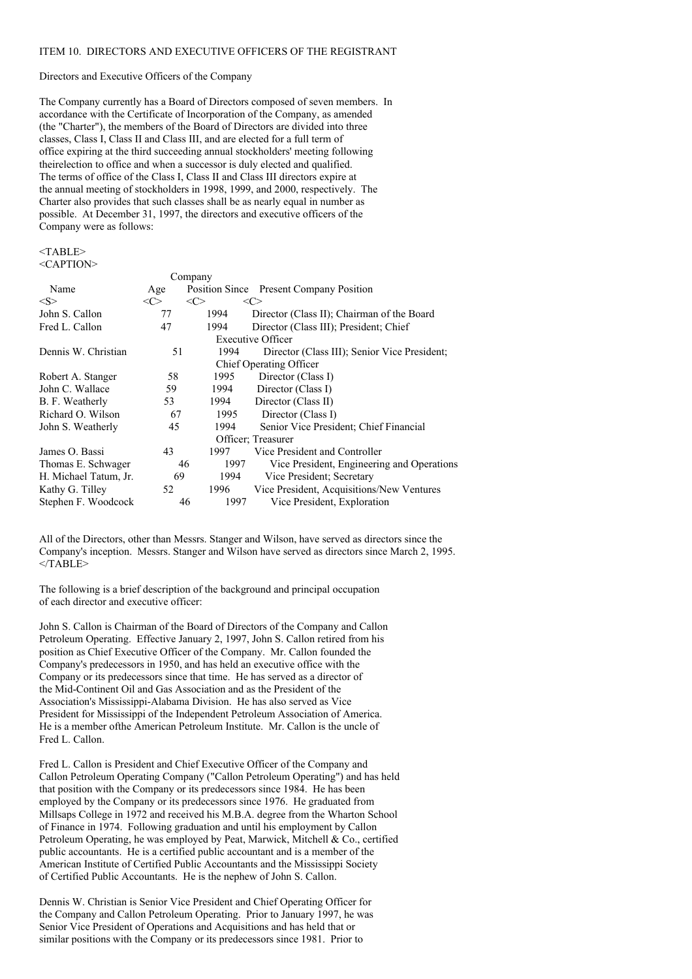#### ITEM 10. DIRECTORS AND EXECUTIVE OFFICERS OF THE REGISTRANT

## Directors and Executive Officers of the Company

The Company currently has a Board of Directors composed of seven members. In accordance with the Certificate of Incorporation of the Company, as amended (the "Charter"), the members of the Board of Directors are divided into three classes, Class I, Class II and Class III, and are elected for a full term of office expiring at the third succeeding annual stockholders' meeting following theirelection to office and when a successor is duly elected and qualified. The terms of office of the Class I, Class II and Class III directors expire at the annual meeting of stockholders in 1998, 1999, and 2000, respectively. The Charter also provides that such classes shall be as nearly equal in number as possible. At December 31, 1997, the directors and executive officers of the Company were as follows:

#### <TABLE> <CAPTION>

|                         |           | Company    |                                              |  |  |
|-------------------------|-----------|------------|----------------------------------------------|--|--|
| Name                    | Age       |            | Position Since Present Company Position      |  |  |
| $<\!\!S\!\!>$           | $<\infty$ | <c></c>    | <c></c>                                      |  |  |
| John S. Callon          | 77        | 1994       | Director (Class II); Chairman of the Board   |  |  |
| Fred L. Callon          | 47        | 1994       | Director (Class III); President; Chief       |  |  |
| Executive Officer       |           |            |                                              |  |  |
| Dennis W. Christian     | 51        | 1994       | Director (Class III); Senior Vice President; |  |  |
| Chief Operating Officer |           |            |                                              |  |  |
| Robert A. Stanger       | 58        | 1995       | Director (Class I)                           |  |  |
| John C. Wallace         | 59        | 1994       | Director (Class I)                           |  |  |
| B. F. Weatherly         | 53        | 1994       | Director (Class II)                          |  |  |
| Richard O. Wilson       | 67        | 1995       | Director (Class I)                           |  |  |
| John S. Weatherly       | 45        | 1994       | Senior Vice President; Chief Financial       |  |  |
| Officer; Treasurer      |           |            |                                              |  |  |
| James O. Bassi          | 43        | 1997       | Vice President and Controller                |  |  |
| Thomas E. Schwager      | 46        | 1997       | Vice President, Engineering and Operations   |  |  |
| H. Michael Tatum, Jr.   | 69        | 1994       | Vice President; Secretary                    |  |  |
| Kathy G. Tilley         | 52        | 1996       | Vice President, Acquisitions/New Ventures    |  |  |
| Stephen F. Woodcock     |           | 46<br>1997 | Vice President, Exploration                  |  |  |

All of the Directors, other than Messrs. Stanger and Wilson, have served as directors since the Company's inception. Messrs. Stanger and Wilson have served as directors since March 2, 1995.  $<$ /TABLE>

The following is a brief description of the background and principal occupation of each director and executive officer:

John S. Callon is Chairman of the Board of Directors of the Company and Callon Petroleum Operating. Effective January 2, 1997, John S. Callon retired from his position as Chief Executive Officer of the Company. Mr. Callon founded the Company's predecessors in 1950, and has held an executive office with the Company or its predecessors since that time. He has served as a director of the Mid-Continent Oil and Gas Association and as the President of the Association's Mississippi-Alabama Division. He has also served as Vice President for Mississippi of the Independent Petroleum Association of America. He is a member ofthe American Petroleum Institute. Mr. Callon is the uncle of Fred L. Callon.

Fred L. Callon is President and Chief Executive Officer of the Company and Callon Petroleum Operating Company ("Callon Petroleum Operating") and has held that position with the Company or its predecessors since 1984. He has been employed by the Company or its predecessors since 1976. He graduated from Millsaps College in 1972 and received his M.B.A. degree from the Wharton School of Finance in 1974. Following graduation and until his employment by Callon Petroleum Operating, he was employed by Peat, Marwick, Mitchell & Co., certified public accountants. He is a certified public accountant and is a member of the American Institute of Certified Public Accountants and the Mississippi Society of Certified Public Accountants. He is the nephew of John S. Callon.

Dennis W. Christian is Senior Vice President and Chief Operating Officer for the Company and Callon Petroleum Operating. Prior to January 1997, he was Senior Vice President of Operations and Acquisitions and has held that or similar positions with the Company or its predecessors since 1981. Prior to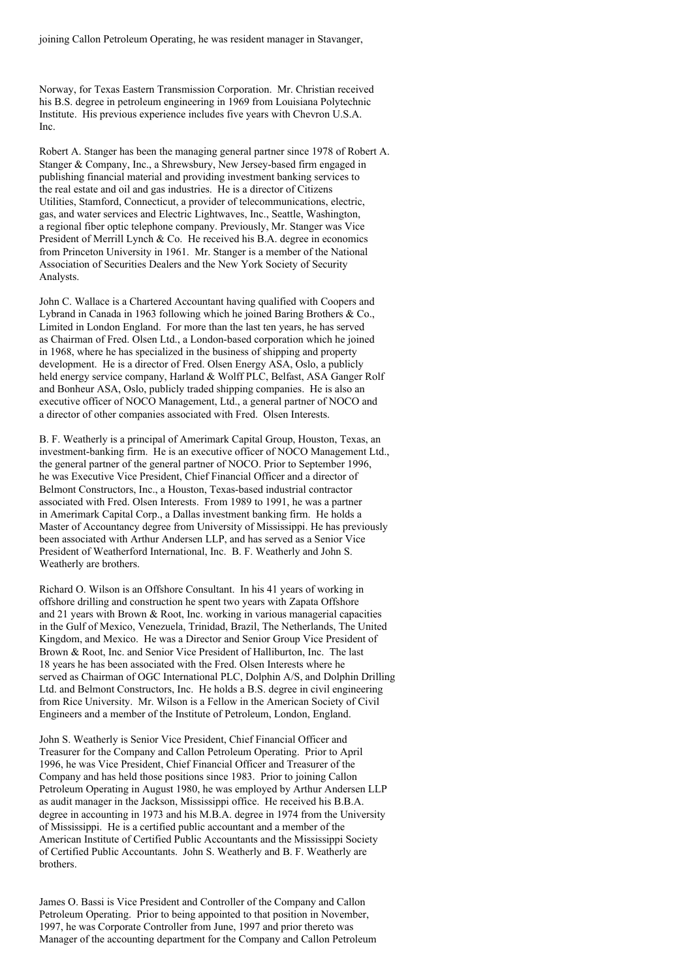joining Callon Petroleum Operating, he was resident manager in Stavanger,

Norway, for Texas Eastern Transmission Corporation. Mr. Christian received his B.S. degree in petroleum engineering in 1969 from Louisiana Polytechnic Institute. His previous experience includes five years with Chevron U.S.A. Inc.

Robert A. Stanger has been the managing general partner since 1978 of Robert A. Stanger & Company, Inc., a Shrewsbury, New Jersey-based firm engaged in publishing financial material and providing investment banking services to the real estate and oil and gas industries. He is a director of Citizens Utilities, Stamford, Connecticut, a provider of telecommunications, electric, gas, and water services and Electric Lightwaves, Inc., Seattle, Washington, a regional fiber optic telephone company. Previously, Mr. Stanger was Vice President of Merrill Lynch & Co. He received his B.A. degree in economics from Princeton University in 1961. Mr. Stanger is a member of the National Association of Securities Dealers and the New York Society of Security Analysts.

John C. Wallace is a Chartered Accountant having qualified with Coopers and Lybrand in Canada in 1963 following which he joined Baring Brothers & Co., Limited in London England. For more than the last ten years, he has served as Chairman of Fred. Olsen Ltd., a London-based corporation which he joined in 1968, where he has specialized in the business of shipping and property development. He is a director of Fred. Olsen Energy ASA, Oslo, a publicly held energy service company, Harland & Wolff PLC, Belfast, ASA Ganger Rolf and Bonheur ASA, Oslo, publicly traded shipping companies. He is also an executive officer of NOCO Management, Ltd., a general partner of NOCO and a director of other companies associated with Fred. Olsen Interests.

B. F. Weatherly is a principal of Amerimark Capital Group, Houston, Texas, an investment-banking firm. He is an executive officer of NOCO Management Ltd., the general partner of the general partner of NOCO. Prior to September 1996, he was Executive Vice President, Chief Financial Officer and a director of Belmont Constructors, Inc., a Houston, Texas-based industrial contractor associated with Fred. Olsen Interests. From 1989 to 1991, he was a partner in Amerimark Capital Corp., a Dallas investment banking firm. He holds a Master of Accountancy degree from University of Mississippi. He has previously been associated with Arthur Andersen LLP, and has served as a Senior Vice President of Weatherford International, Inc. B. F. Weatherly and John S. Weatherly are brothers.

Richard O. Wilson is an Offshore Consultant. In his 41 years of working in offshore drilling and construction he spent two years with Zapata Offshore and 21 years with Brown & Root, Inc. working in various managerial capacities in the Gulf of Mexico, Venezuela, Trinidad, Brazil, The Netherlands, The United Kingdom, and Mexico. He was a Director and Senior Group Vice President of Brown & Root, Inc. and Senior Vice President of Halliburton, Inc. The last 18 years he has been associated with the Fred. Olsen Interests where he served as Chairman of OGC International PLC, Dolphin A/S, and Dolphin Drilling Ltd. and Belmont Constructors, Inc. He holds a B.S. degree in civil engineering from Rice University. Mr. Wilson is a Fellow in the American Society of Civil Engineers and a member of the Institute of Petroleum, London, England.

John S. Weatherly is Senior Vice President, Chief Financial Officer and Treasurer for the Company and Callon Petroleum Operating. Prior to April 1996, he was Vice President, Chief Financial Officer and Treasurer of the Company and has held those positions since 1983. Prior to joining Callon Petroleum Operating in August 1980, he was employed by Arthur Andersen LLP as audit manager in the Jackson, Mississippi office. He received his B.B.A. degree in accounting in 1973 and his M.B.A. degree in 1974 from the University of Mississippi. He is a certified public accountant and a member of the American Institute of Certified Public Accountants and the Mississippi Society of Certified Public Accountants. John S. Weatherly and B. F. Weatherly are brothers.

James O. Bassi is Vice President and Controller of the Company and Callon Petroleum Operating. Prior to being appointed to that position in November, 1997, he was Corporate Controller from June, 1997 and prior thereto was Manager of the accounting department for the Company and Callon Petroleum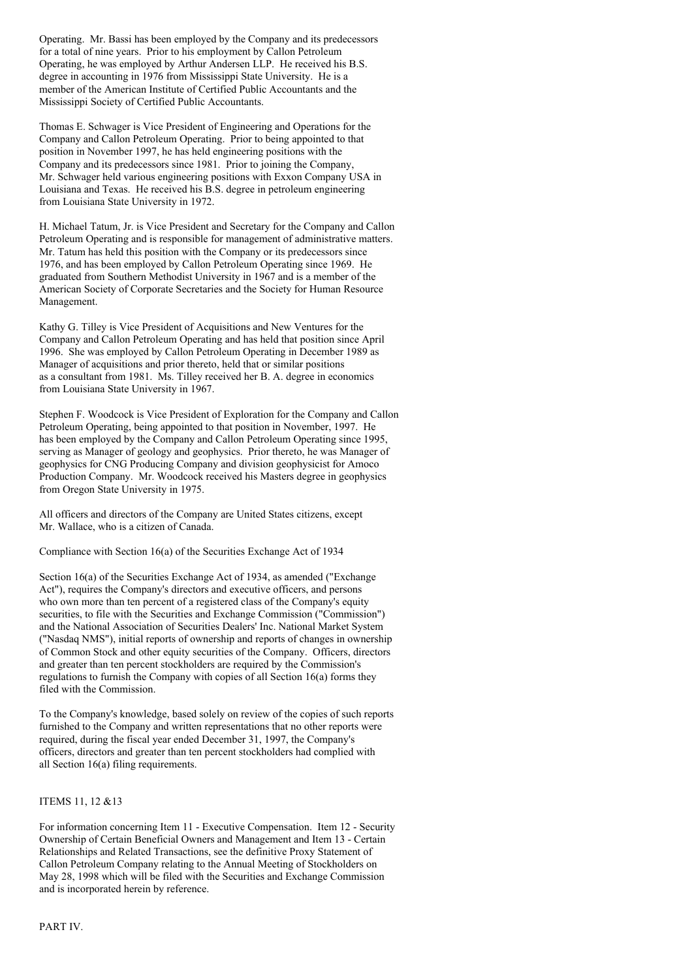Operating. Mr. Bassi has been employed by the Company and its predecessors for a total of nine years. Prior to his employment by Callon Petroleum Operating, he was employed by Arthur Andersen LLP. He received his B.S. degree in accounting in 1976 from Mississippi State University. He is a member of the American Institute of Certified Public Accountants and the Mississippi Society of Certified Public Accountants.

Thomas E. Schwager is Vice President of Engineering and Operations for the Company and Callon Petroleum Operating. Prior to being appointed to that position in November 1997, he has held engineering positions with the Company and its predecessors since 1981. Prior to joining the Company, Mr. Schwager held various engineering positions with Exxon Company USA in Louisiana and Texas. He received his B.S. degree in petroleum engineering from Louisiana State University in 1972.

H. Michael Tatum, Jr. is Vice President and Secretary for the Company and Callon Petroleum Operating and is responsible for management of administrative matters. Mr. Tatum has held this position with the Company or its predecessors since 1976, and has been employed by Callon Petroleum Operating since 1969. He graduated from Southern Methodist University in 1967 and is a member of the American Society of Corporate Secretaries and the Society for Human Resource Management.

Kathy G. Tilley is Vice President of Acquisitions and New Ventures for the Company and Callon Petroleum Operating and has held that position since April 1996. She was employed by Callon Petroleum Operating in December 1989 as Manager of acquisitions and prior thereto, held that or similar positions as a consultant from 1981. Ms. Tilley received her B. A. degree in economics from Louisiana State University in 1967.

Stephen F. Woodcock is Vice President of Exploration for the Company and Callon Petroleum Operating, being appointed to that position in November, 1997. He has been employed by the Company and Callon Petroleum Operating since 1995, serving as Manager of geology and geophysics. Prior thereto, he was Manager of geophysics for CNG Producing Company and division geophysicist for Amoco Production Company. Mr. Woodcock received his Masters degree in geophysics from Oregon State University in 1975.

All officers and directors of the Company are United States citizens, except Mr. Wallace, who is a citizen of Canada.

Compliance with Section 16(a) of the Securities Exchange Act of 1934

Section 16(a) of the Securities Exchange Act of 1934, as amended ("Exchange Act"), requires the Company's directors and executive officers, and persons who own more than ten percent of a registered class of the Company's equity securities, to file with the Securities and Exchange Commission ("Commission") and the National Association of Securities Dealers' Inc. National Market System ("Nasdaq NMS"), initial reports of ownership and reports of changes in ownership of Common Stock and other equity securities of the Company. Officers, directors and greater than ten percent stockholders are required by the Commission's regulations to furnish the Company with copies of all Section 16(a) forms they filed with the Commission.

To the Company's knowledge, based solely on review of the copies of such reports furnished to the Company and written representations that no other reports were required, during the fiscal year ended December 31, 1997, the Company's officers, directors and greater than ten percent stockholders had complied with all Section 16(a) filing requirements.

## ITEMS 11, 12 &13

For information concerning Item 11 - Executive Compensation. Item 12 - Security Ownership of Certain Beneficial Owners and Management and Item 13 - Certain Relationships and Related Transactions, see the definitive Proxy Statement of Callon Petroleum Company relating to the Annual Meeting of Stockholders on May 28, 1998 which will be filed with the Securities and Exchange Commission and is incorporated herein by reference.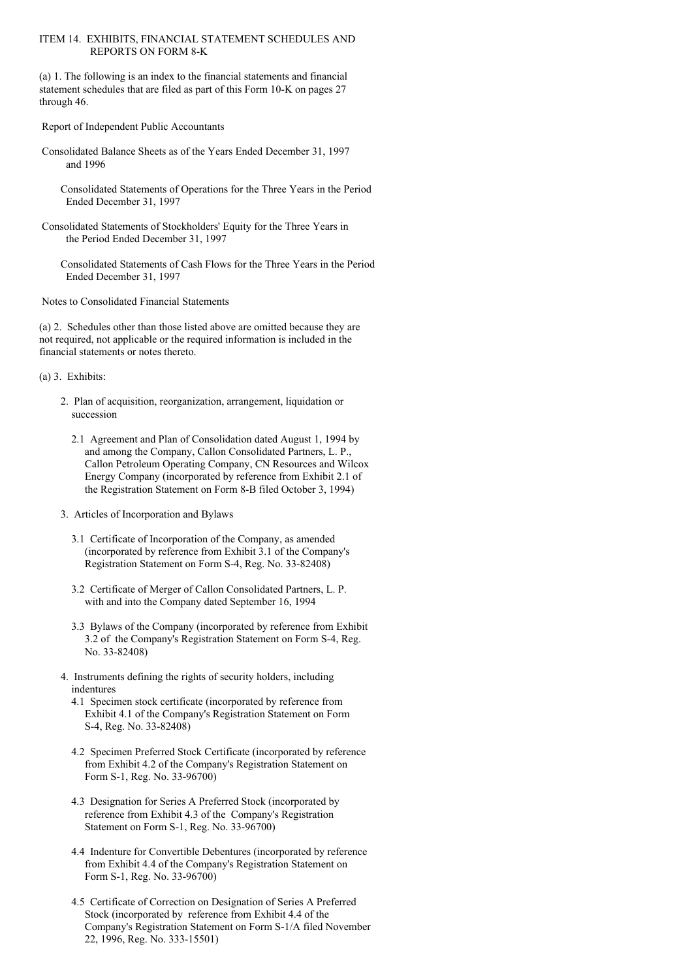### ITEM 14. EXHIBITS, FINANCIAL STATEMENT SCHEDULES AND REPORTS ON FORM 8-K

(a) 1. The following is an index to the financial statements and financial statement schedules that are filed as part of this Form 10-K on pages 27 through 46.

Report of Independent Public Accountants

- Consolidated Balance Sheets as of the Years Ended December 31, 1997 and 1996
	- Consolidated Statements of Operations for the Three Years in the Period Ended December 31, 1997
- Consolidated Statements of Stockholders' Equity for the Three Years in the Period Ended December 31, 1997

Consolidated Statements of Cash Flows for the Three Years in the Period Ended December 31, 1997

Notes to Consolidated Financial Statements

(a) 2. Schedules other than those listed above are omitted because they are not required, not applicable or the required information is included in the financial statements or notes thereto.

(a) 3. Exhibits:

- 2. Plan of acquisition, reorganization, arrangement, liquidation or succession
	- 2.1 Agreement and Plan of Consolidation dated August 1, 1994 by and among the Company, Callon Consolidated Partners, L. P., Callon Petroleum Operating Company, CN Resources and Wilcox Energy Company (incorporated by reference from Exhibit 2.1 of the Registration Statement on Form 8-B filed October 3, 1994)
- 3. Articles of Incorporation and Bylaws
	- 3.1 Certificate of Incorporation of the Company, as amended (incorporated by reference from Exhibit 3.1 of the Company's Registration Statement on Form S-4, Reg. No. 33-82408)
	- 3.2 Certificate of Merger of Callon Consolidated Partners, L. P. with and into the Company dated September 16, 1994
	- 3.3 Bylaws of the Company (incorporated by reference from Exhibit 3.2 of the Company's Registration Statement on Form S-4, Reg. No. 33-82408)
- 4. Instruments defining the rights of security holders, including indentures
	- 4.1 Specimen stock certificate (incorporated by reference from Exhibit 4.1 of the Company's Registration Statement on Form S-4, Reg. No. 33-82408)
	- 4.2 Specimen Preferred Stock Certificate (incorporated by reference from Exhibit 4.2 of the Company's Registration Statement on Form S-1, Reg. No. 33-96700)
	- 4.3 Designation for Series A Preferred Stock (incorporated by reference from Exhibit 4.3 of the Company's Registration Statement on Form S-1, Reg. No. 33-96700)
	- 4.4 Indenture for Convertible Debentures (incorporated by reference from Exhibit 4.4 of the Company's Registration Statement on Form S-1, Reg. No. 33-96700)
	- 4.5 Certificate of Correction on Designation of Series A Preferred Stock (incorporated by reference from Exhibit 4.4 of the Company's Registration Statement on Form S-1/A filed November 22, 1996, Reg. No. 333-15501)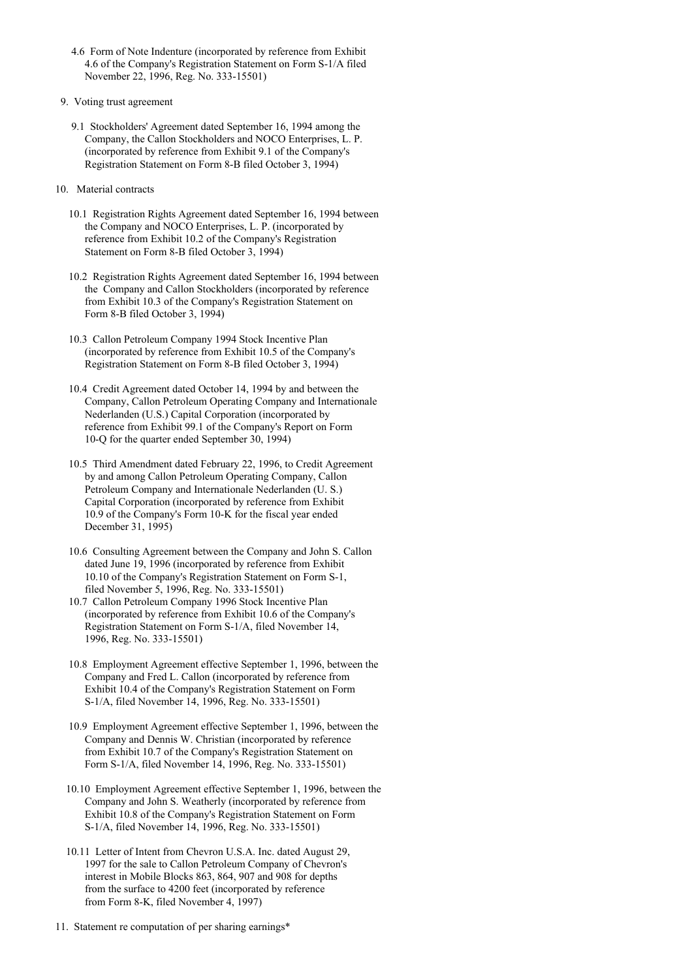- 4.6 Form of Note Indenture (incorporated by reference from Exhibit 4.6 of the Company's Registration Statement on Form S-1/A filed November 22, 1996, Reg. No. 333-15501)
- 9. Voting trust agreement
	- 9.1 Stockholders' Agreement dated September 16, 1994 among the Company, the Callon Stockholders and NOCO Enterprises, L. P. (incorporated by reference from Exhibit 9.1 of the Company's Registration Statement on Form 8-B filed October 3, 1994)
- 10. Material contracts
	- 10.1 Registration Rights Agreement dated September 16, 1994 between the Company and NOCO Enterprises, L. P. (incorporated by reference from Exhibit 10.2 of the Company's Registration Statement on Form 8-B filed October 3, 1994)
	- 10.2 Registration Rights Agreement dated September 16, 1994 between the Company and Callon Stockholders (incorporated by reference from Exhibit 10.3 of the Company's Registration Statement on Form 8-B filed October 3, 1994)
	- 10.3 Callon Petroleum Company 1994 Stock Incentive Plan (incorporated by reference from Exhibit 10.5 of the Company's Registration Statement on Form 8-B filed October 3, 1994)
	- 10.4 Credit Agreement dated October 14, 1994 by and between the Company, Callon Petroleum Operating Company and Internationale Nederlanden (U.S.) Capital Corporation (incorporated by reference from Exhibit 99.1 of the Company's Report on Form 10-Q for the quarter ended September 30, 1994)
	- 10.5 Third Amendment dated February 22, 1996, to Credit Agreement by and among Callon Petroleum Operating Company, Callon Petroleum Company and Internationale Nederlanden (U. S.) Capital Corporation (incorporated by reference from Exhibit 10.9 of the Company's Form 10-K for the fiscal year ended December 31, 1995)
	- 10.6 Consulting Agreement between the Company and John S. Callon dated June 19, 1996 (incorporated by reference from Exhibit 10.10 of the Company's Registration Statement on Form S-1, filed November 5, 1996, Reg. No. 333-15501)
	- 10.7 Callon Petroleum Company 1996 Stock Incentive Plan (incorporated by reference from Exhibit 10.6 of the Company's Registration Statement on Form S-1/A, filed November 14, 1996, Reg. No. 333-15501)
	- 10.8 Employment Agreement effective September 1, 1996, between the Company and Fred L. Callon (incorporated by reference from Exhibit 10.4 of the Company's Registration Statement on Form S-1/A, filed November 14, 1996, Reg. No. 333-15501)
	- 10.9 Employment Agreement effective September 1, 1996, between the Company and Dennis W. Christian (incorporated by reference from Exhibit 10.7 of the Company's Registration Statement on Form S-1/A, filed November 14, 1996, Reg. No. 333-15501)
	- 10.10 Employment Agreement effective September 1, 1996, between the Company and John S. Weatherly (incorporated by reference from Exhibit 10.8 of the Company's Registration Statement on Form S-1/A, filed November 14, 1996, Reg. No. 333-15501)
	- 10.11 Letter of Intent from Chevron U.S.A. Inc. dated August 29, 1997 for the sale to Callon Petroleum Company of Chevron's interest in Mobile Blocks 863, 864, 907 and 908 for depths from the surface to 4200 feet (incorporated by reference from Form 8-K, filed November 4, 1997)
- 11. Statement re computation of per sharing earnings\*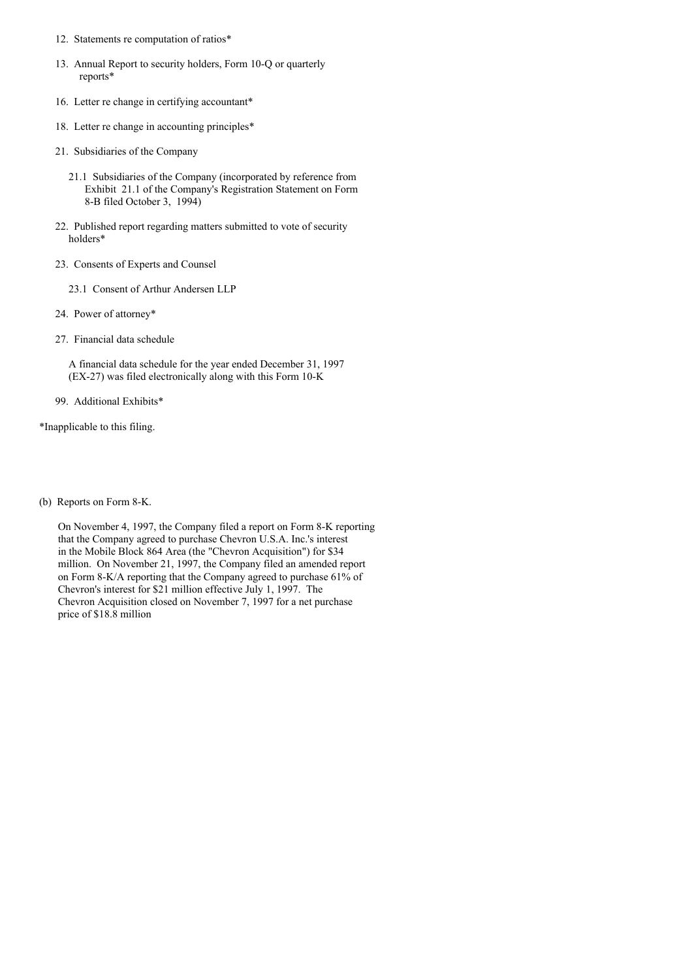- 12. Statements re computation of ratios\*
- 13. Annual Report to security holders, Form 10-Q or quarterly reports\*
- 16. Letter re change in certifying accountant\*
- 18. Letter re change in accounting principles\*
- 21. Subsidiaries of the Company
	- 21.1 Subsidiaries of the Company (incorporated by reference from Exhibit 21.1 of the Company's Registration Statement on Form 8-B filed October 3, 1994)
- 22. Published report regarding matters submitted to vote of security holders\*
- 23. Consents of Experts and Counsel
	- 23.1 Consent of Arthur Andersen LLP
- 24. Power of attorney\*
- 27. Financial data schedule

A financial data schedule for the year ended December 31, 1997 (EX-27) was filed electronically along with this Form 10-K

99. Additional Exhibits\*

\*Inapplicable to this filing.

(b) Reports on Form 8-K.

On November 4, 1997, the Company filed a report on Form 8-K reporting that the Company agreed to purchase Chevron U.S.A. Inc.'s interest in the Mobile Block 864 Area (the "Chevron Acquisition") for \$34 million. On November 21, 1997, the Company filed an amended report on Form 8-K/A reporting that the Company agreed to purchase 61% of Chevron's interest for \$21 million effective July 1, 1997. The Chevron Acquisition closed on November 7, 1997 for a net purchase price of \$18.8 million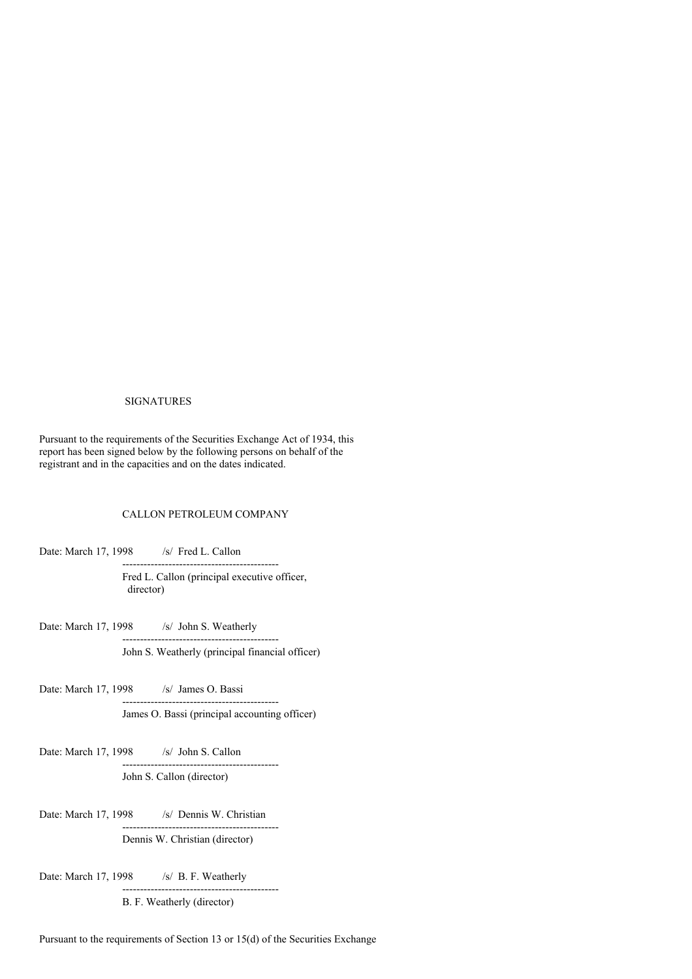### SIGNATURES

Pursuant to the requirements of the Securities Exchange Act of 1934, this report has been signed below by the following persons on behalf of the registrant and in the capacities and on the dates indicated.

## CALLON PETROLEUM COMPANY

Date: March 17, 1998 /s/ Fred L. Callon -------------------------------------------- Fred L. Callon (principal executive officer, director)

Date: March 17, 1998 /s/ John S. Weatherly -------------------------------------------- John S. Weatherly (principal financial officer)

Date: March 17, 1998 /s/ James O. Bassi -------------------------------------------- James O. Bassi (principal accounting officer)

Date: March 17, 1998 /s/ John S. Callon -------------------------------------------- John S. Callon (director)

Date: March 17, 1998 /s/ Dennis W. Christian -------------------------------------------- Dennis W. Christian (director)

Date: March 17, 1998 /s/ B. F. Weatherly

B. F. Weatherly (director)

--------------------------------------------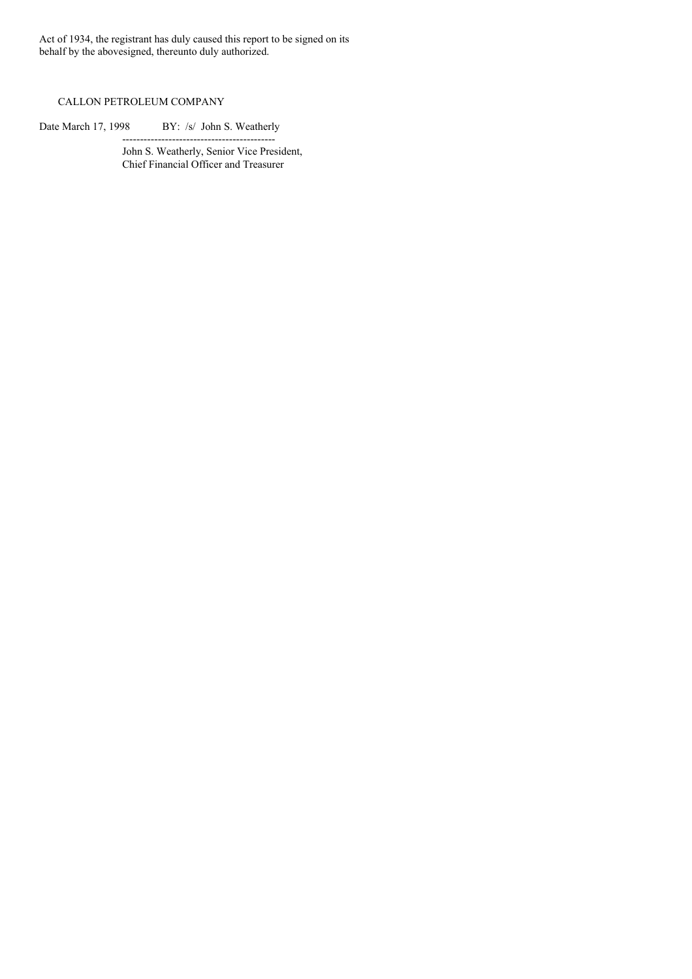Act of 1934, the registrant has duly caused this report to be signed on its behalf by the abovesigned, thereunto duly authorized.

# CALLON PETROLEUM COMPANY

Date March 17, 1998 BY: /s/ John S. Weatherly

------------------------------------------- John S. Weatherly, Senior Vice President, Chief Financial Officer and Treasurer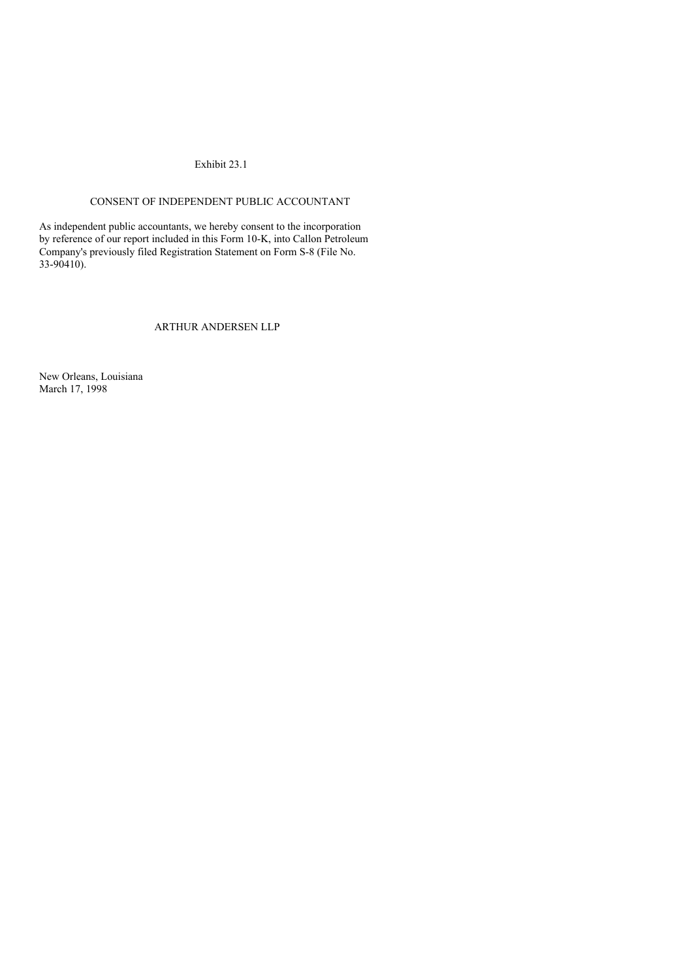## Exhibit 23.1

# CONSENT OF INDEPENDENT PUBLIC ACCOUNTANT

As independent public accountants, we hereby consent to the incorporation by reference of our report included in this Form 10-K, into Callon Petroleum Company's previously filed Registration Statement on Form S-8 (File No. 33-90410).

## ARTHUR ANDERSEN LLP

New Orleans, Louisiana March 17, 1998